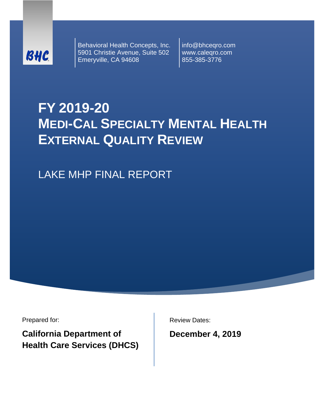

Behavioral Health Concepts, Inc. 5901 Christie Avenue, Suite 502 Emeryville, CA 94608

info@bhceqro.com www.caleqro.com 855-385-3776

# **FY 2019-20 MEDI-CAL SPECIALTY MENTAL HEALTH EXTERNAL QUALITY REVIEW**

LAKE MHP FINAL REPORT

Prepared for:

**California Department of Health Care Services (DHCS)** Review Dates:

**December 4, 2019**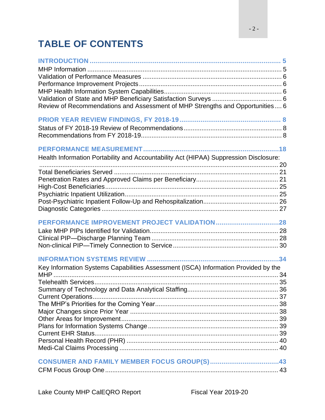# **TABLE OF CONTENTS**

| Review of Recommendations and Assessment of MHP Strengths and Opportunities 6               |  |
|---------------------------------------------------------------------------------------------|--|
|                                                                                             |  |
|                                                                                             |  |
|                                                                                             |  |
|                                                                                             |  |
| Health Information Portability and Accountability Act (HIPAA) Suppression Disclosure:       |  |
|                                                                                             |  |
|                                                                                             |  |
|                                                                                             |  |
|                                                                                             |  |
|                                                                                             |  |
|                                                                                             |  |
|                                                                                             |  |
|                                                                                             |  |
|                                                                                             |  |
|                                                                                             |  |
|                                                                                             |  |
| Key Information Systems Capabilities Assessment (ISCA) Information Provided by the<br>$MHP$ |  |
|                                                                                             |  |
|                                                                                             |  |
|                                                                                             |  |
|                                                                                             |  |
|                                                                                             |  |
|                                                                                             |  |
|                                                                                             |  |
|                                                                                             |  |
|                                                                                             |  |
|                                                                                             |  |
|                                                                                             |  |
|                                                                                             |  |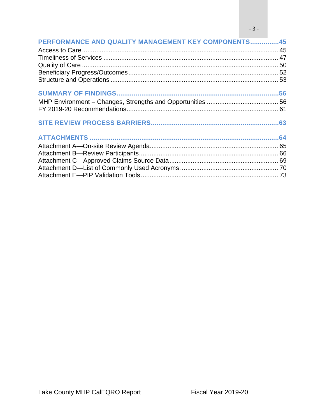$-3-$ 

| PERFORMANCE AND QUALITY MANAGEMENT KEY COMPONENTS45 |  |
|-----------------------------------------------------|--|
|                                                     |  |
|                                                     |  |
|                                                     |  |
|                                                     |  |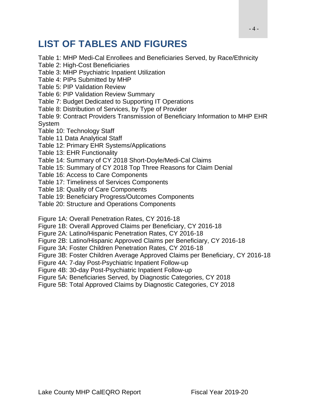# **LIST OF TABLES AND FIGURES**

Table 1: MHP Medi-Cal Enrollees and Beneficiaries Served, by Race/Ethnicity

- Table 2: High-Cost Beneficiaries
- Table 3: MHP Psychiatric Inpatient Utilization
- Table 4: PIPs Submitted by MHP
- Table 5: PIP Validation Review
- Table 6: PIP Validation Review Summary
- Table 7: Budget Dedicated to Supporting IT Operations
- Table 8: Distribution of Services, by Type of Provider
- Table 9: Contract Providers Transmission of Beneficiary Information to MHP EHR System
- Table 10: Technology Staff
- Table 11 Data Analytical Staff
- Table 12: Primary EHR Systems/Applications
- Table 13: EHR Functionality
- Table 14: Summary of CY 2018 Short-Doyle/Medi-Cal Claims
- Table 15: Summary of CY 2018 Top Three Reasons for Claim Denial
- Table 16: Access to Care Components
- Table 17: Timeliness of Services Components
- Table 18: Quality of Care Components
- Table 19: Beneficiary Progress/Outcomes Components
- Table 20: Structure and Operations Components

Figure 1A: Overall Penetration Rates, CY 2016-18

- Figure 1B: Overall Approved Claims per Beneficiary, CY 2016-18
- Figure 2A: Latino/Hispanic Penetration Rates, CY 2016-18
- Figure 2B: Latino/Hispanic Approved Claims per Beneficiary, CY 2016-18
- Figure 3A: Foster Children Penetration Rates, CY 2016-18
- Figure 3B: Foster Children Average Approved Claims per Beneficiary, CY 2016-18
- Figure 4A: 7-day Post-Psychiatric Inpatient Follow-up
- Figure 4B: 30-day Post-Psychiatric Inpatient Follow-up
- Figure 5A: Beneficiaries Served, by Diagnostic Categories, CY 2018
- Figure 5B: Total Approved Claims by Diagnostic Categories, CY 2018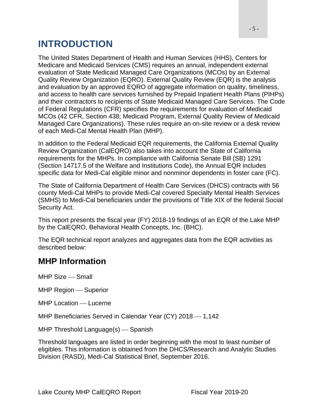# <span id="page-4-0"></span>**INTRODUCTION**

The United States Department of Health and Human Services (HHS), Centers for Medicare and Medicaid Services (CMS) requires an annual, independent external evaluation of State Medicaid Managed Care Organizations (MCOs) by an External Quality Review Organization (EQRO). External Quality Review (EQR) is the analysis and evaluation by an approved EQRO of aggregate information on quality, timeliness, and access to health care services furnished by Prepaid Inpatient Health Plans (PIHPs) and their contractors to recipients of State Medicaid Managed Care Services. The Code of Federal Regulations (CFR) specifies the requirements for evaluation of Medicaid MCOs (42 CFR, Section 438; Medicaid Program, External Quality Review of Medicaid Managed Care Organizations). These rules require an on-site review or a desk review of each Medi-Cal Mental Health Plan (MHP).

In addition to the Federal Medicaid EQR requirements, the California External Quality Review Organization (CalEQRO) also takes into account the State of California requirements for the MHPs. In compliance with California Senate Bill (SB) 1291 (Section 14717.5 of the Welfare and Institutions Code), the Annual EQR includes specific data for Medi-Cal eligible minor and nonminor dependents in foster care (FC).

The State of California Department of Health Care Services (DHCS) contracts with 56 county Medi-Cal MHPs to provide Medi-Cal covered Specialty Mental Health Services (SMHS) to Medi-Cal beneficiaries under the provisions of Title XIX of the federal Social Security Act.

This report presents the fiscal year (FY) 2018-19 findings of an EQR of the Lake MHP by the CalEQRO, Behavioral Health Concepts, Inc. (BHC).

The EQR technical report analyzes and aggregates data from the EQR activities as described below:

### <span id="page-4-1"></span>**MHP Information**

MHP Size – Small

MHP Region – Superior

MHP Location - Lucerne

MHP Beneficiaries Served in Calendar Year (CY)  $2018 - 1,142$ 

MHP Threshold Language $(s)$  - Spanish

Threshold languages are listed in order beginning with the most to least number of eligibles. This information is obtained from the DHCS/Research and Analytic Studies Division (RASD), Medi-Cal Statistical Brief, September 2016.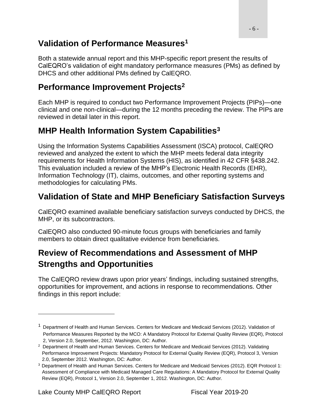### <span id="page-5-0"></span>**Validation of Performance Measures<sup>1</sup>**

Both a statewide annual report and this MHP-specific report present the results of CalEQRO's validation of eight mandatory performance measures (PMs) as defined by DHCS and other additional PMs defined by CalEQRO.

### <span id="page-5-1"></span>**Performance Improvement Projects<sup>2</sup>**

Each MHP is required to conduct two Performance Improvement Projects (PIPs)—one clinical and one non-clinical—during the 12 months preceding the review. The PIPs are reviewed in detail later in this report.

### <span id="page-5-2"></span>**MHP Health Information System Capabilities<sup>3</sup>**

Using the Information Systems Capabilities Assessment (ISCA) protocol, CalEQRO reviewed and analyzed the extent to which the MHP meets federal data integrity requirements for Health Information Systems (HIS), as identified in 42 CFR §438.242. This evaluation included a review of the MHP's Electronic Health Records (EHR), Information Technology (IT), claims, outcomes, and other reporting systems and methodologies for calculating PMs.

### <span id="page-5-3"></span>**Validation of State and MHP Beneficiary Satisfaction Surveys**

CalEQRO examined available beneficiary satisfaction surveys conducted by DHCS, the MHP, or its subcontractors.

CalEQRO also conducted 90-minute focus groups with beneficiaries and family members to obtain direct qualitative evidence from beneficiaries.

### <span id="page-5-4"></span>**Review of Recommendations and Assessment of MHP Strengths and Opportunities**

The CalEQRO review draws upon prior years' findings, including sustained strengths, opportunities for improvement, and actions in response to recommendations. Other findings in this report include:

<sup>&</sup>lt;sup>1</sup> Department of Health and Human Services. Centers for Medicare and Medicaid Services (2012). Validation of Performance Measures Reported by the MCO: A Mandatory Protocol for External Quality Review (EQR), Protocol 2, Version 2.0, September, 2012. Washington, DC: Author.

<sup>&</sup>lt;sup>2</sup> Department of Health and Human Services. Centers for Medicare and Medicaid Services (2012). Validating Performance Improvement Projects: Mandatory Protocol for External Quality Review (EQR), Protocol 3, Version 2.0, September 2012. Washington, DC: Author.

<sup>3</sup>Department of Health and Human Services. Centers for Medicare and Medicaid Services (2012). EQR Protocol 1: Assessment of Compliance with Medicaid Managed Care Regulations: A Mandatory Protocol for External Quality Review (EQR), Protocol 1, Version 2.0, September 1, 2012. Washington, DC: Author.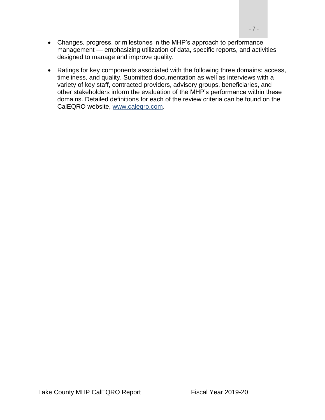- Changes, progress, or milestones in the MHP's approach to performance management — emphasizing utilization of data, specific reports, and activities designed to manage and improve quality.
- Ratings for key components associated with the following three domains: access, timeliness, and quality. Submitted documentation as well as interviews with a variety of key staff, contracted providers, advisory groups, beneficiaries, and other stakeholders inform the evaluation of the MHP's performance within these domains. Detailed definitions for each of the review criteria can be found on the CalEQRO website, [www.caleqro.com.](http://www.caleqro.com/)

Lake County MHP CalEQRO Report Fiscal Year 2019-20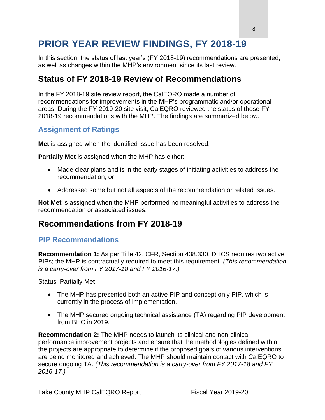# <span id="page-7-0"></span>**PRIOR YEAR REVIEW FINDINGS, FY 2018-19**

In this section, the status of last year's (FY 2018-19) recommendations are presented, as well as changes within the MHP's environment since its last review.

### <span id="page-7-1"></span>**Status of FY 2018-19 Review of Recommendations**

In the FY 2018-19 site review report, the CalEQRO made a number of recommendations for improvements in the MHP's programmatic and/or operational areas. During the FY 2019-20 site visit, CalEQRO reviewed the status of those FY 2018-19 recommendations with the MHP. The findings are summarized below.

#### **Assignment of Ratings**

**Met** is assigned when the identified issue has been resolved.

**Partially Met** is assigned when the MHP has either:

- Made clear plans and is in the early stages of initiating activities to address the recommendation; or
- Addressed some but not all aspects of the recommendation or related issues.

**Not Met** is assigned when the MHP performed no meaningful activities to address the recommendation or associated issues.

### <span id="page-7-2"></span>**Recommendations from FY 2018-19**

#### **PIP Recommendations**

**Recommendation 1:** As per Title 42, CFR, Section 438.330, DHCS requires two active PIPs; the MHP is contractually required to meet this requirement. *(This recommendation is a carry-over from FY 2017-18 and FY 2016-17.)*

Status: Partially Met

- The MHP has presented both an active PIP and concept only PIP, which is currently in the process of implementation.
- The MHP secured ongoing technical assistance (TA) regarding PIP development from BHC in 2019.

**Recommendation 2:** The MHP needs to launch its clinical and non-clinical performance improvement projects and ensure that the methodologies defined within the projects are appropriate to determine if the proposed goals of various interventions are being monitored and achieved. The MHP should maintain contact with CalEQRO to secure ongoing TA. *(This recommendation is a carry-over from FY 2017-18 and FY 2016-17.)*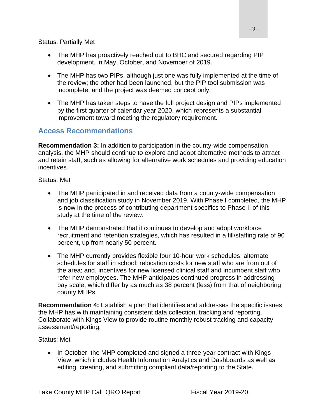Status: Partially Met

- The MHP has proactively reached out to BHC and secured regarding PIP development, in May, October, and November of 2019.
- The MHP has two PIPs, although just one was fully implemented at the time of the review; the other had been launched, but the PIP tool submission was incomplete, and the project was deemed concept only.
- The MHP has taken steps to have the full project design and PIPs implemented by the first quarter of calendar year 2020, which represents a substantial improvement toward meeting the regulatory requirement.

#### **Access Recommendations**

**Recommendation 3:** In addition to participation in the county-wide compensation analysis, the MHP should continue to explore and adopt alternative methods to attract and retain staff, such as allowing for alternative work schedules and providing education incentives.

Status: Met

- The MHP participated in and received data from a county-wide compensation and job classification study in November 2019. With Phase I completed, the MHP is now in the process of contributing department specifics to Phase II of this study at the time of the review.
- The MHP demonstrated that it continues to develop and adopt workforce recruitment and retention strategies, which has resulted in a fill/staffing rate of 90 percent, up from nearly 50 percent.
- The MHP currently provides flexible four 10-hour work schedules; alternate schedules for staff in school; relocation costs for new staff who are from out of the area; and, incentives for new licensed clinical staff and incumbent staff who refer new employees. The MHP anticipates continued progress in addressing pay scale, which differ by as much as 38 percent (less) from that of neighboring county MHPs.

**Recommendation 4:** Establish a plan that identifies and addresses the specific issues the MHP has with maintaining consistent data collection, tracking and reporting. Collaborate with Kings View to provide routine monthly robust tracking and capacity assessment/reporting.

#### Status: Met

• In October, the MHP completed and signed a three-year contract with Kings View, which includes Health Information Analytics and Dashboards as well as editing, creating, and submitting compliant data/reporting to the State.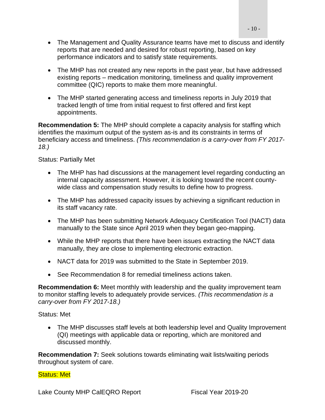- The Management and Quality Assurance teams have met to discuss and identify reports that are needed and desired for robust reporting, based on key performance indicators and to satisfy state requirements.
- The MHP has not created any new reports in the past year, but have addressed existing reports – medication monitoring, timeliness and quality improvement committee (QIC) reports to make them more meaningful.
- The MHP started generating access and timeliness reports in July 2019 that tracked length of time from initial request to first offered and first kept appointments.

**Recommendation 5:** The MHP should complete a capacity analysis for staffing which identifies the maximum output of the system as-is and its constraints in terms of beneficiary access and timeliness. *(This recommendation is a carry-over from FY 2017- 18.)*

Status: Partially Met

- The MHP has had discussions at the management level regarding conducting an internal capacity assessment. However, it is looking toward the recent countywide class and compensation study results to define how to progress.
- The MHP has addressed capacity issues by achieving a significant reduction in its staff vacancy rate.
- The MHP has been submitting Network Adequacy Certification Tool (NACT) data manually to the State since April 2019 when they began geo-mapping.
- While the MHP reports that there have been issues extracting the NACT data manually, they are close to implementing electronic extraction.
- NACT data for 2019 was submitted to the State in September 2019.
- See Recommendation 8 for remedial timeliness actions taken.

**Recommendation 6:** Meet monthly with leadership and the quality improvement team to monitor staffing levels to adequately provide services. *(This recommendation is a carry-over from FY 2017-18.)*

Status: Met

• The MHP discusses staff levels at both leadership level and Quality Improvement (QI) meetings with applicable data or reporting, which are monitored and discussed monthly.

**Recommendation 7:** Seek solutions towards eliminating wait lists/waiting periods throughout system of care.

Status: Met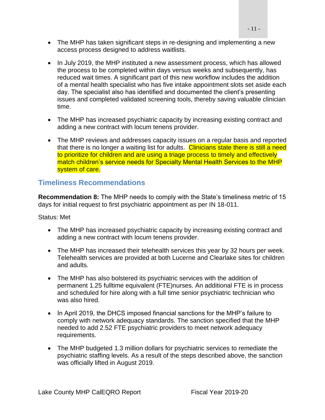- The MHP has taken significant steps in re-designing and implementing a new access process designed to address waitlists.
- In July 2019, the MHP instituted a new assessment process, which has allowed the process to be completed within days versus weeks and subsequently, has reduced wait times. A significant part of this new workflow includes the addition of a mental health specialist who has five intake appointment slots set aside each day. The specialist also has identified and documented the client's presenting issues and completed validated screening tools, thereby saving valuable clinician time.
- The MHP has increased psychiatric capacity by increasing existing contract and adding a new contract with locum tenens provider.
- The MHP reviews and addresses capacity issues on a regular basis and reported that there is no longer a waiting list for adults. Clinicians state there is still a need to prioritize for children and are using a triage process to timely and effectively match children's service needs for Specialty Mental Health Services to the MHP system of care.

#### **Timeliness Recommendations**

**Recommendation 8:** The MHP needs to comply with the State's timeliness metric of 15 days for initial request to first psychiatric appointment as per IN 18-011.

Status: Met

- The MHP has increased psychiatric capacity by increasing existing contract and adding a new contract with locum tenens provider.
- The MHP has increased their telehealth services this year by 32 hours per week. Telehealth services are provided at both Lucerne and Clearlake sites for children and adults.
- The MHP has also bolstered its psychiatric services with the addition of permanent 1.25 fulltime equivalent (FTE)nurses. An additional FTE is in process and scheduled for hire along with a full time senior psychiatric technician who was also hired.
- In April 2019, the DHCS imposed financial sanctions for the MHP's failure to comply with network adequacy standards. The sanction specified that the MHP needed to add 2.52 FTE psychiatric providers to meet network adequacy requirements.
- The MHP budgeted 1.3 million dollars for psychiatric services to remediate the psychiatric staffing levels. As a result of the steps described above, the sanction was officially lifted in August 2019.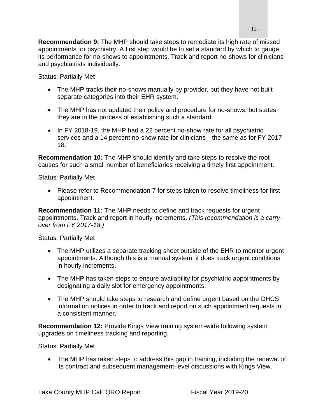**Recommendation 9:** The MHP should take steps to remediate its high rate of missed appointments for psychiatry. A first step would be to set a standard by which to gauge its performance for no-shows to appointments. Track and report no-shows for clinicians and psychiatrists individually.

Status: Partially Met

- The MHP tracks their no-shows manually by provider, but they have not built separate categories into their EHR system.
- The MHP has not updated their policy and procedure for no-shows, but states they are in the process of establishing such a standard.
- In FY 2018-19, the MHP had a 22 percent no-show rate for all psychiatric services and a 14 percent no-show rate for clinicians—the same as for FY 2017- 18.

**Recommendation 10:** The MHP should identify and take steps to resolve the root causes for such a small number of beneficiaries receiving a timely first appointment.

Status: Partially Met

• Please refer to Recommendation 7 for steps taken to resolve timeliness for first appointment.

**Recommendation 11:** The MHP needs to define and track requests for urgent appointments. Track and report in hourly increments. *(This recommendation is a carryover from FY 2017-18.)*

Status: Partially Met

- The MHP utilizes a separate tracking sheet outside of the EHR to monitor urgent appointments. Although this is a manual system, it does track urgent conditions in hourly increments.
- The MHP has taken steps to ensure availability for psychiatric appointments by designating a daily slot for emergency appointments.
- The MHP should take steps to research and define urgent based on the DHCS information notices in order to track and report on such appointment requests in a consistent manner.

**Recommendation 12:** Provide Kings View training system-wide following system upgrades on timeliness tracking and reporting.

Status: Partially Met

• The MHP has taken steps to address this gap in training, including the renewal of its contract and subsequent management-level discussions with Kings View.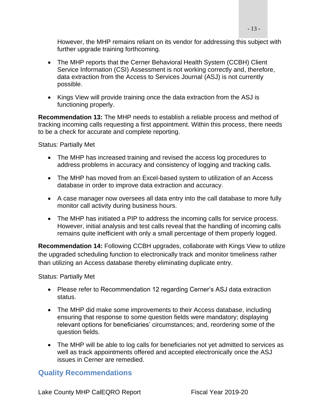However, the MHP remains reliant on its vendor for addressing this subject with further upgrade training forthcoming.

- The MHP reports that the Cerner Behavioral Health System (CCBH) Client Service Information (CSI) Assessment is not working correctly and, therefore, data extraction from the Access to Services Journal (ASJ) is not currently possible.
- Kings View will provide training once the data extraction from the ASJ is functioning properly.

**Recommendation 13:** The MHP needs to establish a reliable process and method of tracking incoming calls requesting a first appointment. Within this process, there needs to be a check for accurate and complete reporting.

Status: Partially Met

- The MHP has increased training and revised the access log procedures to address problems in accuracy and consistency of logging and tracking calls.
- The MHP has moved from an Excel-based system to utilization of an Access database in order to improve data extraction and accuracy.
- A case manager now oversees all data entry into the call database to more fully monitor call activity during business hours.
- The MHP has initiated a PIP to address the incoming calls for service process. However, initial analysis and test calls reveal that the handling of incoming calls remains quite inefficient with only a small percentage of them properly logged.

**Recommendation 14:** Following CCBH upgrades, collaborate with Kings View to utilize the upgraded scheduling function to electronically track and monitor timeliness rather than utilizing an Access database thereby eliminating duplicate entry.

Status: Partially Met

- Please refer to Recommendation 12 regarding Cerner's ASJ data extraction status.
- The MHP did make some improvements to their Access database, including ensuring that response to some question fields were mandatory; displaying relevant options for beneficiaries' circumstances; and, reordering some of the question fields.
- The MHP will be able to log calls for beneficiaries not yet admitted to services as well as track appointments offered and accepted electronically once the ASJ issues in Cerner are remedied.

#### **Quality Recommendations**

Lake County MHP CalEQRO Report Fiscal Year 2019-20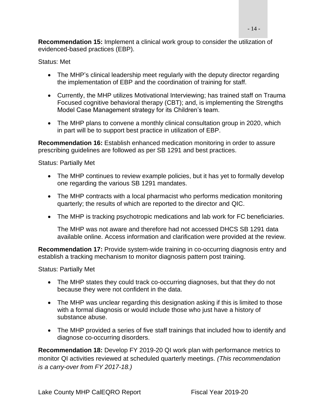**Recommendation 15:** Implement a clinical work group to consider the utilization of evidenced-based practices (EBP).

#### Status: Met

- The MHP's clinical leadership meet regularly with the deputy director regarding the implementation of EBP and the coordination of training for staff.
- Currently, the MHP utilizes Motivational Interviewing; has trained staff on Trauma Focused cognitive behavioral therapy (CBT); and, is implementing the Strengths Model Case Management strategy for its Children's team.
- The MHP plans to convene a monthly clinical consultation group in 2020, which in part will be to support best practice in utilization of EBP.

**Recommendation 16:** Establish enhanced medication monitoring in order to assure prescribing guidelines are followed as per SB 1291 and best practices.

Status: Partially Met

- The MHP continues to review example policies, but it has yet to formally develop one regarding the various SB 1291 mandates.
- The MHP contracts with a local pharmacist who performs medication monitoring quarterly; the results of which are reported to the director and QIC.
- The MHP is tracking psychotropic medications and lab work for FC beneficiaries.

The MHP was not aware and therefore had not accessed DHCS SB 1291 data available online. Access information and clarification were provided at the review.

**Recommendation 17:** Provide system-wide training in co-occurring diagnosis entry and establish a tracking mechanism to monitor diagnosis pattern post training.

Status: Partially Met

- The MHP states they could track co-occurring diagnoses, but that they do not because they were not confident in the data.
- The MHP was unclear regarding this designation asking if this is limited to those with a formal diagnosis or would include those who just have a history of substance abuse.
- The MHP provided a series of five staff trainings that included how to identify and diagnose co-occurring disorders.

**Recommendation 18:** Develop FY 2019-20 QI work plan with performance metrics to monitor QI activities reviewed at scheduled quarterly meetings. *(This recommendation is a carry-over from FY 2017-18.)*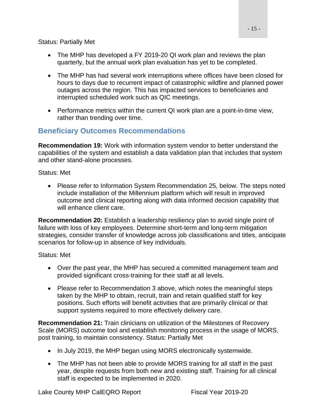Status: Partially Met

- The MHP has developed a FY 2019-20 QI work plan and reviews the plan quarterly, but the annual work plan evaluation has yet to be completed.
- The MHP has had several work interruptions where offices have been closed for hours to days due to recurrent impact of catastrophic wildfire and planned power outages across the region. This has impacted services to beneficiaries and interrupted scheduled work such as QIC meetings.
- Performance metrics within the current QI work plan are a point-in-time view, rather than trending over time.

### **Beneficiary Outcomes Recommendations**

**Recommendation 19:** Work with information system vendor to better understand the capabilities of the system and establish a data validation plan that includes that system and other stand-alone processes.

Status: Met

• Please refer to Information System Recommendation 25, below. The steps noted include installation of the Millennium platform which will result in improved outcome and clinical reporting along with data informed decision capability that will enhance client care.

**Recommendation 20:** Establish a leadership resiliency plan to avoid single point of failure with loss of key employees. Determine short-term and long-term mitigation strategies, consider transfer of knowledge across job classifications and titles, anticipate scenarios for follow-up in absence of key individuals.

Status: Met

- Over the past year, the MHP has secured a committed management team and provided significant cross-training for their staff at all levels.
- Please refer to Recommendation 3 above, which notes the meaningful steps taken by the MHP to obtain, recruit, train and retain qualified staff for key positions. Such efforts will benefit activities that are primarily clinical or that support systems required to more effectively delivery care.

**Recommendation 21:** Train clinicians on utilization of the Milestones of Recovery Scale (MORS) outcome tool and establish monitoring process in the usage of MORS, post training, to maintain consistency. Status: Partially Met

- In July 2019, the MHP began using MORS electronically systemwide.
- The MHP has not been able to provide MORS training for all staff in the past year, despite requests from both new and existing staff. Training for all clinical staff is expected to be implemented in 2020.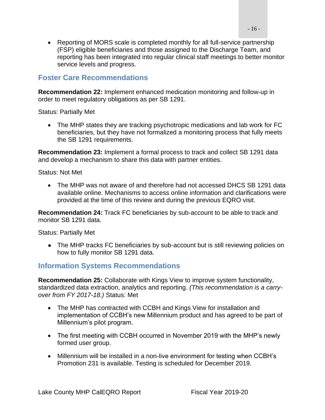• Reporting of MORS scale is completed monthly for all full-service partnership (FSP) eligible beneficiaries and those assigned to the Discharge Team, and reporting has been integrated into regular clinical staff meetings to better monitor service levels and progress.

#### **Foster Care Recommendations**

**Recommendation 22:** Implement enhanced medication monitoring and follow-up in order to meet regulatory obligations as per SB 1291.

Status: Partially Met

• The MHP states they are tracking psychotropic medications and lab work for FC beneficiaries, but they have not formalized a monitoring process that fully meets the SB 1291 requirements.

**Recommendation 23:** Implement a formal process to track and collect SB 1291 data and develop a mechanism to share this data with partner entities.

Status: Not Met

• The MHP was not aware of and therefore had not accessed DHCS SB 1291 data available online. Mechanisms to access online information and clarifications were provided at the time of this review and during the previous EQRO visit.

**Recommendation 24:** Track FC beneficiaries by sub-account to be able to track and monitor SB 1291 data.

Status: Partially Met

• The MHP tracks FC beneficiaries by sub-account but is still reviewing policies on how to fully monitor SB 1291 data.

#### **Information Systems Recommendations**

**Recommendation 25:** Collaborate with Kings View to improve system functionality, standardized data extraction, analytics and reporting. *(This recommendation is a carryover from FY 2017-18.)* Status: Met

- The MHP has contracted with CCBH and Kings View for installation and implementation of CCBH's new Millennium product and has agreed to be part of Millennium's pilot program.
- The first meeting with CCBH occurred in November 2019 with the MHP's newly formed user group.
- Millennium will be installed in a non-live environment for testing when CCBH's Promotion 231 is available. Testing is scheduled for December 2019.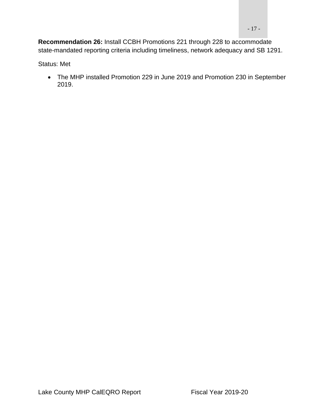**Recommendation 26:** Install CCBH Promotions 221 through 228 to accommodate state-mandated reporting criteria including timeliness, network adequacy and SB 1291.

Status: Met

• The MHP installed Promotion 229 in June 2019 and Promotion 230 in September 2019.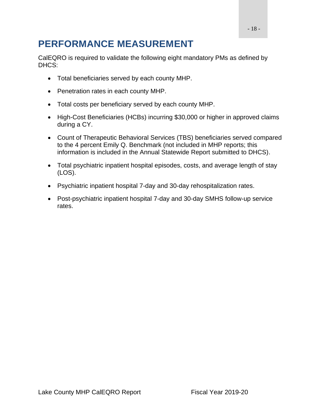# <span id="page-17-0"></span>**PERFORMANCE MEASUREMENT**

CalEQRO is required to validate the following eight mandatory PMs as defined by DHCS:

- Total beneficiaries served by each county MHP.
- Penetration rates in each county MHP.
- Total costs per beneficiary served by each county MHP.
- High-Cost Beneficiaries (HCBs) incurring \$30,000 or higher in approved claims during a CY.
- Count of Therapeutic Behavioral Services (TBS) beneficiaries served compared to the 4 percent Emily Q. Benchmark (not included in MHP reports; this information is included in the Annual Statewide Report submitted to DHCS).
- Total psychiatric inpatient hospital episodes, costs, and average length of stay (LOS).
- Psychiatric inpatient hospital 7-day and 30-day rehospitalization rates.
- Post-psychiatric inpatient hospital 7-day and 30-day SMHS follow-up service rates.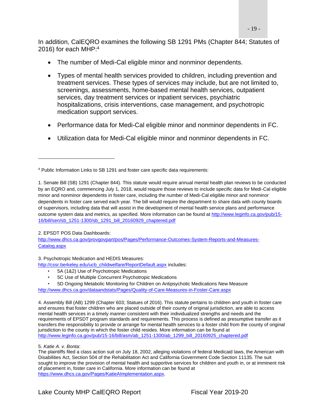- 19 -

In addition, CalEQRO examines the following SB 1291 PMs (Chapter 844; Statutes of 2016) for each MHP:<sup>4</sup>

- The number of Medi-Cal eligible minor and nonminor dependents.
- Types of mental health services provided to children, including prevention and treatment services. These types of services may include, but are not limited to, screenings, assessments, home-based mental health services, outpatient services, day treatment services or inpatient services, psychiatric hospitalizations, crisis interventions, case management, and psychotropic medication support services.
- Performance data for Medi-Cal eligible minor and nonminor dependents in FC.
- Utilization data for Medi-Cal eligible minor and nonminor dependents in FC.

2. EPSDT POS Data Dashboards:

[http://www.dhcs.ca.gov/provgovpart/pos/Pages/Performance-Outcomes-System-Reports-and-Measures-](http://www.dhcs.ca.gov/provgovpart/pos/Pages/Performance-Outcomes-System-Reports-and-Measures-Catalog.aspx)[Catalog.aspx](http://www.dhcs.ca.gov/provgovpart/pos/Pages/Performance-Outcomes-System-Reports-and-Measures-Catalog.aspx)

3. Psychotropic Medication and HEDIS Measures:

[http://cssr.berkeley.edu/ucb\\_childwelfare/ReportDefault.aspx](http://cssr.berkeley.edu/ucb_childwelfare/ReportDefault.aspx) includes:

- 5A (1&2) Use of Psychotropic Medications
- 5C Use of Multiple Concurrent Psychotropic Medications
- 5D Ongoing Metabolic Monitoring for Children on Antipsychotic Medications New Measure

<http://www.dhcs.ca.gov/dataandstats/Pages/Quality-of-Care-Measures-in-Foster-Care.aspx>

4. Assembly Bill (AB) 1299 (Chapter 603; Statues of 2016). This statute pertains to children and youth in foster care and ensures that foster children who are placed outside of their county of original jurisdiction, are able to access mental health services in a timely manner consistent with their individualized strengths and needs and the requirements of EPSDT program standards and requirements. This process is defined as presumptive transfer as it transfers the responsibility to provide or arrange for mental health services to a foster child from the county of original jurisdiction to the county in which the foster child resides. More information can be found at [http://www.leginfo.ca.gov/pub/15-16/bill/asm/ab\\_1251-1300/ab\\_1299\\_bill\\_20160925\\_chaptered.pdf](http://www.leginfo.ca.gov/pub/15-16/bill/asm/ab_1251-1300/ab_1299_bill_20160925_chaptered.pdf)

The plaintiffs filed a class action suit on July 18, 2002, alleging violations of federal Medicaid laws, the American with Disabilities Act, Section 504 of the Rehabilitation Act and California Government Code Section 11135. The suit sought to improve the provision of mental health and supportive services for children and youth in, or at imminent risk of placement in, foster care in California. More information can be found at [https://www.dhcs.ca.gov/Pages/KatieAImplementation.aspx.](https://www.dhcs.ca.gov/Pages/KatieAImplementation.aspx)

<sup>4</sup> Public Information Links to SB 1291 and foster care specific data requirements:

<sup>1.</sup> Senate Bill (SB) 1291 (Chapter 844). This statute would require annual mental health plan reviews to be conducted by an EQRO and, commencing July 1, 2018, would require those reviews to include specific data for Medi-Cal eligible minor and nonminor dependents in foster care, including the number of Medi-Cal eligible minor and nonminor dependents in foster care served each year. The bill would require the department to share data with county boards of supervisors, including data that will assist in the development of mental health service plans and performance outcome system data and metrics, as specified. More information can be found a[t http://www.leginfo.ca.gov/pub/15-](http://www.leginfo.ca.gov/pub/15-16/bill/sen/sb_1251-1300/sb_1291_bill_20160929_chaptered.pdf) [16/bill/sen/sb\\_1251-1300/sb\\_1291\\_bill\\_20160929\\_chaptered.pdf](http://www.leginfo.ca.gov/pub/15-16/bill/sen/sb_1251-1300/sb_1291_bill_20160929_chaptered.pdf)

<sup>5.</sup> *Katie A. v. Bonta*: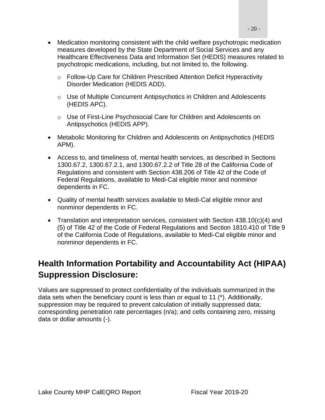- Medication monitoring consistent with the child welfare psychotropic medication measures developed by the State Department of Social Services and any Healthcare Effectiveness Data and Information Set (HEDIS) measures related to psychotropic medications, including, but not limited to, the following.
	- o Follow-Up Care for Children Prescribed Attention Deficit Hyperactivity Disorder Medication (HEDIS ADD).
	- $\circ$  Use of Multiple Concurrent Antipsychotics in Children and Adolescents (HEDIS APC).
	- o Use of First-Line Psychosocial Care for Children and Adolescents on Antipsychotics (HEDIS APP).
- Metabolic Monitoring for Children and Adolescents on Antipsychotics (HEDIS APM).
- Access to, and timeliness of, mental health services, as described in Sections 1300.67.2, 1300.67.2.1, and 1300.67.2.2 of Title 28 of the California Code of Regulations and consistent with Section 438.206 of Title 42 of the Code of Federal Regulations, available to Medi-Cal eligible minor and nonminor dependents in FC.
- Quality of mental health services available to Medi-Cal eligible minor and nonminor dependents in FC.
- Translation and interpretation services, consistent with Section 438.10(c)(4) and (5) of Title 42 of the Code of Federal Regulations and Section 1810.410 of Title 9 of the California Code of Regulations, available to Medi-Cal eligible minor and nonminor dependents in FC.

## <span id="page-19-0"></span>**Health Information Portability and Accountability Act (HIPAA) Suppression Disclosure:**

Values are suppressed to protect confidentiality of the individuals summarized in the data sets when the beneficiary count is less than or equal to 11 (\*). Additionally, suppression may be required to prevent calculation of initially suppressed data; corresponding penetration rate percentages (n/a); and cells containing zero, missing data or dollar amounts (-).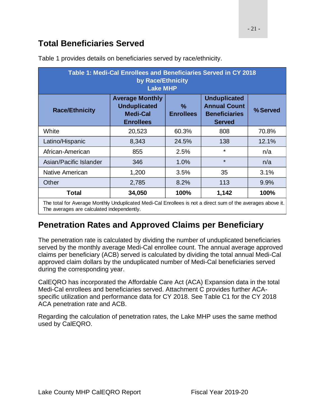### <span id="page-20-0"></span>**Total Beneficiaries Served**

The averages are calculated independently.

| Table 1: Medi-Cal Enrollees and Beneficiaries Served in CY 2018<br>by Race/Ethnicity<br><b>Lake MHP</b>     |                                                                                      |                                   |                                                                                     |          |  |  |
|-------------------------------------------------------------------------------------------------------------|--------------------------------------------------------------------------------------|-----------------------------------|-------------------------------------------------------------------------------------|----------|--|--|
| <b>Race/Ethnicity</b>                                                                                       | <b>Average Monthly</b><br><b>Unduplicated</b><br><b>Medi-Cal</b><br><b>Enrollees</b> | $\frac{9}{6}$<br><b>Enrollees</b> | <b>Unduplicated</b><br><b>Annual Count</b><br><b>Beneficiaries</b><br><b>Served</b> | % Served |  |  |
| White                                                                                                       | 20,523                                                                               | 60.3%                             | 808                                                                                 | 70.8%    |  |  |
| Latino/Hispanic                                                                                             | 8,343                                                                                | 24.5%                             | 138                                                                                 | 12.1%    |  |  |
| African-American                                                                                            | 855                                                                                  | 2.5%                              | $\star$                                                                             | n/a      |  |  |
| Asian/Pacific Islander                                                                                      | 346                                                                                  | 1.0%                              | $\star$                                                                             | n/a      |  |  |
| Native American                                                                                             | 1,200                                                                                | 3.5%                              | 35                                                                                  | 3.1%     |  |  |
| Other                                                                                                       | 2,785                                                                                | 8.2%                              | 113                                                                                 | 9.9%     |  |  |
| <b>Total</b>                                                                                                | 34,050                                                                               | 100%                              | 1,142                                                                               | 100%     |  |  |
| The total for Average Monthly Unduplicated Medi-Cal Enrollees is not a direct sum of the averages above it. |                                                                                      |                                   |                                                                                     |          |  |  |

Table 1 provides details on beneficiaries served by race/ethnicity.

# <span id="page-20-1"></span>**Penetration Rates and Approved Claims per Beneficiary**

The penetration rate is calculated by dividing the number of unduplicated beneficiaries served by the monthly average Medi-Cal enrollee count. The annual average approved claims per beneficiary (ACB) served is calculated by dividing the total annual Medi-Cal approved claim dollars by the unduplicated number of Medi-Cal beneficiaries served during the corresponding year.

CalEQRO has incorporated the Affordable Care Act (ACA) Expansion data in the total Medi-Cal enrollees and beneficiaries served. Attachment C provides further ACAspecific utilization and performance data for CY 2018. See Table C1 for the CY 2018 ACA penetration rate and ACB.

Regarding the calculation of penetration rates, the Lake MHP uses the same method used by CalEQRO.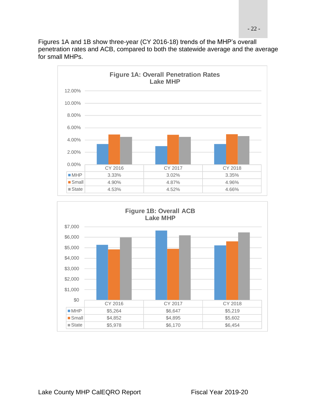Figures 1A and 1B show three-year (CY 2016-18) trends of the MHP's overall penetration rates and ACB, compared to both the statewide average and the average for small MHPs.



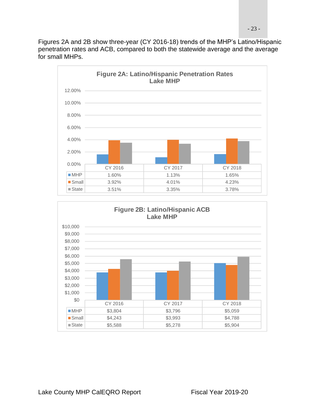Figures 2A and 2B show three-year (CY 2016-18) trends of the MHP's Latino/Hispanic penetration rates and ACB, compared to both the statewide average and the average for small MHPs.



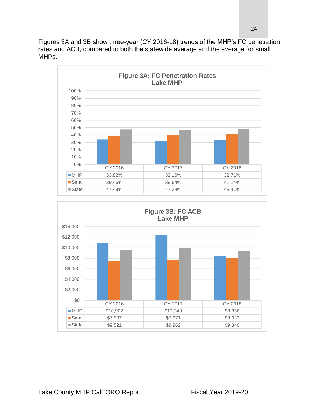Figures 3A and 3B show three-year (CY 2016-18) trends of the MHP's FC penetration rates and ACB, compared to both the statewide average and the average for small MHPs.



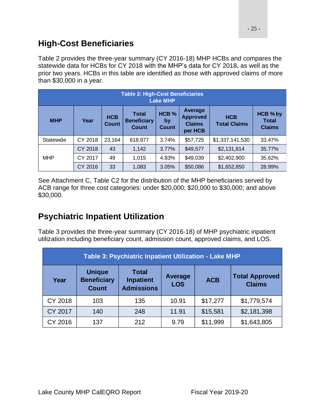### <span id="page-24-0"></span>**High-Cost Beneficiaries**

Table 2 provides the three-year summary (CY 2016-18) MHP HCBs and compares the statewide data for HCBs for CY 2018 with the MHP's data for CY 2018, as well as the prior two years. HCBs in this table are identified as those with approved claims of more than \$30,000 in a year.

| <b>Table 2: High-Cost Beneficiaries</b><br><b>Lake MHP</b> |         |                            |                                                    |                                        |                                                        |                                   |                                           |
|------------------------------------------------------------|---------|----------------------------|----------------------------------------------------|----------------------------------------|--------------------------------------------------------|-----------------------------------|-------------------------------------------|
| <b>MHP</b>                                                 | Year    | <b>HCB</b><br><b>Count</b> | <b>Total</b><br><b>Beneficiary</b><br><b>Count</b> | HCB <sub>%</sub><br>by<br><b>Count</b> | Average<br><b>Approved</b><br><b>Claims</b><br>per HCB | <b>HCB</b><br><b>Total Claims</b> | HCB % by<br><b>Total</b><br><b>Claims</b> |
| Statewide                                                  | CY 2018 | 23,164                     | 618,977                                            | 3.74%                                  | \$57,725                                               | \$1,337,141,530                   | 33.47%                                    |
|                                                            | CY 2018 | 43                         | 1,142                                              | 3.77%                                  | \$49,577                                               | \$2,131,814                       | 35.77%                                    |
| <b>MHP</b>                                                 | CY 2017 | 49                         | 1,015                                              | 4.83%                                  | \$49,039                                               | \$2,402,900                       | 35.62%                                    |
|                                                            | CY 2016 | 33                         | 1,083                                              | 3.05%                                  | \$50,086                                               | \$1,652,850                       | 28.99%                                    |

See Attachment C, Table C2 for the distribution of the MHP beneficiaries served by ACB range for three cost categories: under \$20,000; \$20,000 to \$30,000; and above \$30,000.

## <span id="page-24-1"></span>**Psychiatric Inpatient Utilization**

Table 3 provides the three-year summary (CY 2016-18) of MHP psychiatric inpatient utilization including beneficiary count, admission count, approved claims, and LOS.

| Table 3: Psychiatric Inpatient Utilization - Lake MHP |                                                     |                                                       |                              |            |                                        |  |
|-------------------------------------------------------|-----------------------------------------------------|-------------------------------------------------------|------------------------------|------------|----------------------------------------|--|
| Year                                                  | <b>Unique</b><br><b>Beneficiary</b><br><b>Count</b> | <b>Total</b><br><b>Inpatient</b><br><b>Admissions</b> | <b>Average</b><br><b>LOS</b> | <b>ACB</b> | <b>Total Approved</b><br><b>Claims</b> |  |
| CY 2018                                               | 103                                                 | 135                                                   | 10.91                        | \$17,277   | \$1,779,574                            |  |
| <b>CY 2017</b>                                        | 140                                                 | 248                                                   | 11.91                        | \$15,581   | \$2,181,398                            |  |
| CY 2016                                               | 137                                                 | 212                                                   | 9.79                         | \$11,999   | \$1,643,805                            |  |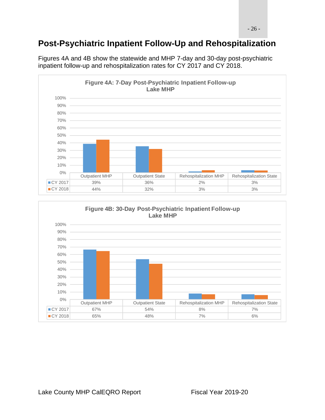# <span id="page-25-0"></span>**Post-Psychiatric Inpatient Follow-Up and Rehospitalization**



Figures 4A and 4B show the statewide and MHP 7-day and 30-day post-psychiatric inpatient follow-up and rehospitalization rates for CY 2017 and CY 2018.

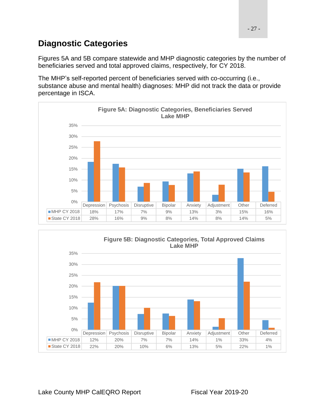### <span id="page-26-0"></span>**Diagnostic Categories**

Figures 5A and 5B compare statewide and MHP diagnostic categories by the number of beneficiaries served and total approved claims, respectively, for CY 2018.

The MHP's self-reported percent of beneficiaries served with co-occurring (i.e., substance abuse and mental health) diagnoses: MHP did not track the data or provide percentage in ISCA.



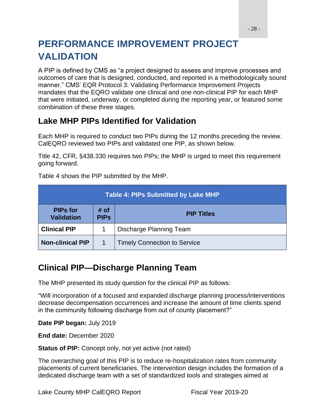# <span id="page-27-0"></span>**PERFORMANCE IMPROVEMENT PROJECT VALIDATION**

A PIP is defined by CMS as "a project designed to assess and improve processes and outcomes of care that is designed, conducted, and reported in a methodologically sound manner." CMS' EQR Protocol 3: Validating Performance Improvement Projects mandates that the EQRO validate one clinical and one non-clinical PIP for each MHP that were initiated, underway, or completed during the reporting year, or featured some combination of these three stages.

### <span id="page-27-1"></span>**Lake MHP PIPs Identified for Validation**

Each MHP is required to conduct two PIPs during the 12 months preceding the review. CalEQRO reviewed two PIPs and validated one PIP, as shown below.

Title 42, CFR, §438.330 requires two PIPs; the MHP is urged to meet this requirement going forward.

Table 4 shows the PIP submitted by the MHP.

| <b>Table 4: PIPs Submitted by Lake MHP</b>                                       |  |                                     |  |  |  |
|----------------------------------------------------------------------------------|--|-------------------------------------|--|--|--|
| # of<br><b>PIPs for</b><br><b>PIP Titles</b><br><b>Validation</b><br><b>PIPs</b> |  |                                     |  |  |  |
| <b>Clinical PIP</b>                                                              |  | Discharge Planning Team             |  |  |  |
| <b>Non-clinical PIP</b>                                                          |  | <b>Timely Connection to Service</b> |  |  |  |

### <span id="page-27-2"></span>**Clinical PIP—Discharge Planning Team**

The MHP presented its study question for the clinical PIP as follows:

"Will incorporation of a focused and expanded discharge planning process/interventions decrease decompensation occurrences and increase the amount of time clients spend in the community following discharge from out of county placement?"

**Date PIP began:** July 2019

**End date:** December 2020

**Status of PIP:** Concept only, not yet active (not rated)

The overarching goal of this PIP is to reduce re-hospitalization rates from community placements of current beneficiaries. The intervention design includes the formation of a dedicated discharge team with a set of standardized tools and strategies aimed at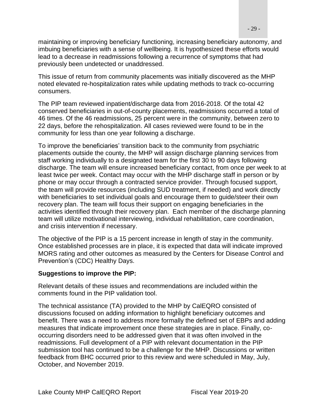maintaining or improving beneficiary functioning, increasing beneficiary autonomy, and imbuing beneficiaries with a sense of wellbeing. It is hypothesized these efforts would lead to a decrease in readmissions following a recurrence of symptoms that had previously been undetected or unaddressed.

This issue of return from community placements was initially discovered as the MHP noted elevated re-hospitalization rates while updating methods to track co-occurring consumers.

The PIP team reviewed inpatient/discharge data from 2016-2018. Of the total 42 conserved beneficiaries in out-of-county placements, readmissions occurred a total of 46 times. Of the 46 readmissions, 25 percent were in the community, between zero to 22 days, before the rehospitalization. All cases reviewed were found to be in the community for less than one year following a discharge.

To improve the beneficiaries' transition back to the community from psychiatric placements outside the county, the MHP will assign discharge planning services from staff working individually to a designated team for the first 30 to 90 days following discharge. The team will ensure increased beneficiary contact, from once per week to at least twice per week. Contact may occur with the MHP discharge staff in person or by phone or may occur through a contracted service provider. Through focused support, the team will provide resources (including SUD treatment, if needed) and work directly with beneficiaries to set individual goals and encourage them to guide/steer their own recovery plan. The team will focus their support on engaging beneficiaries in the activities identified through their recovery plan. Each member of the discharge planning team will utilize motivational interviewing, individual rehabilitation, care coordination, and crisis intervention if necessary.

The objective of the PIP is a 15 percent increase in length of stay in the community. Once established processes are in place, it is expected that data will indicate improved MORS rating and other outcomes as measured by the Centers for Disease Control and Prevention's (CDC) Healthy Days.

#### **Suggestions to improve the PIP:**

Relevant details of these issues and recommendations are included within the comments found in the PIP validation tool.

The technical assistance (TA) provided to the MHP by CalEQRO consisted of discussions focused on adding information to highlight beneficiary outcomes and benefit. There was a need to address more formally the defined set of EBPs and adding measures that indicate improvement once these strategies are in place. Finally, cooccurring disorders need to be addressed given that it was often involved in the readmissions. Full development of a PIP with relevant documentation in the PIP submission tool has continued to be a challenge for the MHP. Discussions or written feedback from BHC occurred prior to this review and were scheduled in May, July, October, and November 2019.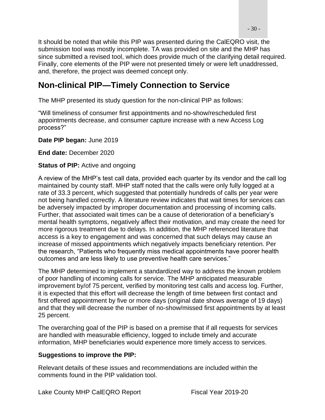It should be noted that while this PIP was presented during the CalEQRO visit, the submission tool was mostly incomplete. TA was provided on site and the MHP has since submitted a revised tool, which does provide much of the clarifying detail required. Finally, core elements of the PIP were not presented timely or were left unaddressed, and, therefore, the project was deemed concept only.

### <span id="page-29-0"></span>**Non-clinical PIP—Timely Connection to Service**

The MHP presented its study question for the non-clinical PIP as follows:

"Will timeliness of consumer first appointments and no-show/rescheduled first appointments decrease, and consumer capture increase with a new Access Log process?"

**Date PIP began:** June 2019

**End date:** December 2020

#### **Status of PIP:** Active and ongoing

A review of the MHP's test call data, provided each quarter by its vendor and the call log maintained by county staff. MHP staff noted that the calls were only fully logged at a rate of 33.3 percent, which suggested that potentially hundreds of calls per year were not being handled correctly. A literature review indicates that wait times for services can be adversely impacted by improper documentation and processing of incoming calls. Further, that associated wait times can be a cause of deterioration of a beneficiary's mental health symptoms, negatively affect their motivation, and may create the need for more rigorous treatment due to delays. In addition, the MHP referenced literature that access is a key to engagement and was concerned that such delays may cause an increase of missed appointments which negatively impacts beneficiary retention. Per the research, "Patients who frequently miss medical appointments have poorer health outcomes and are less likely to use preventive health care services."

The MHP determined to implement a standardized way to address the known problem of poor handling of incoming calls for service. The MHP anticipated measurable improvement by/of 75 percent, verified by monitoring test calls and access log. Further, it is expected that this effort will decrease the length of time between first contact and first offered appointment by five or more days (original date shows average of 19 days) and that they will decrease the number of no-show/missed first appointments by at least 25 percent.

The overarching goal of the PIP is based on a premise that if all requests for services are handled with measurable efficiency, logged to include timely and accurate information, MHP beneficiaries would experience more timely access to services.

#### **Suggestions to improve the PIP:**

Relevant details of these issues and recommendations are included within the comments found in the PIP validation tool.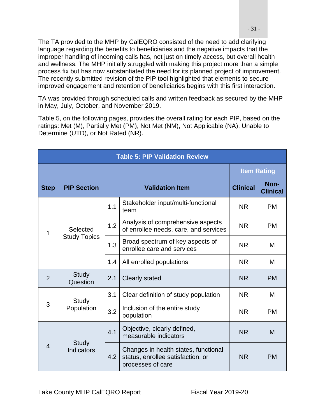The TA provided to the MHP by CalEQRO consisted of the need to add clarifying language regarding the benefits to beneficiaries and the negative impacts that the improper handling of incoming calls has, not just on timely access, but overall health and wellness. The MHP initially struggled with making this project more than a simple process fix but has now substantiated the need for its planned project of improvement. The recently submitted revision of the PIP tool highlighted that elements to secure improved engagement and retention of beneficiaries begins with this first interaction.

TA was provided through scheduled calls and written feedback as secured by the MHP in May, July, October, and November 2019.

Table 5, on the following pages, provides the overall rating for each PIP, based on the ratings: Met (M), Partially Met (PM), Not Met (NM), Not Applicable (NA), Unable to Determine (UTD), or Not Rated (NR).

| <b>Table 5: PIP Validation Review</b> |                            |                                             |                                                                                                |                 |                         |
|---------------------------------------|----------------------------|---------------------------------------------|------------------------------------------------------------------------------------------------|-----------------|-------------------------|
|                                       |                            | <b>Item Rating</b>                          |                                                                                                |                 |                         |
| <b>Step</b>                           | <b>PIP Section</b>         |                                             | <b>Validation Item</b>                                                                         | <b>Clinical</b> | Non-<br><b>Clinical</b> |
|                                       |                            | 1.1                                         | Stakeholder input/multi-functional<br>team                                                     | <b>NR</b>       | <b>PM</b>               |
| Selected<br>1<br><b>Study Topics</b>  |                            | 1.2                                         | Analysis of comprehensive aspects<br>of enrollee needs, care, and services                     | <b>NR</b>       | <b>PM</b>               |
|                                       |                            | 1.3                                         | Broad spectrum of key aspects of<br>enrollee care and services                                 | <b>NR</b>       | M                       |
|                                       |                            | 1.4                                         | All enrolled populations                                                                       | <b>NR</b>       | M                       |
| $\overline{2}$                        | <b>Study</b><br>Question   | 2.1                                         | <b>Clearly stated</b>                                                                          | <b>NR</b>       | <b>PM</b>               |
|                                       | Study                      | 3.1                                         | Clear definition of study population                                                           | <b>NR</b>       | M                       |
| 3<br>Population                       | 3.2                        | Inclusion of the entire study<br>population | <b>NR</b>                                                                                      | <b>PM</b>       |                         |
| $\overline{4}$                        |                            | 4.1                                         | Objective, clearly defined,<br>measurable indicators                                           | <b>NR</b>       | M                       |
|                                       | <b>Study</b><br>Indicators | 4.2                                         | Changes in health states, functional<br>status, enrollee satisfaction, or<br>processes of care | <b>NR</b>       | <b>PM</b>               |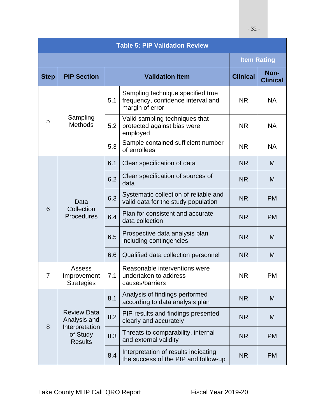| <b>Table 5: PIP Validation Review</b> |                                                          |     |                                                                                            |                    |                         |
|---------------------------------------|----------------------------------------------------------|-----|--------------------------------------------------------------------------------------------|--------------------|-------------------------|
|                                       |                                                          |     |                                                                                            | <b>Item Rating</b> |                         |
| <b>Step</b>                           | <b>PIP Section</b>                                       |     | <b>Validation Item</b>                                                                     |                    | Non-<br><b>Clinical</b> |
|                                       |                                                          | 5.1 | Sampling technique specified true<br>frequency, confidence interval and<br>margin of error | <b>NR</b>          | <b>NA</b>               |
| 5                                     | Sampling<br><b>Methods</b>                               | 5.2 | Valid sampling techniques that<br>protected against bias were<br>employed                  | <b>NR</b>          | <b>NA</b>               |
|                                       |                                                          | 5.3 | Sample contained sufficient number<br>of enrollees                                         | <b>NR</b>          | <b>NA</b>               |
|                                       |                                                          | 6.1 | Clear specification of data                                                                | <b>NR</b>          | M                       |
| 6                                     | Data<br>Collection<br>Procedures                         | 6.2 | Clear specification of sources of<br>data                                                  | <b>NR</b>          | M                       |
|                                       |                                                          | 6.3 | Systematic collection of reliable and<br>valid data for the study population               | <b>NR</b>          | <b>PM</b>               |
|                                       |                                                          | 6.4 | Plan for consistent and accurate<br>data collection                                        | <b>NR</b>          | <b>PM</b>               |
|                                       |                                                          | 6.5 | Prospective data analysis plan<br>including contingencies                                  | <b>NR</b>          | M                       |
|                                       |                                                          | 6.6 | Qualified data collection personnel                                                        | <b>NR</b>          | M                       |
| 7                                     | <b>Assess</b><br><b>Improvement</b><br><b>Strategies</b> | 7.1 | Reasonable interventions were<br>undertaken to address<br>causes/barriers                  | <b>NR</b>          | <b>PM</b>               |
|                                       |                                                          | 8.1 | Analysis of findings performed<br>according to data analysis plan                          | N <sub>R</sub>     | M                       |
|                                       | <b>Review Data</b><br>Analysis and                       | 8.2 | PIP results and findings presented<br>clearly and accurately                               | N <sub>R</sub>     | M                       |
| 8                                     | Interpretation<br>of Study<br><b>Results</b>             | 8.3 | Threats to comparability, internal<br>and external validity                                | <b>NR</b>          | <b>PM</b>               |
|                                       |                                                          | 8.4 | Interpretation of results indicating<br>the success of the PIP and follow-up               | NR.                | <b>PM</b>               |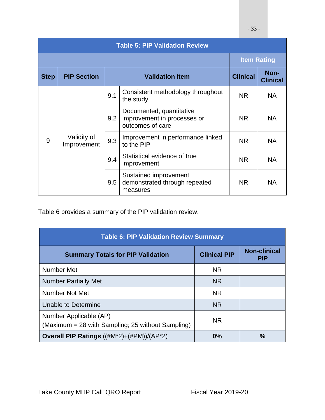|             | <b>Table 5: PIP Validation Review</b> |     |                                                                             |                 |                         |  |  |
|-------------|---------------------------------------|-----|-----------------------------------------------------------------------------|-----------------|-------------------------|--|--|
|             | <b>Item Rating</b>                    |     |                                                                             |                 |                         |  |  |
| <b>Step</b> | <b>PIP Section</b>                    |     | <b>Validation Item</b>                                                      | <b>Clinical</b> | Non-<br><b>Clinical</b> |  |  |
| 9           | Validity of<br>Improvement            | 9.1 | Consistent methodology throughout<br>the study                              | <b>NR</b>       | <b>NA</b>               |  |  |
|             |                                       | 9.2 | Documented, quantitative<br>improvement in processes or<br>outcomes of care | NR.             | <b>NA</b>               |  |  |
|             |                                       | 9.3 | Improvement in performance linked<br>to the PIP                             | <b>NR</b>       | <b>NA</b>               |  |  |
|             |                                       | 9.4 | Statistical evidence of true<br>improvement                                 | <b>NR</b>       | <b>NA</b>               |  |  |
|             |                                       | 9.5 | Sustained improvement<br>demonstrated through repeated<br>measures          | <b>NR</b>       | <b>NA</b>               |  |  |

Table 6 provides a summary of the PIP validation review.

| <b>Table 6: PIP Validation Review Summary</b>                               |                     |                                   |  |  |  |  |
|-----------------------------------------------------------------------------|---------------------|-----------------------------------|--|--|--|--|
| <b>Summary Totals for PIP Validation</b>                                    | <b>Clinical PIP</b> | <b>Non-clinical</b><br><b>PIP</b> |  |  |  |  |
| Number Met                                                                  | <b>NR</b>           |                                   |  |  |  |  |
| <b>Number Partially Met</b>                                                 | <b>NR</b>           |                                   |  |  |  |  |
| Number Not Met                                                              | <b>NR</b>           |                                   |  |  |  |  |
| Unable to Determine                                                         | <b>NR</b>           |                                   |  |  |  |  |
| Number Applicable (AP)<br>(Maximum = 28 with Sampling; 25 without Sampling) | <b>NR</b>           |                                   |  |  |  |  |
| <b>Overall PIP Ratings</b> $((\#M^*2) + (\#PM)) / (AP^*2)$                  | 0%                  | $\frac{0}{0}$                     |  |  |  |  |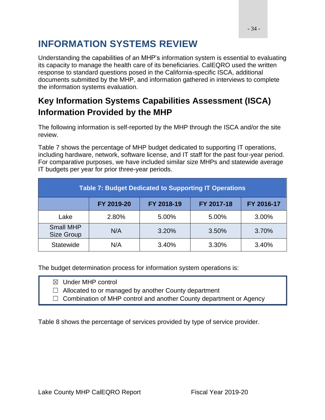# <span id="page-33-0"></span>**INFORMATION SYSTEMS REVIEW**

Understanding the capabilities of an MHP's information system is essential to evaluating its capacity to manage the health care of its beneficiaries. CalEQRO used the written response to standard questions posed in the California-specific ISCA, additional documents submitted by the MHP, and information gathered in interviews to complete the information systems evaluation.

## <span id="page-33-1"></span>**Key Information Systems Capabilities Assessment (ISCA) Information Provided by the MHP**

The following information is self-reported by the MHP through the ISCA and/or the site review.

Table 7 shows the percentage of MHP budget dedicated to supporting IT operations, including hardware, network, software license, and IT staff for the past four-year period. For comparative purposes, we have included similar size MHPs and statewide average IT budgets per year for prior three-year periods.

| <b>Table 7: Budget Dedicated to Supporting IT Operations</b> |            |            |            |            |  |  |  |  |
|--------------------------------------------------------------|------------|------------|------------|------------|--|--|--|--|
|                                                              | FY 2019-20 | FY 2018-19 | FY 2017-18 | FY 2016-17 |  |  |  |  |
| Lake                                                         | 2.80%      | 5.00%      | 5.00%      | 3.00%      |  |  |  |  |
| <b>Small MHP</b><br>Size Group                               | N/A        | 3.20%      | 3.50%      | 3.70%      |  |  |  |  |
| <b>Statewide</b>                                             | N/A        | 3.40%      | 3.30%      | 3.40%      |  |  |  |  |

The budget determination process for information system operations is:

☒ Under MHP control

 $\Box$  Allocated to or managed by another County department

 $\Box$  Combination of MHP control and another County department or Agency

Table 8 shows the percentage of services provided by type of service provider.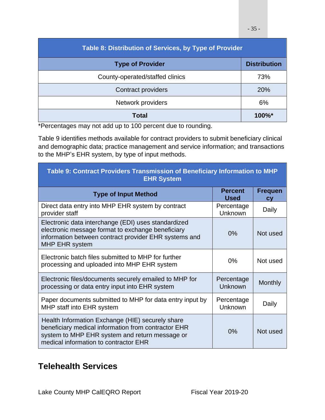| Table 8: Distribution of Services, by Type of Provider |                     |  |  |  |  |
|--------------------------------------------------------|---------------------|--|--|--|--|
| <b>Type of Provider</b>                                | <b>Distribution</b> |  |  |  |  |
| County-operated/staffed clinics                        | 73%                 |  |  |  |  |
| <b>Contract providers</b>                              | 20%                 |  |  |  |  |
| Network providers                                      | 6%                  |  |  |  |  |
| Total                                                  | $100\%$ *           |  |  |  |  |

\*Percentages may not add up to 100 percent due to rounding.

Table 9 identifies methods available for contract providers to submit beneficiary clinical and demographic data; practice management and service information; and transactions to the MHP's EHR system, by type of input methods.

| Table 9: Contract Providers Transmission of Beneficiary Information to MHP<br><b>EHR System</b>                                                                                                    |                               |                      |  |  |  |
|----------------------------------------------------------------------------------------------------------------------------------------------------------------------------------------------------|-------------------------------|----------------------|--|--|--|
| <b>Type of Input Method</b>                                                                                                                                                                        | <b>Percent</b><br><b>Used</b> | <b>Frequen</b><br>CV |  |  |  |
| Direct data entry into MHP EHR system by contract<br>provider staff                                                                                                                                | Percentage<br><b>Unknown</b>  | Daily                |  |  |  |
| Electronic data interchange (EDI) uses standardized<br>electronic message format to exchange beneficiary<br>information between contract provider EHR systems and<br><b>MHP EHR system</b>         | $0\%$                         | Not used             |  |  |  |
| Electronic batch files submitted to MHP for further<br>processing and uploaded into MHP EHR system                                                                                                 | $0\%$                         | Not used             |  |  |  |
| Electronic files/documents securely emailed to MHP for<br>processing or data entry input into EHR system                                                                                           | Percentage<br>Unknown         | Monthly              |  |  |  |
| Paper documents submitted to MHP for data entry input by<br>MHP staff into EHR system                                                                                                              | Percentage<br>Unknown         | Daily                |  |  |  |
| Health Information Exchange (HIE) securely share<br>beneficiary medical information from contractor EHR<br>system to MHP EHR system and return message or<br>medical information to contractor EHR | $0\%$                         | Not used             |  |  |  |

### <span id="page-34-0"></span>**Telehealth Services**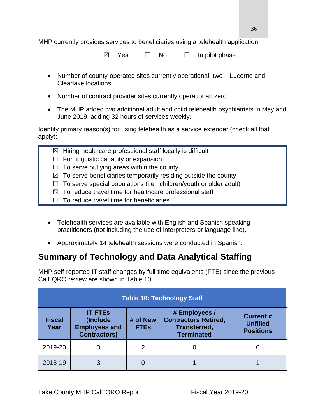MHP currently provides services to beneficiaries using a telehealth application:

 $\boxtimes$  Yes  $\Box$  No  $\Box$  In pilot phase

- Number of county-operated sites currently operational: two Lucerne and Clearlake locations.
- Number of contract provider sites currently operational: zero
- The MHP added two additional adult and child telehealth psychiatrists in May and June 2019, adding 32 hours of services weekly.

Identify primary reason(s) for using telehealth as a service extender (check all that apply):

- $\boxtimes$  Hiring healthcare professional staff locally is difficult
- $\Box$  For linguistic capacity or expansion
- $\Box$  To serve outlying areas within the county
- $\boxtimes$  To serve beneficiaries temporarily residing outside the county
- $\Box$  To serve special populations (i.e., children/youth or older adult)
- $\boxtimes$  To reduce travel time for healthcare professional staff
- $\Box$  To reduce travel time for beneficiaries
- Telehealth services are available with English and Spanish speaking practitioners (not including the use of interpreters or language line).
- Approximately 14 telehealth sessions were conducted in Spanish.

### <span id="page-35-0"></span>**Summary of Technology and Data Analytical Staffing**

MHP self-reported IT staff changes by full-time equivalents (FTE) since the previous CalEQRO review are shown in Table 10.

| <b>Table 10: Technology Staff</b> |                                                                            |                         |                                                                                          |                                                         |  |
|-----------------------------------|----------------------------------------------------------------------------|-------------------------|------------------------------------------------------------------------------------------|---------------------------------------------------------|--|
| <b>Fiscal</b><br>Year             | <b>IT FTEs</b><br>(Include)<br><b>Employees and</b><br><b>Contractors)</b> | # of New<br><b>FTEs</b> | # Employees /<br><b>Contractors Retired,</b><br><b>Transferred,</b><br><b>Terminated</b> | <b>Current #</b><br><b>Unfilled</b><br><b>Positions</b> |  |
| 2019-20                           |                                                                            | 2                       |                                                                                          |                                                         |  |
| 2018-19                           |                                                                            |                         |                                                                                          |                                                         |  |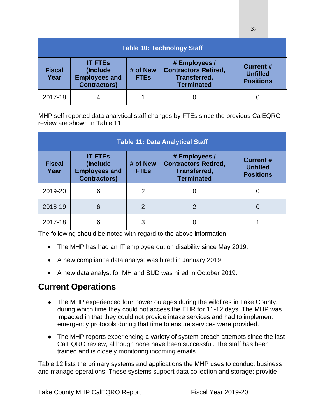| <b>Table 10: Technology Staff</b> |                                                                           |                         |                                                                                          |                                                         |  |
|-----------------------------------|---------------------------------------------------------------------------|-------------------------|------------------------------------------------------------------------------------------|---------------------------------------------------------|--|
| <b>Fiscal</b><br>Year             | <b>IT FTES</b><br>(Include<br><b>Employees and</b><br><b>Contractors)</b> | # of New<br><b>FTEs</b> | # Employees /<br><b>Contractors Retired,</b><br><b>Transferred,</b><br><b>Terminated</b> | <b>Current #</b><br><b>Unfilled</b><br><b>Positions</b> |  |
| 2017-18                           |                                                                           |                         |                                                                                          |                                                         |  |

MHP self-reported data analytical staff changes by FTEs since the previous CalEQRO review are shown in Table 11.

| <b>Table 11: Data Analytical Staff</b> |                                                                            |                         |                                                                                          |                                                         |  |  |
|----------------------------------------|----------------------------------------------------------------------------|-------------------------|------------------------------------------------------------------------------------------|---------------------------------------------------------|--|--|
| <b>Fiscal</b><br>Year                  | <b>IT FTEs</b><br>(Include)<br><b>Employees and</b><br><b>Contractors)</b> | # of New<br><b>FTEs</b> | # Employees /<br><b>Contractors Retired,</b><br><b>Transferred,</b><br><b>Terminated</b> | <b>Current #</b><br><b>Unfilled</b><br><b>Positions</b> |  |  |
| 2019-20                                | 6                                                                          | $\overline{2}$          |                                                                                          |                                                         |  |  |
| 2018-19                                | 6                                                                          | $\overline{2}$          | 2                                                                                        |                                                         |  |  |
| 2017-18                                | 6                                                                          | 3                       |                                                                                          |                                                         |  |  |

The following should be noted with regard to the above information:

- The MHP has had an IT employee out on disability since May 2019.
- A new compliance data analyst was hired in January 2019.
- A new data analyst for MH and SUD was hired in October 2019.

## **Current Operations**

- The MHP experienced four power outages during the wildfires in Lake County, during which time they could not access the EHR for 11-12 days. The MHP was impacted in that they could not provide intake services and had to implement emergency protocols during that time to ensure services were provided.
- The MHP reports experiencing a variety of system breach attempts since the last CalEQRO review, although none have been successful. The staff has been trained and is closely monitoring incoming emails.

Table 12 lists the primary systems and applications the MHP uses to conduct business and manage operations. These systems support data collection and storage; provide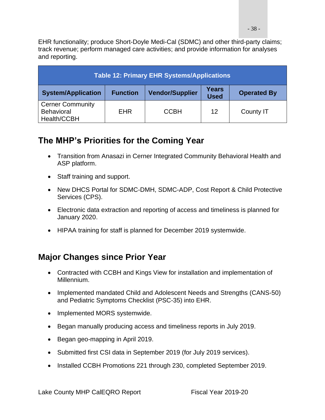EHR functionality; produce Short-Doyle Medi-Cal (SDMC) and other third-party claims; track revenue; perform managed care activities; and provide information for analyses and reporting.

| <b>Table 12: Primary EHR Systems/Applications</b>           |                 |                        |                      |                    |  |
|-------------------------------------------------------------|-----------------|------------------------|----------------------|--------------------|--|
| <b>System/Application</b>                                   | <b>Function</b> | <b>Vendor/Supplier</b> | Years<br><b>Used</b> | <b>Operated By</b> |  |
| <b>Cerner Community</b><br><b>Behavioral</b><br>Health/CCBH | <b>EHR</b>      | <b>CCBH</b>            | 12                   | County IT          |  |

## **The MHP's Priorities for the Coming Year**

- Transition from Anasazi in Cerner Integrated Community Behavioral Health and ASP platform.
- Staff training and support.
- New DHCS Portal for SDMC-DMH, SDMC-ADP, Cost Report & Child Protective Services (CPS).
- Electronic data extraction and reporting of access and timeliness is planned for January 2020.
- HIPAA training for staff is planned for December 2019 systemwide.

## **Major Changes since Prior Year**

- Contracted with CCBH and Kings View for installation and implementation of Millennium.
- Implemented mandated Child and Adolescent Needs and Strengths (CANS-50) and Pediatric Symptoms Checklist (PSC-35) into EHR.
- Implemented MORS systemwide.
- Began manually producing access and timeliness reports in July 2019.
- Began geo-mapping in April 2019.
- Submitted first CSI data in September 2019 (for July 2019 services).
- Installed CCBH Promotions 221 through 230, completed September 2019.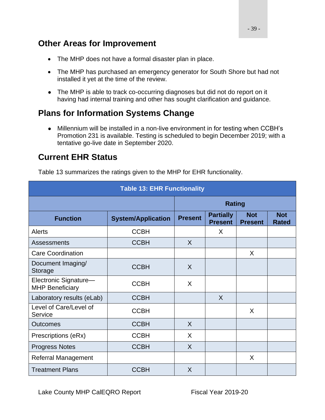### **Other Areas for Improvement**

- The MHP does not have a formal disaster plan in place.
- The MHP has purchased an emergency generator for South Shore but had not installed it yet at the time of the review.
- The MHP is able to track co-occurring diagnoses but did not do report on it having had internal training and other has sought clarification and guidance.

## **Plans for Information Systems Change**

● Millennium will be installed in a non-live environment in for testing when CCBH's Promotion 231 is available. Testing is scheduled to begin December 2019; with a tentative go-live date in September 2020.

## **Current EHR Status**

Table 13 summarizes the ratings given to the MHP for EHR functionality.

| <b>Table 13: EHR Functionality</b>              |                           |                |                                    |                              |                            |  |  |
|-------------------------------------------------|---------------------------|----------------|------------------------------------|------------------------------|----------------------------|--|--|
|                                                 |                           | <b>Rating</b>  |                                    |                              |                            |  |  |
| <b>Function</b>                                 | <b>System/Application</b> | <b>Present</b> | <b>Partially</b><br><b>Present</b> | <b>Not</b><br><b>Present</b> | <b>Not</b><br><b>Rated</b> |  |  |
| <b>Alerts</b>                                   | <b>CCBH</b>               |                | X                                  |                              |                            |  |  |
| <b>Assessments</b>                              | <b>CCBH</b>               | $\sf X$        |                                    |                              |                            |  |  |
| <b>Care Coordination</b>                        |                           |                |                                    | X                            |                            |  |  |
| Document Imaging/<br>Storage                    | <b>CCBH</b>               | $\sf X$        |                                    |                              |                            |  |  |
| Electronic Signature-<br><b>MHP Beneficiary</b> | <b>CCBH</b>               | X              |                                    |                              |                            |  |  |
| Laboratory results (eLab)                       | <b>CCBH</b>               |                | X                                  |                              |                            |  |  |
| Level of Care/Level of<br>Service               | <b>CCBH</b>               |                |                                    | X                            |                            |  |  |
| <b>Outcomes</b>                                 | <b>CCBH</b>               | $\mathsf{X}$   |                                    |                              |                            |  |  |
| Prescriptions (eRx)                             | <b>CCBH</b>               | X              |                                    |                              |                            |  |  |
| <b>Progress Notes</b>                           | <b>CCBH</b>               | X              |                                    |                              |                            |  |  |
| <b>Referral Management</b>                      |                           |                |                                    | X                            |                            |  |  |
| <b>Treatment Plans</b>                          | <b>CCBH</b>               | X              |                                    |                              |                            |  |  |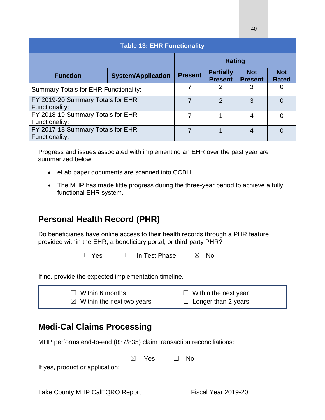| <b>Table 13: EHR Functionality</b>                  |                           |                |                                    |                              |                            |  |
|-----------------------------------------------------|---------------------------|----------------|------------------------------------|------------------------------|----------------------------|--|
|                                                     | <b>Rating</b>             |                |                                    |                              |                            |  |
| <b>Function</b>                                     | <b>System/Application</b> | <b>Present</b> | <b>Partially</b><br><b>Present</b> | <b>Not</b><br><b>Present</b> | <b>Not</b><br><b>Rated</b> |  |
| Summary Totals for EHR Functionality:               |                           |                | 2                                  | 3                            | $\left($                   |  |
| FY 2019-20 Summary Totals for EHR<br>Functionality: |                           | $\overline{2}$ | 3                                  | 0                            |                            |  |
| FY 2018-19 Summary Totals for EHR<br>Functionality: | 7                         |                | 4                                  | $\Omega$                     |                            |  |
| FY 2017-18 Summary Totals for EHR<br>Functionality: |                           |                |                                    | 4                            | $\Omega$                   |  |

Progress and issues associated with implementing an EHR over the past year are summarized below:

- eLab paper documents are scanned into CCBH.
- The MHP has made little progress during the three-year period to achieve a fully functional EHR system.

## **Personal Health Record (PHR)**

Do beneficiaries have online access to their health records through a PHR feature provided within the EHR, a beneficiary portal, or third-party PHR?

☐ Yes ☐ In Test Phase ☒ No

If no, provide the expected implementation timeline.

| $\Box$ Within 6 months                | $\Box$ Within the next year |
|---------------------------------------|-----------------------------|
| $\boxtimes$ Within the next two years | $\Box$ Longer than 2 years  |

## **Medi-Cal Claims Processing**

MHP performs end-to-end (837/835) claim transaction reconciliations:

 $\boxtimes$  Yes  $\Box$  No

If yes, product or application: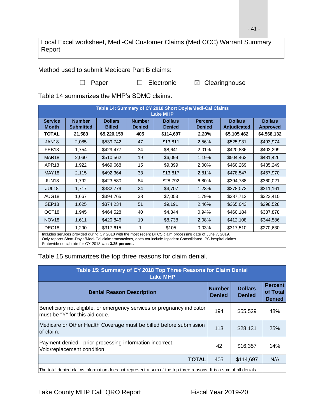Local Excel worksheet, Medi-Cal Customer Claims (Med CCC) Warrant Summary Report

Method used to submit Medicare Part B claims:

□ Paper □ Electronic 図 Clearinghouse

Table 14 summarizes the MHP's SDMC claims.

| Table 14: Summary of CY 2018 Short Doyle/Medi-Cal Claims<br><b>Lake MHP</b> |                                   |                                 |                                |                                 |                                 |                               |                                   |
|-----------------------------------------------------------------------------|-----------------------------------|---------------------------------|--------------------------------|---------------------------------|---------------------------------|-------------------------------|-----------------------------------|
| <b>Service</b><br><b>Month</b>                                              | <b>Number</b><br><b>Submitted</b> | <b>Dollars</b><br><b>Billed</b> | <b>Number</b><br><b>Denied</b> | <b>Dollars</b><br><b>Denied</b> | <b>Percent</b><br><b>Denied</b> | <b>Dollars</b><br>Adjudicated | <b>Dollars</b><br><b>Approved</b> |
| <b>TOTAL</b>                                                                | 21,583                            | \$5,220,159                     | 405                            | \$114,697                       | 2.20%                           | \$5,105,462                   | \$4,568,132                       |
| JAN <sub>18</sub>                                                           | 2,085                             | \$539,742                       | 47                             | \$13,811                        | 2.56%                           | \$525,931                     | \$493,974                         |
| FEB <sub>18</sub>                                                           | 1,754                             | \$429,477                       | 34                             | \$8,641                         | 2.01%                           | \$420,836                     | \$403,299                         |
| MAR <sub>18</sub>                                                           | 2,060                             | \$510,562                       | 19                             | \$6,099                         | 1.19%                           | \$504,463                     | \$481,426                         |
| APR <sub>18</sub>                                                           | 1,922                             | \$469,668                       | 15                             | \$9,399                         | 2.00%                           | \$460,269                     | \$435,249                         |
| MAY18                                                                       | 2,115                             | \$492,364                       | 33                             | \$13,817                        | 2.81%                           | \$478,547                     | \$457,970                         |
| JUN18                                                                       | 1,792                             | \$423,580                       | 84                             | \$28,792                        | 6.80%                           | \$394,788                     | \$360,021                         |
| JUL <sub>18</sub>                                                           | 1,717                             | \$382,779                       | 24                             | \$4,707                         | 1.23%                           | \$378,072                     | \$311,161                         |
| AUG18                                                                       | 1,667                             | \$394,765                       | 38                             | \$7,053                         | 1.79%                           | \$387,712                     | \$323,410                         |
| SEP <sub>18</sub>                                                           | 1,625                             | \$374,234                       | 51                             | \$9,191                         | 2.46%                           | \$365,043                     | \$298,528                         |
| OCT <sub>18</sub>                                                           | 1,945                             | \$464,528                       | 40                             | \$4,344                         | 0.94%                           | \$460,184                     | \$387,878                         |
| NOV <sub>18</sub>                                                           | 1,611                             | \$420,846                       | 19                             | \$8,738                         | 2.08%                           | \$412,108                     | \$344,586                         |
| DEC <sub>18</sub>                                                           | 1,290                             | \$317,615                       |                                | \$105                           | 0.03%                           | \$317,510                     | \$270,630                         |

Includes services provided during CY 2018 with the most recent DHCS claim processing date of June 7, 2019. Only reports Short-Doyle/Medi-Cal claim transactions, does not include Inpatient Consolidated IPC hospital claims. Statewide denial rate for CY 2018 was **3.25 percent.**

Table 15 summarizes the top three reasons for claim denial.

| Table 15: Summary of CY 2018 Top Three Reasons for Claim Denial<br><b>Lake MHP</b>                                 |                                |                                 |                                             |  |  |  |
|--------------------------------------------------------------------------------------------------------------------|--------------------------------|---------------------------------|---------------------------------------------|--|--|--|
| <b>Denial Reason Description</b>                                                                                   | <b>Number</b><br><b>Denied</b> | <b>Dollars</b><br><b>Denied</b> | <b>Percent</b><br>of Total<br><b>Denied</b> |  |  |  |
| Beneficiary not eligible, or emergency services or pregnancy indicator<br>must be "Y" for this aid code.           | 194                            | \$55,529                        | 48%                                         |  |  |  |
| Medicare or Other Health Coverage must be billed before submission<br>of claim.                                    | 113                            | \$28,131                        | 25%                                         |  |  |  |
| Payment denied - prior processing information incorrect.<br>Void/replacement condition.                            | 42                             | \$16,357                        | 14%                                         |  |  |  |
| <b>TOTAL</b>                                                                                                       | 405                            | \$114,697                       | N/A                                         |  |  |  |
| The total depied eleigne information does not represent a sum of the top three reasons. It is a sum of all depiels |                                |                                 |                                             |  |  |  |

The total denied claims information does not represent a sum of the top three reasons. It is a sum of all denials.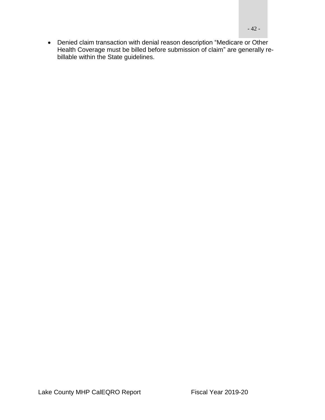• Denied claim transaction with denial reason description "Medicare or Other Health Coverage must be billed before submission of claim" are generally rebillable within the State guidelines.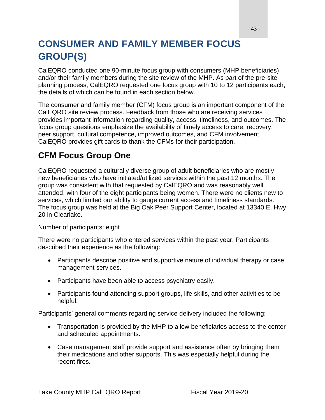# **CONSUMER AND FAMILY MEMBER FOCUS GROUP(S)**

CalEQRO conducted one 90-minute focus group with consumers (MHP beneficiaries) and/or their family members during the site review of the MHP. As part of the pre-site planning process, CalEQRO requested one focus group with 10 to 12 participants each, the details of which can be found in each section below.

The consumer and family member (CFM) focus group is an important component of the CalEQRO site review process. Feedback from those who are receiving services provides important information regarding quality, access, timeliness, and outcomes. The focus group questions emphasize the availability of timely access to care, recovery, peer support, cultural competence, improved outcomes, and CFM involvement. CalEQRO provides gift cards to thank the CFMs for their participation.

## **CFM Focus Group One**

CalEQRO requested a culturally diverse group of adult beneficiaries who are mostly new beneficiaries who have initiated/utilized services within the past 12 months. The group was consistent with that requested by CalEQRO and was reasonably well attended, with four of the eight participants being women. There were no clients new to services, which limited our ability to gauge current access and timeliness standards. The focus group was held at the Big Oak Peer Support Center, located at 13340 E. Hwy 20 in Clearlake.

Number of participants: eight

There were no participants who entered services within the past year. Participants described their experience as the following:

- Participants describe positive and supportive nature of individual therapy or case management services.
- Participants have been able to access psychiatry easily.
- Participants found attending support groups, life skills, and other activities to be helpful.

Participants' general comments regarding service delivery included the following:

- Transportation is provided by the MHP to allow beneficiaries access to the center and scheduled appointments.
- Case management staff provide support and assistance often by bringing them their medications and other supports. This was especially helpful during the recent fires.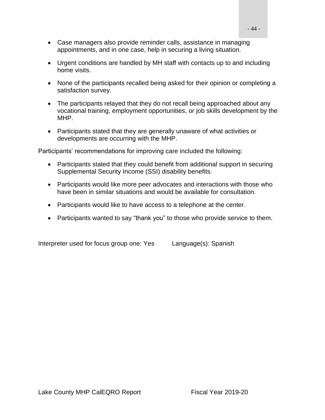- Case managers also provide reminder calls, assistance in managing appointments, and in one case, help in securing a living situation.
- Urgent conditions are handled by MH staff with contacts up to and including home visits.
- None of the participants recalled being asked for their opinion or completing a satisfaction survey.
- The participants relayed that they do not recall being approached about any vocational training, employment opportunities, or job skills development by the MHP.
- Participants stated that they are generally unaware of what activities or developments are occurring with the MHP.

Participants' recommendations for improving care included the following:

- Participants stated that they could benefit from additional support in securing Supplemental Security Income (SSI) disability benefits.
- Participants would like more peer advocates and interactions with those who have been in similar situations and would be available for consultation.
- Participants would like to have access to a telephone at the center.
- Participants wanted to say "thank you" to those who provide service to them.

Interpreter used for focus group one: Yes Language(s): Spanish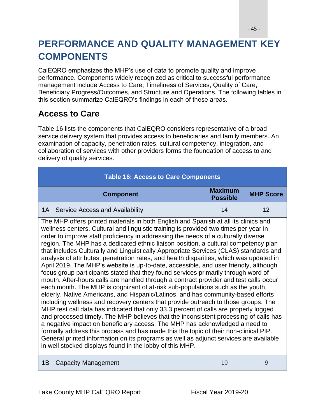# **PERFORMANCE AND QUALITY MANAGEMENT KEY COMPONENTS**

CalEQRO emphasizes the MHP's use of data to promote quality and improve performance. Components widely recognized as critical to successful performance management include Access to Care, Timeliness of Services, Quality of Care, Beneficiary Progress/Outcomes, and Structure and Operations. The following tables in this section summarize CalEQRO's findings in each of these areas.

## **Access to Care**

Table 16 lists the components that CalEQRO considers representative of a broad service delivery system that provides access to beneficiaries and family members. An examination of capacity, penetration rates, cultural competency, integration, and collaboration of services with other providers forms the foundation of access to and delivery of quality services.

| <b>Table 16: Access to Care Components</b> |                                                                                                                                                                                                                                                                                                                                                                                                                                                                                                                                                                                                                                                                                                                                                                                                                                                                                                                                                                                                                                                                                                                                                                                                                                                                                                                                                                                                                                                                                                                                                                                             |                                   |                  |  |  |  |
|--------------------------------------------|---------------------------------------------------------------------------------------------------------------------------------------------------------------------------------------------------------------------------------------------------------------------------------------------------------------------------------------------------------------------------------------------------------------------------------------------------------------------------------------------------------------------------------------------------------------------------------------------------------------------------------------------------------------------------------------------------------------------------------------------------------------------------------------------------------------------------------------------------------------------------------------------------------------------------------------------------------------------------------------------------------------------------------------------------------------------------------------------------------------------------------------------------------------------------------------------------------------------------------------------------------------------------------------------------------------------------------------------------------------------------------------------------------------------------------------------------------------------------------------------------------------------------------------------------------------------------------------------|-----------------------------------|------------------|--|--|--|
|                                            | <b>Component</b>                                                                                                                                                                                                                                                                                                                                                                                                                                                                                                                                                                                                                                                                                                                                                                                                                                                                                                                                                                                                                                                                                                                                                                                                                                                                                                                                                                                                                                                                                                                                                                            | <b>Maximum</b><br><b>Possible</b> | <b>MHP Score</b> |  |  |  |
| 1A                                         | Service Access and Availability<br>14                                                                                                                                                                                                                                                                                                                                                                                                                                                                                                                                                                                                                                                                                                                                                                                                                                                                                                                                                                                                                                                                                                                                                                                                                                                                                                                                                                                                                                                                                                                                                       |                                   |                  |  |  |  |
|                                            | The MHP offers printed materials in both English and Spanish at all its clinics and<br>wellness centers. Cultural and linguistic training is provided two times per year in<br>order to improve staff proficiency in addressing the needs of a culturally diverse<br>region. The MHP has a dedicated ethnic liaison position, a cultural competency plan<br>that includes Culturally and Linguistically Appropriate Services (CLAS) standards and<br>analysis of attributes, penetration rates, and health disparities, which was updated in<br>April 2019. The MHP's website is up-to-date, accessible, and user friendly, although<br>focus group participants stated that they found services primarily through word of<br>mouth. After-hours calls are handled through a contract provider and test calls occur<br>each month. The MHP is cognizant of at-risk sub-populations such as the youth,<br>elderly, Native Americans, and Hispanic/Latinos, and has community-based efforts<br>including wellness and recovery centers that provide outreach to those groups. The<br>MHP test call data has indicated that only 33.3 percent of calls are properly logged<br>and processed timely. The MHP believes that the inconsistent processing of calls has<br>a negative impact on beneficiary access. The MHP has acknowledged a need to<br>formally address this process and has made this the topic of their non-clinical PIP.<br>General printed information on its programs as well as adjunct services are available<br>in well stocked displays found in the lobby of this MHP. |                                   |                  |  |  |  |
| 1B                                         | <b>Capacity Management</b>                                                                                                                                                                                                                                                                                                                                                                                                                                                                                                                                                                                                                                                                                                                                                                                                                                                                                                                                                                                                                                                                                                                                                                                                                                                                                                                                                                                                                                                                                                                                                                  | 10                                | 9                |  |  |  |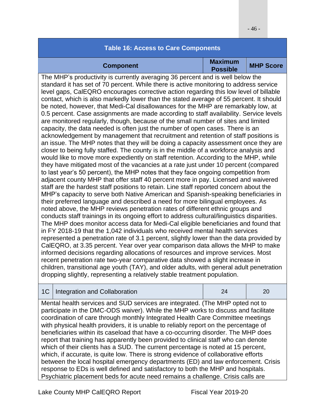### **Table 16: Access to Care Components Component Maximum Component MHP Score** The MHP's productivity is currently averaging 36 percent and is well below the standard it has set of 70 percent. While there is active monitoring to address service level gaps, CalEQRO encourages corrective action regarding this low level of billable contact, which is also markedly lower than the stated average of 55 percent. It should be noted, however, that Medi-Cal disallowances for the MHP are remarkably low, at 0.5 percent. Case assignments are made according to staff availability. Service levels are monitored regularly, though, because of the small number of sites and limited capacity, the data needed is often just the number of open cases. There is an acknowledgement by management that recruitment and retention of staff positions is an issue. The MHP notes that they will be doing a capacity assessment once they are closer to being fully staffed. The county is in the middle of a workforce analysis and would like to move more expediently on staff retention. According to the MHP, while they have mitigated most of the vacancies at a rate just under 10 percent (compared to last year's 50 percent), the MHP notes that they face ongoing competition from adjacent county MHP that offer staff 40 percent more in pay. Licensed and waivered staff are the hardest staff positions to retain. Line staff reported concern about the MHP's capacity to serve both Native American and Spanish-speaking beneficiaries in their preferred language and described a need for more bilingual employees. As noted above, the MHP reviews penetration rates of different ethnic groups and conducts staff trainings in its ongoing effort to address cultural/linguistics disparities. The MHP does monitor access data for Medi-Cal eligible beneficiaries and found that in FY 2018-19 that the 1,042 individuals who received mental health services represented a penetration rate of 3.1 percent, slightly lower than the data provided by CalEQRO, at 3.35 percent. Year over year comparison data allows the MHP to make informed decisions regarding allocations of resources and improve services. Most recent penetration rate two-year comparative data showed a slight increase in children, transitional age youth (TAY), and older adults, with general adult penetration dropping slightly, representing a relatively stable treatment population.

|  | 1C   Integration and Collaboration |  |  |
|--|------------------------------------|--|--|
|--|------------------------------------|--|--|

Mental health services and SUD services are integrated. (The MHP opted not to participate in the DMC-ODS waiver). While the MHP works to discuss and facilitate coordination of care through monthly Integrated Health Care Committee meetings with physical health providers, it is unable to reliably report on the percentage of beneficiaries within its caseload that have a co-occurring disorder. The MHP does report that training has apparently been provided to clinical staff who can denote which of their clients has a SUD. The current percentage is noted at 15 percent, which, if accurate, is quite low. There is strong evidence of collaborative efforts between the local hospital emergency departments (ED) and law enforcement. Crisis response to EDs is well defined and satisfactory to both the MHP and hospitals. Psychiatric placement beds for acute need remains a challenge. Crisis calls are

Lake County MHP CalEQRO Report Fiscal Year 2019-20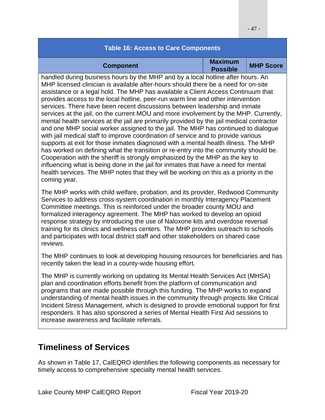### **Table 16: Access to Care Components Component Maximum Component MHP Score** handled during business hours by the MHP and by a local hotline after hours. An MHP licensed clinician is available after-hours should there be a need for on-site assistance or a legal hold. The MHP has available a Client Access Continuum that provides access to the local hotline, peer-run warm line and other intervention services. There have been recent discussions between leadership and inmate services at the jail, on the current MOU and more involvement by the MHP. Currently, mental health services at the jail are primarily provided by the jail medical contractor and one MHP social worker assigned to the jail. The MHP has continued to dialogue with jail medical staff to improve coordination of service and to provide various supports at exit for those inmates diagnosed with a mental health illness. The MHP has worked on defining what the transition or re-entry into the community should be. Cooperation with the sheriff is strongly emphasized by the MHP as the key to influencing what is being done in the jail for inmates that have a need for mental health services. The MHP notes that they will be working on this as a priority in the coming year. The MHP works with child welfare, probation, and its provider, Redwood Community Services to address cross-system coordination in monthly Interagency Placement Committee meetings. This is reinforced under the broader county MOU and formalized interagency agreement. The MHP has worked to develop an opioid response strategy by introducing the use of Naloxone kits and overdose reversal training for its clinics and wellness centers. The MHP provides outreach to schools and participates with local district staff and other stakeholders on shared case reviews.

The MHP continues to look at developing housing resources for beneficiaries and has recently taken the lead in a county-wide housing effort.

The MHP is currently working on updating its Mental Health Services Act (MHSA) plan and coordination efforts benefit from the platform of communication and programs that are made possible through this funding. The MHP works to expand understanding of mental health issues in the community through projects like Critical Incident Stress Management, which is designed to provide emotional support for first responders. It has also sponsored a series of Mental Health First Aid sessions to increase awareness and facilitate referrals.

## **Timeliness of Services**

As shown in Table 17, CalEQRO identifies the following components as necessary for timely access to comprehensive specialty mental health services.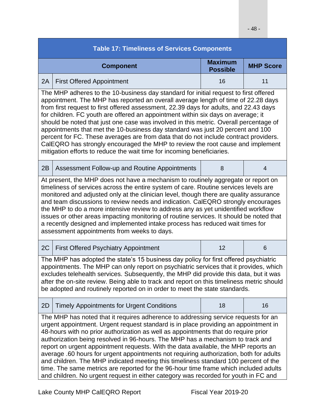| <b>Table 17: Timeliness of Services Components</b>                                                                                                                                                                                                                                                                                                                                                                                                                                                                                                                                                                                                                                                                                                                                                      |    |                |  |  |  |  |
|---------------------------------------------------------------------------------------------------------------------------------------------------------------------------------------------------------------------------------------------------------------------------------------------------------------------------------------------------------------------------------------------------------------------------------------------------------------------------------------------------------------------------------------------------------------------------------------------------------------------------------------------------------------------------------------------------------------------------------------------------------------------------------------------------------|----|----------------|--|--|--|--|
| <b>Maximum</b><br><b>MHP Score</b><br><b>Component</b><br><b>Possible</b>                                                                                                                                                                                                                                                                                                                                                                                                                                                                                                                                                                                                                                                                                                                               |    |                |  |  |  |  |
| 2A<br><b>First Offered Appointment</b>                                                                                                                                                                                                                                                                                                                                                                                                                                                                                                                                                                                                                                                                                                                                                                  | 16 | 11             |  |  |  |  |
| The MHP adheres to the 10-business day standard for initial request to first offered<br>appointment. The MHP has reported an overall average length of time of 22.28 days<br>from first request to first offered assessment, 22.39 days for adults, and 22.43 days<br>for children. FC youth are offered an appointment within six days on average; it<br>should be noted that just one case was involved in this metric. Overall percentage of<br>appointments that met the 10-business day standard was just 20 percent and 100<br>percent for FC. These averages are from data that do not include contract providers.<br>CalEQRO has strongly encouraged the MHP to review the root cause and implement<br>mitigation efforts to reduce the wait time for incoming beneficiaries.                   |    |                |  |  |  |  |
| 2B<br>Assessment Follow-up and Routine Appointments                                                                                                                                                                                                                                                                                                                                                                                                                                                                                                                                                                                                                                                                                                                                                     | 8  | $\overline{4}$ |  |  |  |  |
| At present, the MHP does not have a mechanism to routinely aggregate or report on<br>timeliness of services across the entire system of care. Routine services levels are<br>monitored and adjusted only at the clinician level, though there are quality assurance<br>and team discussions to review needs and indication. CalEQRO strongly encourages<br>the MHP to do a more intensive review to address any as yet unidentified workflow<br>issues or other areas impacting monitoring of routine services. It should be noted that<br>a recently designed and implemented intake process has reduced wait times for<br>assessment appointments from weeks to days.                                                                                                                                 |    |                |  |  |  |  |
| 2C<br><b>First Offered Psychiatry Appointment</b>                                                                                                                                                                                                                                                                                                                                                                                                                                                                                                                                                                                                                                                                                                                                                       | 12 | 6              |  |  |  |  |
| The MHP has adopted the state's 15 business day policy for first offered psychiatric<br>appointments. The MHP can only report on psychiatric services that it provides, which<br>excludes telehealth services. Subsequently, the MHP did provide this data, but it was<br>after the on-site review. Being able to track and report on this timeliness metric should<br>be adopted and routinely reported on in order to meet the state standards.                                                                                                                                                                                                                                                                                                                                                       |    |                |  |  |  |  |
| 2D<br><b>Timely Appointments for Urgent Conditions</b>                                                                                                                                                                                                                                                                                                                                                                                                                                                                                                                                                                                                                                                                                                                                                  | 18 | 16             |  |  |  |  |
| The MHP has noted that it requires adherence to addressing service requests for an<br>urgent appointment. Urgent request standard is in place providing an appointment in<br>48-hours with no prior authorization as well as appointments that do require prior<br>authorization being resolved in 96-hours. The MHP has a mechanism to track and<br>report on urgent appointment requests. With the data available, the MHP reports an<br>average .60 hours for urgent appointments not requiring authorization, both for adults<br>and children. The MHP indicated meeting this timeliness standard 100 percent of the<br>time. The same metrics are reported for the 96-hour time frame which included adults<br>and children. No urgent request in either category was recorded for youth in FC and |    |                |  |  |  |  |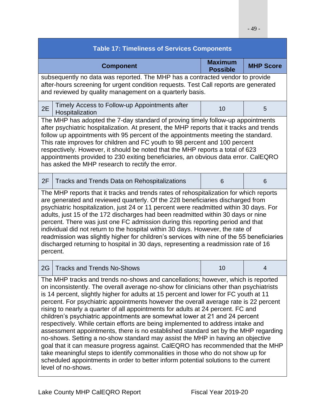| <b>Table 17: Timeliness of Services Components</b>                                                                                                                                                                                                                                                                                                                                                                                                                                                                                                                                                                                                                                                                                                                                                                                                                                                                                                                                                                                                                         |    |                |  |  |  |  |
|----------------------------------------------------------------------------------------------------------------------------------------------------------------------------------------------------------------------------------------------------------------------------------------------------------------------------------------------------------------------------------------------------------------------------------------------------------------------------------------------------------------------------------------------------------------------------------------------------------------------------------------------------------------------------------------------------------------------------------------------------------------------------------------------------------------------------------------------------------------------------------------------------------------------------------------------------------------------------------------------------------------------------------------------------------------------------|----|----------------|--|--|--|--|
| <b>Maximum</b><br><b>MHP Score</b><br><b>Component</b><br><b>Possible</b>                                                                                                                                                                                                                                                                                                                                                                                                                                                                                                                                                                                                                                                                                                                                                                                                                                                                                                                                                                                                  |    |                |  |  |  |  |
| subsequently no data was reported. The MHP has a contracted vendor to provide<br>after-hours screening for urgent condition requests. Test Call reports are generated<br>and reviewed by quality management on a quarterly basis.                                                                                                                                                                                                                                                                                                                                                                                                                                                                                                                                                                                                                                                                                                                                                                                                                                          |    |                |  |  |  |  |
| Timely Access to Follow-up Appointments after<br>2E<br>Hospitalization                                                                                                                                                                                                                                                                                                                                                                                                                                                                                                                                                                                                                                                                                                                                                                                                                                                                                                                                                                                                     | 10 | 5              |  |  |  |  |
| The MHP has adopted the 7-day standard of proving timely follow-up appointments<br>after psychiatric hospitalization. At present, the MHP reports that it tracks and trends<br>follow up appointments with 95 percent of the appointments meeting the standard.<br>This rate improves for children and FC youth to 98 percent and 100 percent<br>respectively. However, it should be noted that the MHP reports a total of 623<br>appointments provided to 230 exiting beneficiaries, an obvious data error. CalEQRO<br>has asked the MHP research to rectify the error.                                                                                                                                                                                                                                                                                                                                                                                                                                                                                                   |    |                |  |  |  |  |
| 2F<br><b>Tracks and Trends Data on Rehospitalizations</b>                                                                                                                                                                                                                                                                                                                                                                                                                                                                                                                                                                                                                                                                                                                                                                                                                                                                                                                                                                                                                  | 6  | 6              |  |  |  |  |
| The MHP reports that it tracks and trends rates of rehospitalization for which reports<br>are generated and reviewed quarterly. Of the 228 beneficiaries discharged from<br>psychiatric hospitalization, just 24 or 11 percent were readmitted within 30 days. For<br>adults, just 15 of the 172 discharges had been readmitted within 30 days or nine<br>percent. There was just one FC admission during this reporting period and that<br>individual did not return to the hospital within 30 days. However, the rate of<br>readmission was slightly higher for children's services with nine of the 55 beneficiaries<br>discharged returning to hospital in 30 days, representing a readmission rate of 16<br>percent.                                                                                                                                                                                                                                                                                                                                                  |    |                |  |  |  |  |
| 2G<br><b>Tracks and Trends No-Shows</b>                                                                                                                                                                                                                                                                                                                                                                                                                                                                                                                                                                                                                                                                                                                                                                                                                                                                                                                                                                                                                                    | 10 | $\overline{4}$ |  |  |  |  |
| The MHP tracks and trends no-shows and cancellations; however, which is reported<br>on inconsistently. The overall average no-show for clinicians other than psychiatrists<br>is 14 percent, slightly higher for adults at 15 percent and lower for FC youth at 11<br>percent. For psychiatric appointments however the overall average rate is 22 percent<br>rising to nearly a quarter of all appointments for adults at 24 percent. FC and<br>children's psychiatric appointments are somewhat lower at 21 and 24 percent<br>respectively. While certain efforts are being implemented to address intake and<br>assessment appointments, there is no established standard set by the MHP regarding<br>no-shows. Setting a no-show standard may assist the MHP in having an objective<br>goal that it can measure progress against. CalEQRO has recommended that the MHP<br>take meaningful steps to identify commonalities in those who do not show up for<br>scheduled appointments in order to better inform potential solutions to the current<br>level of no-shows. |    |                |  |  |  |  |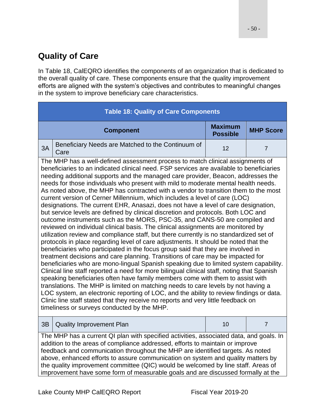## **Quality of Care**

In Table 18, CalEQRO identifies the components of an organization that is dedicated to the overall quality of care. These components ensure that the quality improvement efforts are aligned with the system's objectives and contributes to meaningful changes in the system to improve beneficiary care characteristics.

| <b>Table 18: Quality of Care Components</b>                                                                                                                                                                                                                                                                                                                                                                                                                                                                                                                                                                                                                                                                                                                                                                                                                                                                                                                                                                                                                                                                                                                                                                                                                                                                                                                                                                                                                                                                                                                                                                                                                                                                                                                                                                                |                                                                           |    |                                                                                                                                                                                                                                                                                                                                                                                                                                                                                                                         |  |  |  |
|----------------------------------------------------------------------------------------------------------------------------------------------------------------------------------------------------------------------------------------------------------------------------------------------------------------------------------------------------------------------------------------------------------------------------------------------------------------------------------------------------------------------------------------------------------------------------------------------------------------------------------------------------------------------------------------------------------------------------------------------------------------------------------------------------------------------------------------------------------------------------------------------------------------------------------------------------------------------------------------------------------------------------------------------------------------------------------------------------------------------------------------------------------------------------------------------------------------------------------------------------------------------------------------------------------------------------------------------------------------------------------------------------------------------------------------------------------------------------------------------------------------------------------------------------------------------------------------------------------------------------------------------------------------------------------------------------------------------------------------------------------------------------------------------------------------------------|---------------------------------------------------------------------------|----|-------------------------------------------------------------------------------------------------------------------------------------------------------------------------------------------------------------------------------------------------------------------------------------------------------------------------------------------------------------------------------------------------------------------------------------------------------------------------------------------------------------------------|--|--|--|
|                                                                                                                                                                                                                                                                                                                                                                                                                                                                                                                                                                                                                                                                                                                                                                                                                                                                                                                                                                                                                                                                                                                                                                                                                                                                                                                                                                                                                                                                                                                                                                                                                                                                                                                                                                                                                            | <b>Maximum</b><br><b>MHP Score</b><br><b>Component</b><br><b>Possible</b> |    |                                                                                                                                                                                                                                                                                                                                                                                                                                                                                                                         |  |  |  |
| 3A                                                                                                                                                                                                                                                                                                                                                                                                                                                                                                                                                                                                                                                                                                                                                                                                                                                                                                                                                                                                                                                                                                                                                                                                                                                                                                                                                                                                                                                                                                                                                                                                                                                                                                                                                                                                                         | Beneficiary Needs are Matched to the Continuum of<br>Care                 | 12 | $\overline{7}$                                                                                                                                                                                                                                                                                                                                                                                                                                                                                                          |  |  |  |
| The MHP has a well-defined assessment process to match clinical assignments of<br>beneficiaries to an indicated clinical need. FSP services are available to beneficiaries<br>needing additional supports and the managed care provider, Beacon, addresses the<br>needs for those individuals who present with mild to moderate mental health needs.<br>As noted above, the MHP has contracted with a vendor to transition them to the most<br>current version of Cerner Millennium, which includes a level of care (LOC)<br>designations. The current EHR, Anasazi, does not have a level of care designation,<br>but service levels are defined by clinical discretion and protocols. Both LOC and<br>outcome instruments such as the MORS, PSC-35, and CANS-50 are compiled and<br>reviewed on individual clinical basis. The clinical assignments are monitored by<br>utilization review and compliance staff, but there currently is no standardized set of<br>protocols in place regarding level of care adjustments. It should be noted that the<br>beneficiaries who participated in the focus group said that they are involved in<br>treatment decisions and care planning. Transitions of care may be impacted for<br>beneficiaries who are mono-lingual Spanish speaking due to limited system capability.<br>Clinical line staff reported a need for more bilingual clinical staff, noting that Spanish<br>speaking beneficiaries often have family members come with them to assist with<br>translations. The MHP is limited on matching needs to care levels by not having a<br>LOC system, an electronic reporting of LOC, and the ability to review findings or data.<br>Clinic line staff stated that they receive no reports and very little feedback on<br>timeliness or surveys conducted by the MHP. |                                                                           |    |                                                                                                                                                                                                                                                                                                                                                                                                                                                                                                                         |  |  |  |
| 3B                                                                                                                                                                                                                                                                                                                                                                                                                                                                                                                                                                                                                                                                                                                                                                                                                                                                                                                                                                                                                                                                                                                                                                                                                                                                                                                                                                                                                                                                                                                                                                                                                                                                                                                                                                                                                         | <b>Quality Improvement Plan</b>                                           | 10 | $\overline{7}$                                                                                                                                                                                                                                                                                                                                                                                                                                                                                                          |  |  |  |
|                                                                                                                                                                                                                                                                                                                                                                                                                                                                                                                                                                                                                                                                                                                                                                                                                                                                                                                                                                                                                                                                                                                                                                                                                                                                                                                                                                                                                                                                                                                                                                                                                                                                                                                                                                                                                            |                                                                           |    | The MHP has a current QI plan with specified activities, associated data, and goals. In<br>addition to the areas of compliance addressed, efforts to maintain or improve<br>feedback and communication throughout the MHP are identified targets. As noted<br>above, enhanced efforts to assure communication on system and quality matters by<br>the quality improvement committee (QIC) would be welcomed by line staff. Areas of<br>improvement have some form of measurable goals and are discussed formally at the |  |  |  |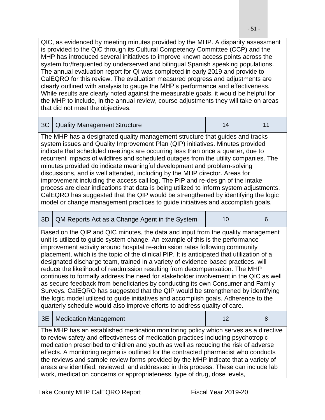QIC, as evidenced by meeting minutes provided by the MHP. A disparity assessment is provided to the QIC through its Cultural Competency Committee (CCP) and the MHP has introduced several initiatives to improve known access points across the system for/frequented by underserved and bilingual Spanish speaking populations. The annual evaluation report for QI was completed in early 2019 and provide to CalEQRO for this review. The evaluation measured progress and adjustments are clearly outlined with analysis to gauge the MHP's performance and effectiveness. While results are clearly noted against the measurable goals, it would be helpful for the MHP to include, in the annual review, course adjustments they will take on areas that did not meet the objectives.

|  | 3C   Quality Management Structure |  |  |  |
|--|-----------------------------------|--|--|--|
|--|-----------------------------------|--|--|--|

The MHP has a designated quality management structure that guides and tracks system issues and Quality Improvement Plan (QIP) initiatives. Minutes provided indicate that scheduled meetings are occurring less than once a quarter, due to recurrent impacts of wildfires and scheduled outages from the utility companies. The minutes provided do indicate meaningful development and problem-solving discussions, and is well attended, including by the MHP director. Areas for improvement including the access call log. The PIP and re-design of the intake process are clear indications that data is being utilized to inform system adjustments. CalEQRO has suggested that the QIP would be strengthened by identifying the logic model or change management practices to guide initiatives and accomplish goals.

| 3D                                                                                                                                                                                                                                                                                                                                                                                                                                                                                                                                                                                                                                                                                                                                                                                                                                                                                                                                                       | QM Reports Act as a Change Agent in the System | 10 | 6 |  |
|----------------------------------------------------------------------------------------------------------------------------------------------------------------------------------------------------------------------------------------------------------------------------------------------------------------------------------------------------------------------------------------------------------------------------------------------------------------------------------------------------------------------------------------------------------------------------------------------------------------------------------------------------------------------------------------------------------------------------------------------------------------------------------------------------------------------------------------------------------------------------------------------------------------------------------------------------------|------------------------------------------------|----|---|--|
| Based on the QIP and QIC minutes, the data and input from the quality management<br>unit is utilized to guide system change. An example of this is the performance<br>improvement activity around hospital re-admission rates following community<br>placement, which is the topic of the clinical PIP. It is anticipated that utilization of a<br>designated discharge team, trained in a variety of evidence-based practices, will<br>reduce the likelihood of readmission resulting from decompensation. The MHP<br>continues to formally address the need for stakeholder involvement in the QIC as well<br>as secure feedback from beneficiaries by conducting its own Consumer and Family<br>Surveys. CalEQRO has suggested that the QIP would be strengthened by identifying<br>the logic model utilized to guide initiatives and accomplish goals. Adherence to the<br>quarterly schedule would also improve efforts to address quality of care. |                                                |    |   |  |
| 3E                                                                                                                                                                                                                                                                                                                                                                                                                                                                                                                                                                                                                                                                                                                                                                                                                                                                                                                                                       | <b>Medication Management</b>                   | 12 | 8 |  |
| The MHP has an established medication monitoring policy which serves as a directive<br>to review safety and effectiveness of medication practices including psychotropic<br>medication prescribed to children and youth as well as reducing the risk of adverse<br>effects. A monitoring regime is outlined for the contracted pharmacist who conducts<br>the reviews and sample review forms provided by the MHP indicate that a variety of<br>areas are identified, reviewed, and addressed in this process. These can include lab<br>work, medication concerns or appropriateness, type of drug, dose levels,                                                                                                                                                                                                                                                                                                                                         |                                                |    |   |  |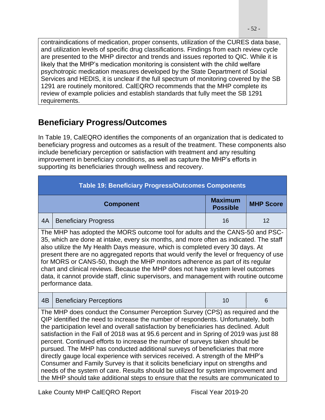contraindications of medication, proper consents, utilization of the CURES data base, and utilization levels of specific drug classifications. Findings from each review cycle are presented to the MHP director and trends and issues reported to QIC. While it is likely that the MHP's medication monitoring is consistent with the child welfare psychotropic medication measures developed by the State Department of Social Services and HEDIS, it is unclear if the full spectrum of monitoring covered by the SB 1291 are routinely monitored. CalEQRO recommends that the MHP complete its review of example policies and establish standards that fully meet the SB 1291 requirements.

## **Beneficiary Progress/Outcomes**

In Table 19, CalEQRO identifies the components of an organization that is dedicated to beneficiary progress and outcomes as a result of the treatment. These components also include beneficiary perception or satisfaction with treatment and any resulting improvement in beneficiary conditions, as well as capture the MHP's efforts in supporting its beneficiaries through wellness and recovery.

| <b>Table 19: Beneficiary Progress/Outcomes Components</b>                                                                                                                                                                                                                                                                                                                                                                                                                                                                                                                                                                                                                                                                                                                                                                                                                   |                                                                           |    |    |  |  |  |  |
|-----------------------------------------------------------------------------------------------------------------------------------------------------------------------------------------------------------------------------------------------------------------------------------------------------------------------------------------------------------------------------------------------------------------------------------------------------------------------------------------------------------------------------------------------------------------------------------------------------------------------------------------------------------------------------------------------------------------------------------------------------------------------------------------------------------------------------------------------------------------------------|---------------------------------------------------------------------------|----|----|--|--|--|--|
|                                                                                                                                                                                                                                                                                                                                                                                                                                                                                                                                                                                                                                                                                                                                                                                                                                                                             | <b>Maximum</b><br><b>MHP Score</b><br><b>Component</b><br><b>Possible</b> |    |    |  |  |  |  |
| 4A                                                                                                                                                                                                                                                                                                                                                                                                                                                                                                                                                                                                                                                                                                                                                                                                                                                                          | <b>Beneficiary Progress</b>                                               | 16 | 12 |  |  |  |  |
| The MHP has adopted the MORS outcome tool for adults and the CANS-50 and PSC-<br>35, which are done at intake, every six months, and more often as indicated. The staff<br>also utilize the My Health Days measure, which is completed every 30 days. At<br>present there are no aggregated reports that would verify the level or frequency of use<br>for MORS or CANS-50, though the MHP monitors adherence as part of its regular<br>chart and clinical reviews. Because the MHP does not have system level outcomes<br>data, it cannot provide staff, clinic supervisors, and management with routine outcome<br>performance data.                                                                                                                                                                                                                                      |                                                                           |    |    |  |  |  |  |
| 4 <sub>B</sub>                                                                                                                                                                                                                                                                                                                                                                                                                                                                                                                                                                                                                                                                                                                                                                                                                                                              | <b>Beneficiary Perceptions</b>                                            | 10 | 6  |  |  |  |  |
| The MHP does conduct the Consumer Perception Survey (CPS) as required and the<br>QIP identified the need to increase the number of respondents. Unfortunately, both<br>the participation level and overall satisfaction by beneficiaries has declined. Adult<br>satisfaction in the Fall of 2018 was at 95.6 percent and in Spring of 2019 was just 88<br>percent. Continued efforts to increase the number of surveys taken should be<br>pursued. The MHP has conducted additional surveys of beneficiaries that more<br>directly gauge local experience with services received. A strength of the MHP's<br>Consumer and Family Survey is that it solicits beneficiary input on strengths and<br>needs of the system of care. Results should be utilized for system improvement and<br>the MHP should take additional steps to ensure that the results are communicated to |                                                                           |    |    |  |  |  |  |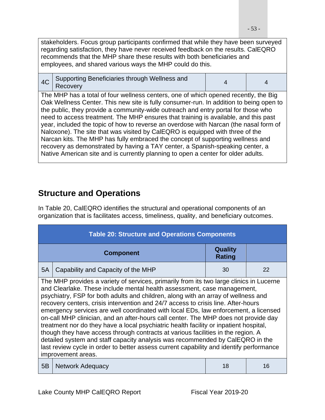stakeholders. Focus group participants confirmed that while they have been surveyed regarding satisfaction, they have never received feedback on the results. CalEQRO recommends that the MHP share these results with both beneficiaries and employees, and shared various ways the MHP could do this.

|  | $4C$ Supporting Beneficiaries through Wellness and<br>Recovery |  |  |
|--|----------------------------------------------------------------|--|--|
|--|----------------------------------------------------------------|--|--|

The MHP has a total of four wellness centers, one of which opened recently, the Big Oak Wellness Center. This new site is fully consumer-run. In addition to being open to the public, they provide a community-wide outreach and entry portal for those who need to access treatment. The MHP ensures that training is available, and this past year, included the topic of how to reverse an overdose with Narcan (the nasal form of Naloxone). The site that was visited by CalEQRO is equipped with three of the Narcan kits. The MHP has fully embraced the concept of supporting wellness and recovery as demonstrated by having a TAY center, a Spanish-speaking center, a Native American site and is currently planning to open a center for older adults.

## **Structure and Operations**

In Table 20, CalEQRO identifies the structural and operational components of an organization that is facilitates access, timeliness, quality, and beneficiary outcomes.

| <b>Table 20: Structure and Operations Components</b>                                                                                                                                                                                                                                                                                                                                                                                                                                                                                                                                                                                                                                                                                                                                                                                                                                                      |                                    |    |    |  |  |
|-----------------------------------------------------------------------------------------------------------------------------------------------------------------------------------------------------------------------------------------------------------------------------------------------------------------------------------------------------------------------------------------------------------------------------------------------------------------------------------------------------------------------------------------------------------------------------------------------------------------------------------------------------------------------------------------------------------------------------------------------------------------------------------------------------------------------------------------------------------------------------------------------------------|------------------------------------|----|----|--|--|
| <b>Quality</b><br><b>Component</b><br><b>Rating</b>                                                                                                                                                                                                                                                                                                                                                                                                                                                                                                                                                                                                                                                                                                                                                                                                                                                       |                                    |    |    |  |  |
| 5A                                                                                                                                                                                                                                                                                                                                                                                                                                                                                                                                                                                                                                                                                                                                                                                                                                                                                                        | Capability and Capacity of the MHP | 30 | 22 |  |  |
| The MHP provides a variety of services, primarily from its two large clinics in Lucerne<br>and Clearlake. These include mental health assessment, case management,<br>psychiatry, FSP for both adults and children, along with an array of wellness and<br>recovery centers, crisis intervention and 24/7 access to crisis line. After-hours<br>emergency services are well coordinated with local EDs, law enforcement, a licensed<br>on-call MHP clinician, and an after-hours call center. The MHP does not provide day<br>treatment nor do they have a local psychiatric health facility or inpatient hospital,<br>though they have access through contracts at various facilities in the region. A<br>detailed system and staff capacity analysis was recommended by CalEQRO in the<br>last review cycle in order to better assess current capability and identify performance<br>improvement areas. |                                    |    |    |  |  |
| 5B                                                                                                                                                                                                                                                                                                                                                                                                                                                                                                                                                                                                                                                                                                                                                                                                                                                                                                        | <b>Network Adequacy</b>            | 18 | 16 |  |  |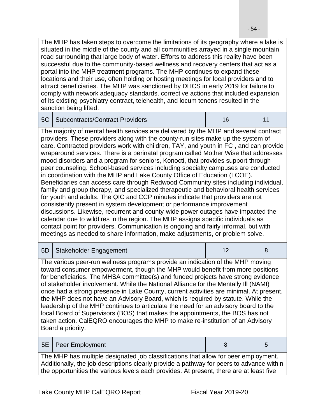The MHP has taken steps to overcome the limitations of its geography where a lake is situated in the middle of the county and all communities arrayed in a single mountain road surrounding that large body of water. Efforts to address this reality have been successful due to the community-based wellness and recovery centers that act as a portal into the MHP treatment programs. The MHP continues to expand these locations and their use, often holding or hosting meetings for local providers and to attract beneficiaries. The MHP was sanctioned by DHCS in early 2019 for failure to comply with network adequacy standards. corrective actions that included expansion of its existing psychiatry contract, telehealth, and locum tenens resulted in the sanction being lifted.

| 5C                                                                                                                                                                                                                                                                                                                                                                                                                                                                                                                                                                                                                                                                                                                                                                                                                                                                                                                                                                                                                                                                                                                                                                                                                                                                                                   | <b>Subcontracts/Contract Providers</b>                                                                                                                                                                                                                                                                                                                                                                                                                                                                                                                                                                                                                                                                                                                                                                   | 16 | 11 |  |
|------------------------------------------------------------------------------------------------------------------------------------------------------------------------------------------------------------------------------------------------------------------------------------------------------------------------------------------------------------------------------------------------------------------------------------------------------------------------------------------------------------------------------------------------------------------------------------------------------------------------------------------------------------------------------------------------------------------------------------------------------------------------------------------------------------------------------------------------------------------------------------------------------------------------------------------------------------------------------------------------------------------------------------------------------------------------------------------------------------------------------------------------------------------------------------------------------------------------------------------------------------------------------------------------------|----------------------------------------------------------------------------------------------------------------------------------------------------------------------------------------------------------------------------------------------------------------------------------------------------------------------------------------------------------------------------------------------------------------------------------------------------------------------------------------------------------------------------------------------------------------------------------------------------------------------------------------------------------------------------------------------------------------------------------------------------------------------------------------------------------|----|----|--|
| The majority of mental health services are delivered by the MHP and several contract<br>providers. These providers along with the county-run sites make up the system of<br>care. Contracted providers work with children, TAY, and youth in FC, and can provide<br>wraparound services. There is a perinatal program called Mother Wise that addresses<br>mood disorders and a program for seniors, Konocti, that provides support through<br>peer counseling. School-based services including specialty campuses are conducted<br>in coordination with the MHP and Lake County Office of Education (LCOE).<br>Beneficiaries can access care through Redwood Community sites including individual,<br>family and group therapy, and specialized therapeutic and behavioral health services<br>for youth and adults. The QIC and CCP minutes indicate that providers are not<br>consistently present in system development or performance improvement<br>discussions. Likewise, recurrent and county-wide power outages have impacted the<br>calendar due to wildfires in the region. The MHP assigns specific individuals as<br>contact point for providers. Communication is ongoing and fairly informal, but with<br>meetings as needed to share information, make adjustments, or problem solve. |                                                                                                                                                                                                                                                                                                                                                                                                                                                                                                                                                                                                                                                                                                                                                                                                          |    |    |  |
|                                                                                                                                                                                                                                                                                                                                                                                                                                                                                                                                                                                                                                                                                                                                                                                                                                                                                                                                                                                                                                                                                                                                                                                                                                                                                                      |                                                                                                                                                                                                                                                                                                                                                                                                                                                                                                                                                                                                                                                                                                                                                                                                          |    |    |  |
| 5D                                                                                                                                                                                                                                                                                                                                                                                                                                                                                                                                                                                                                                                                                                                                                                                                                                                                                                                                                                                                                                                                                                                                                                                                                                                                                                   | Stakeholder Engagement                                                                                                                                                                                                                                                                                                                                                                                                                                                                                                                                                                                                                                                                                                                                                                                   | 12 | 8  |  |
|                                                                                                                                                                                                                                                                                                                                                                                                                                                                                                                                                                                                                                                                                                                                                                                                                                                                                                                                                                                                                                                                                                                                                                                                                                                                                                      | The various peer-run wellness programs provide an indication of the MHP moving<br>toward consumer empowerment, though the MHP would benefit from more positions<br>for beneficiaries. The MHSA committee(s) and funded projects have strong evidence<br>of stakeholder involvement. While the National Alliance for the Mentally III (NAMI)<br>once had a strong presence in Lake County, current activities are minimal. At present,<br>the MHP does not have an Advisory Board, which is required by statute. While the<br>leadership of the MHP continues to articulate the need for an advisory board to the<br>local Board of Supervisors (BOS) that makes the appointments, the BOS has not<br>taken action. CalEQRO encourages the MHP to make re-institution of an Advisory<br>Board a priority. |    |    |  |
| 5E                                                                                                                                                                                                                                                                                                                                                                                                                                                                                                                                                                                                                                                                                                                                                                                                                                                                                                                                                                                                                                                                                                                                                                                                                                                                                                   | Peer Employment                                                                                                                                                                                                                                                                                                                                                                                                                                                                                                                                                                                                                                                                                                                                                                                          | 8  | 5  |  |

the opportunities the various levels each provides. At present, there are at least five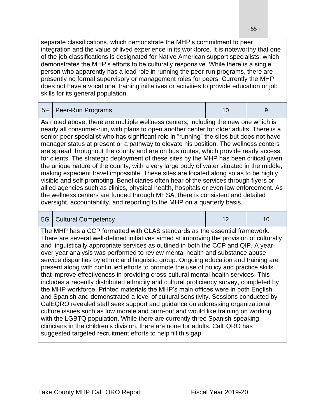separate classifications, which demonstrate the MHP's commitment to peer integration and the value of lived experience in its workforce. It is noteworthy that one of the job classifications is designated for Native American support specialists, which demonstrates the MHP's efforts to be culturally responsive. While there is a single person who apparently has a lead role in running the peer-run programs, there are presently no formal supervisory or management roles for peers. Currently the MHP does not have a vocational training initiatives or activities to provide education or job skills for its general population.

|  | 5F   Peer-Run Programs |  |  |
|--|------------------------|--|--|
|--|------------------------|--|--|

As noted above, there are multiple wellness centers, including the new one which is nearly all consumer-run, with plans to open another center for older adults. There is a senior peer specialist who has significant role in "running" the sites but does not have manager status at present or a pathway to elevate his position. The wellness centers are spread throughout the county and are on bus routes, which provide ready access for clients. The strategic deployment of these sites by the MHP has been critical given the unique nature of the county, with a very large body of water situated in the middle, making expedient travel impossible. These sites are located along so as to be highly visible and self-promoting. Beneficiaries often hear of the services through flyers or allied agencies such as clinics, physical health, hospitals or even law enforcement. As the wellness centers are funded through MHSA, there is consistent and detailed oversight, accountability, and reporting to the MHP on a quarterly basis.

| 5G | <b>Cultural Competency</b>                                                                                                                                                                                                                                                                                                                                                                                                                                                                                                                                                                                                                                                                                                                                                                                                                                                                                                                                                                                                                                                                                                                                                                                                                                                                              | 12 | 10 |
|----|---------------------------------------------------------------------------------------------------------------------------------------------------------------------------------------------------------------------------------------------------------------------------------------------------------------------------------------------------------------------------------------------------------------------------------------------------------------------------------------------------------------------------------------------------------------------------------------------------------------------------------------------------------------------------------------------------------------------------------------------------------------------------------------------------------------------------------------------------------------------------------------------------------------------------------------------------------------------------------------------------------------------------------------------------------------------------------------------------------------------------------------------------------------------------------------------------------------------------------------------------------------------------------------------------------|----|----|
|    | The MHP has a CCP formatted with CLAS standards as the essential framework.<br>There are several well-defined initiatives aimed at improving the provision of culturally<br>and linguistically appropriate services as outlined in both the CCP and QIP. A year-<br>over-year analysis was performed to review mental health and substance abuse<br>service disparities by ethnic and linguistic group. Ongoing education and training are<br>present along with continued efforts to promote the use of policy and practice skills<br>that improve effectiveness in providing cross-cultural mental health services. This<br>includes a recently distributed ethnicity and cultural proficiency survey, completed by<br>the MHP workforce. Printed materials the MHP's main offices were in both English<br>and Spanish and demonstrated a level of cultural sensitivity. Sessions conducted by<br>CalEQRO revealed staff seek support and guidance on addressing organizational<br>culture issues such as low morale and burn-out and would like training on working<br>with the LGBTQ population. While there are currently three Spanish-speaking<br>clinicians in the children's division, there are none for adults. CalEQRO has<br>suggested targeted recruitment efforts to help fill this gap. |    |    |
|    |                                                                                                                                                                                                                                                                                                                                                                                                                                                                                                                                                                                                                                                                                                                                                                                                                                                                                                                                                                                                                                                                                                                                                                                                                                                                                                         |    |    |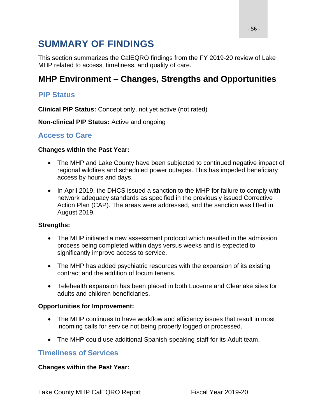# **SUMMARY OF FINDINGS**

This section summarizes the CalEQRO findings from the FY 2019-20 review of Lake MHP related to access, timeliness, and quality of care.

## **MHP Environment – Changes, Strengths and Opportunities**

### **PIP Status**

**Clinical PIP Status:** Concept only, not yet active (not rated)

**Non-clinical PIP Status:** Active and ongoing

### **Access to Care**

#### **Changes within the Past Year:**

- The MHP and Lake County have been subjected to continued negative impact of regional wildfires and scheduled power outages. This has impeded beneficiary access by hours and days.
- In April 2019, the DHCS issued a sanction to the MHP for failure to comply with network adequacy standards as specified in the previously issued Corrective Action Plan (CAP). The areas were addressed, and the sanction was lifted in August 2019.

#### **Strengths:**

- The MHP initiated a new assessment protocol which resulted in the admission process being completed within days versus weeks and is expected to significantly improve access to service.
- The MHP has added psychiatric resources with the expansion of its existing contract and the addition of locum tenens.
- Telehealth expansion has been placed in both Lucerne and Clearlake sites for adults and children beneficiaries.

#### **Opportunities for Improvement:**

- The MHP continues to have workflow and efficiency issues that result in most incoming calls for service not being properly logged or processed.
- The MHP could use additional Spanish-speaking staff for its Adult team.

### **Timeliness of Services**

#### **Changes within the Past Year:**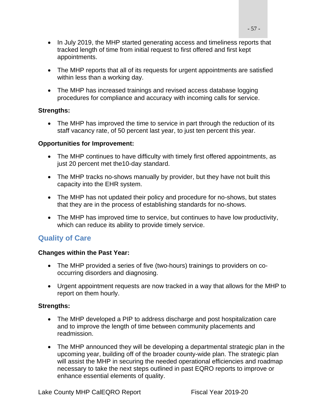- In July 2019, the MHP started generating access and timeliness reports that tracked length of time from initial request to first offered and first kept appointments.
- The MHP reports that all of its requests for urgent appointments are satisfied within less than a working day.
- The MHP has increased trainings and revised access database logging procedures for compliance and accuracy with incoming calls for service.

#### **Strengths:**

• The MHP has improved the time to service in part through the reduction of its staff vacancy rate, of 50 percent last year, to just ten percent this year.

#### **Opportunities for Improvement:**

- The MHP continues to have difficulty with timely first offered appointments, as just 20 percent met the10-day standard.
- The MHP tracks no-shows manually by provider, but they have not built this capacity into the EHR system.
- The MHP has not updated their policy and procedure for no-shows, but states that they are in the process of establishing standards for no-shows.
- The MHP has improved time to service, but continues to have low productivity, which can reduce its ability to provide timely service.

### **Quality of Care**

#### **Changes within the Past Year:**

- The MHP provided a series of five (two-hours) trainings to providers on cooccurring disorders and diagnosing.
- Urgent appointment requests are now tracked in a way that allows for the MHP to report on them hourly.

#### **Strengths:**

- The MHP developed a PIP to address discharge and post hospitalization care and to improve the length of time between community placements and readmission.
- The MHP announced they will be developing a departmental strategic plan in the upcoming year, building off of the broader county-wide plan. The strategic plan will assist the MHP in securing the needed operational efficiencies and roadmap necessary to take the next steps outlined in past EQRO reports to improve or enhance essential elements of quality.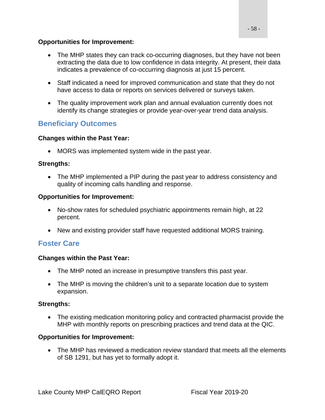#### **Opportunities for Improvement:**

- The MHP states they can track co-occurring diagnoses, but they have not been extracting the data due to low confidence in data integrity. At present, their data indicates a prevalence of co-occurring diagnosis at just 15 percent.
- Staff indicated a need for improved communication and state that they do not have access to data or reports on services delivered or surveys taken.
- The quality improvement work plan and annual evaluation currently does not identify its change strategies or provide year-over-year trend data analysis.

### **Beneficiary Outcomes**

#### **Changes within the Past Year:**

• MORS was implemented system wide in the past year.

### **Strengths:**

• The MHP implemented a PIP during the past year to address consistency and quality of incoming calls handling and response.

#### **Opportunities for Improvement:**

- No-show rates for scheduled psychiatric appointments remain high, at 22 percent.
- New and existing provider staff have requested additional MORS training.

### **Foster Care**

### **Changes within the Past Year:**

- The MHP noted an increase in presumptive transfers this past year.
- The MHP is moving the children's unit to a separate location due to system expansion.

### **Strengths:**

• The existing medication monitoring policy and contracted pharmacist provide the MHP with monthly reports on prescribing practices and trend data at the QIC.

### **Opportunities for Improvement:**

• The MHP has reviewed a medication review standard that meets all the elements of SB 1291, but has yet to formally adopt it.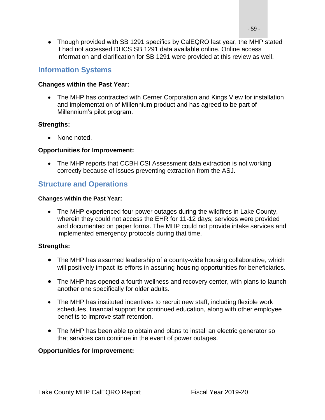• Though provided with SB 1291 specifics by CalEQRO last year, the MHP stated it had not accessed DHCS SB 1291 data available online. Online access information and clarification for SB 1291 were provided at this review as well.

### **Information Systems**

#### **Changes within the Past Year:**

• The MHP has contracted with Cerner Corporation and Kings View for installation and implementation of Millennium product and has agreed to be part of Millennium's pilot program.

#### **Strengths:**

• None noted.

#### **Opportunities for Improvement:**

• The MHP reports that CCBH CSI Assessment data extraction is not working correctly because of issues preventing extraction from the ASJ.

### **Structure and Operations**

#### **Changes within the Past Year:**

• The MHP experienced four power outages during the wildfires in Lake County, wherein they could not access the EHR for 11-12 days; services were provided and documented on paper forms. The MHP could not provide intake services and implemented emergency protocols during that time.

#### **Strengths:**

- The MHP has assumed leadership of a county-wide housing collaborative, which will positively impact its efforts in assuring housing opportunities for beneficiaries.
- The MHP has opened a fourth wellness and recovery center, with plans to launch another one specifically for older adults.
- The MHP has instituted incentives to recruit new staff, including flexible work schedules, financial support for continued education, along with other employee benefits to improve staff retention.
- The MHP has been able to obtain and plans to install an electric generator so that services can continue in the event of power outages.

#### **Opportunities for Improvement:**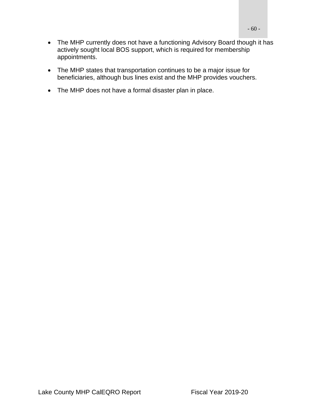- The MHP currently does not have a functioning Advisory Board though it has actively sought local BOS support, which is required for membership appointments.
- The MHP states that transportation continues to be a major issue for beneficiaries, although bus lines exist and the MHP provides vouchers.
- The MHP does not have a formal disaster plan in place.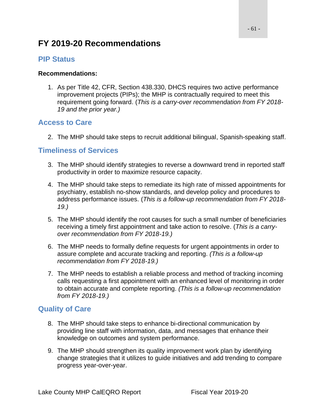## **FY 2019-20 Recommendations**

### **PIP Status**

#### **Recommendations:**

1. As per Title 42, CFR, Section 438.330, DHCS requires two active performance improvement projects (PIPs); the MHP is contractually required to meet this requirement going forward. (*This is a carry-over recommendation from FY 2018- 19 and the prior year.)*

### **Access to Care**

2. The MHP should take steps to recruit additional bilingual, Spanish-speaking staff.

### **Timeliness of Services**

- 3. The MHP should identify strategies to reverse a downward trend in reported staff productivity in order to maximize resource capacity.
- 4. The MHP should take steps to remediate its high rate of missed appointments for psychiatry, establish no-show standards, and develop policy and procedures to address performance issues. (*This is a follow-up recommendation from FY 2018- 19.)*
- 5. The MHP should identify the root causes for such a small number of beneficiaries receiving a timely first appointment and take action to resolve. (*This is a carryover recommendation from FY 2018-19.)*
- 6. The MHP needs to formally define requests for urgent appointments in order to assure complete and accurate tracking and reporting. *(This is a follow-up recommendation from FY 2018-19.)*
- 7. The MHP needs to establish a reliable process and method of tracking incoming calls requesting a first appointment with an enhanced level of monitoring in order to obtain accurate and complete reporting. *(This is a follow-up recommendation from FY 2018-19.)*

### **Quality of Care**

- 8. The MHP should take steps to enhance bi-directional communication by providing line staff with information, data, and messages that enhance their knowledge on outcomes and system performance.
- 9. The MHP should strengthen its quality improvement work plan by identifying change strategies that it utilizes to guide initiatives and add trending to compare progress year-over-year.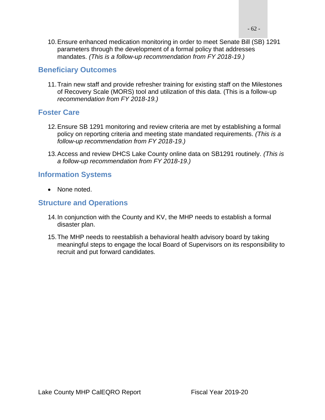$-62 -$ 

10.Ensure enhanced medication monitoring in order to meet Senate Bill (SB) 1291 parameters through the development of a formal policy that addresses mandates. *(This is a follow-up recommendation from FY 2018-19.)*

### **Beneficiary Outcomes**

11.Train new staff and provide refresher training for existing staff on the Milestones of Recovery Scale (MORS) tool and utilization of this data. (This is a follow-up *recommendation from FY 2018-19.)*

### **Foster Care**

- 12.Ensure SB 1291 monitoring and review criteria are met by establishing a formal policy on reporting criteria and meeting state mandated requirements. *(This is a follow-up recommendation from FY 2018-19.)*
- 13.Access and review DHCS Lake County online data on SB1291 routinely. *(This is a follow-up recommendation from FY 2018-19.)*

### **Information Systems**

• None noted.

### **Structure and Operations**

- 14.In conjunction with the County and KV, the MHP needs to establish a formal disaster plan.
- 15.The MHP needs to reestablish a behavioral health advisory board by taking meaningful steps to engage the local Board of Supervisors on its responsibility to recruit and put forward candidates.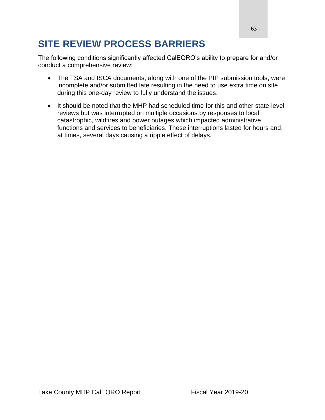# **SITE REVIEW PROCESS BARRIERS**

The following conditions significantly affected CalEQRO's ability to prepare for and/or conduct a comprehensive review:

- The TSA and ISCA documents, along with one of the PIP submission tools, were incomplete and/or submitted late resulting in the need to use extra time on site during this one-day review to fully understand the issues.
- It should be noted that the MHP had scheduled time for this and other state-level reviews but was interrupted on multiple occasions by responses to local catastrophic, wildfires and power outages which impacted administrative functions and services to beneficiaries. These interruptions lasted for hours and, at times, several days causing a ripple effect of delays.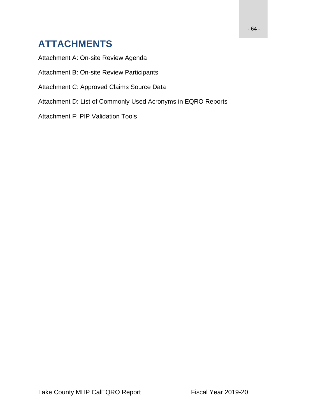# **ATTACHMENTS**

Attachment A: On-site Review Agenda

Attachment B: On-site Review Participants

Attachment C: Approved Claims Source Data

Attachment D: List of Commonly Used Acronyms in EQRO Reports

Attachment F: PIP Validation Tools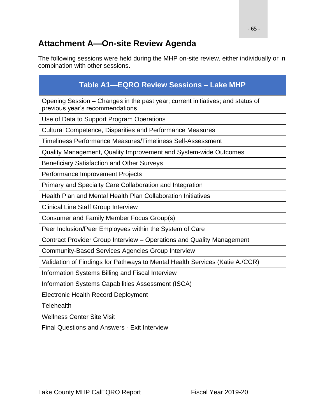## **Attachment A—On-site Review Agenda**

The following sessions were held during the MHP on-site review, either individually or in combination with other sessions.

| Table A1-EQRO Review Sessions - Lake MHP                                                                          |
|-------------------------------------------------------------------------------------------------------------------|
| Opening Session – Changes in the past year; current initiatives; and status of<br>previous year's recommendations |
| Use of Data to Support Program Operations                                                                         |
| <b>Cultural Competence, Disparities and Performance Measures</b>                                                  |
| Timeliness Performance Measures/Timeliness Self-Assessment                                                        |
| Quality Management, Quality Improvement and System-wide Outcomes                                                  |
| <b>Beneficiary Satisfaction and Other Surveys</b>                                                                 |
| Performance Improvement Projects                                                                                  |
| Primary and Specialty Care Collaboration and Integration                                                          |
| Health Plan and Mental Health Plan Collaboration Initiatives                                                      |
| <b>Clinical Line Staff Group Interview</b>                                                                        |
| Consumer and Family Member Focus Group(s)                                                                         |
| Peer Inclusion/Peer Employees within the System of Care                                                           |
| Contract Provider Group Interview – Operations and Quality Management                                             |
| <b>Community-Based Services Agencies Group Interview</b>                                                          |
| Validation of Findings for Pathways to Mental Health Services (Katie A./CCR)                                      |
| Information Systems Billing and Fiscal Interview                                                                  |
| Information Systems Capabilities Assessment (ISCA)                                                                |
| <b>Electronic Health Record Deployment</b>                                                                        |
| <b>Telehealth</b>                                                                                                 |
| <b>Wellness Center Site Visit</b>                                                                                 |
| <b>Final Questions and Answers - Exit Interview</b>                                                               |
|                                                                                                                   |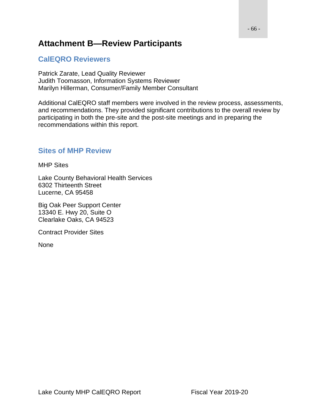## **Attachment B—Review Participants**

### **CalEQRO Reviewers**

Patrick Zarate, Lead Quality Reviewer Judith Toomasson, Information Systems Reviewer Marilyn Hillerman, Consumer/Family Member Consultant

Additional CalEQRO staff members were involved in the review process, assessments, and recommendations. They provided significant contributions to the overall review by participating in both the pre-site and the post-site meetings and in preparing the recommendations within this report.

### **Sites of MHP Review**

#### MHP Sites

Lake County Behavioral Health Services 6302 Thirteenth Street Lucerne, CA 95458

Big Oak Peer Support Center 13340 E. Hwy 20, Suite O Clearlake Oaks, CA 94523

Contract Provider Sites

None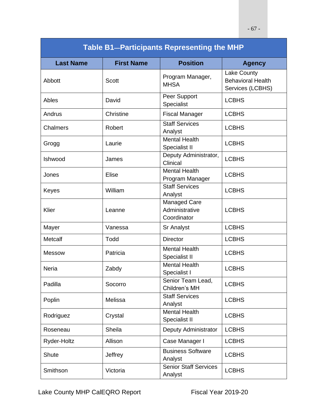| <b>Table B1-Participants Representing the MHP</b> |                   |                                                      |                                                                    |  |
|---------------------------------------------------|-------------------|------------------------------------------------------|--------------------------------------------------------------------|--|
| <b>Last Name</b>                                  | <b>First Name</b> | <b>Position</b>                                      | <b>Agency</b>                                                      |  |
| Abbott                                            | <b>Scott</b>      | Program Manager,<br><b>MHSA</b>                      | <b>Lake County</b><br><b>Behavioral Health</b><br>Services (LCBHS) |  |
| Ables                                             | David             | Peer Support<br>Specialist                           | <b>LCBHS</b>                                                       |  |
| Andrus                                            | Christine         | <b>Fiscal Manager</b>                                | <b>LCBHS</b>                                                       |  |
| Chalmers                                          | Robert            | <b>Staff Services</b><br>Analyst                     | <b>LCBHS</b>                                                       |  |
| Grogg                                             | Laurie            | <b>Mental Health</b><br>Specialist II                | <b>LCBHS</b>                                                       |  |
| Ishwood                                           | James             | Deputy Administrator,<br>Clinical                    | <b>LCBHS</b>                                                       |  |
| Jones                                             | Elise             | <b>Mental Health</b><br>Program Manager              | <b>LCBHS</b>                                                       |  |
| Keyes                                             | William           | <b>Staff Services</b><br>Analyst                     | <b>LCBHS</b>                                                       |  |
| Klier                                             | Leanne            | <b>Managed Care</b><br>Administrative<br>Coordinator | <b>LCBHS</b>                                                       |  |
| Mayer                                             | Vanessa           | Sr Analyst                                           | <b>LCBHS</b>                                                       |  |
| Metcalf                                           | Todd              | <b>Director</b>                                      | <b>LCBHS</b>                                                       |  |
| <b>Messow</b>                                     | Patricia          | <b>Mental Health</b><br>Specialist II                | <b>LCBHS</b>                                                       |  |
| Neria                                             | Zabdy             | <b>Mental Health</b><br>Specialist I                 | <b>LCBHS</b>                                                       |  |
| Padilla                                           | Socorro           | Senior Team Lead,<br>Children's MH                   | <b>LCBHS</b>                                                       |  |
| Poplin                                            | Melissa           | <b>Staff Services</b><br>Analyst                     | <b>LCBHS</b>                                                       |  |
| Rodriguez                                         | Crystal           | <b>Mental Health</b><br>Specialist II                | <b>LCBHS</b>                                                       |  |
| Roseneau                                          | Sheila            | Deputy Administrator                                 | <b>LCBHS</b>                                                       |  |
| Ryder-Holtz                                       | Allison           | Case Manager I                                       | <b>LCBHS</b>                                                       |  |
| <b>Shute</b>                                      | Jeffrey           | <b>Business Software</b><br>Analyst                  | <b>LCBHS</b>                                                       |  |
| Smithson                                          | Victoria          | <b>Senior Staff Services</b><br>Analyst              | <b>LCBHS</b>                                                       |  |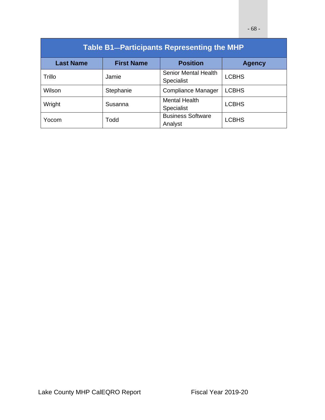| <b>Table B1-Participants Representing the MHP</b> |                   |                                           |               |  |
|---------------------------------------------------|-------------------|-------------------------------------------|---------------|--|
| <b>Last Name</b>                                  | <b>First Name</b> | <b>Position</b>                           | <b>Agency</b> |  |
| Trillo                                            | Jamie             | <b>Senior Mental Health</b><br>Specialist | <b>LCBHS</b>  |  |
| Wilson                                            | Stephanie         | <b>Compliance Manager</b>                 | <b>LCBHS</b>  |  |
| Wright                                            | Susanna           | <b>Mental Health</b><br>Specialist        | <b>LCBHS</b>  |  |
| Yocom                                             | Todd              | <b>Business Software</b><br>Analyst       | <b>LCBHS</b>  |  |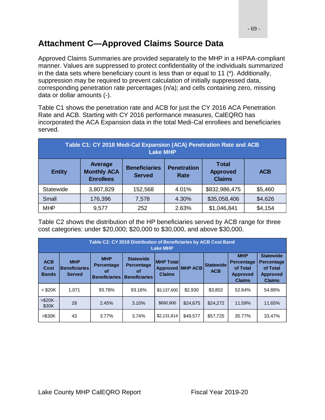## **Attachment C—Approved Claims Source Data**

Approved Claims Summaries are provided separately to the MHP in a HIPAA-compliant manner. Values are suppressed to protect confidentiality of the individuals summarized in the data sets where beneficiary count is less than or equal to 11 (\*). Additionally, suppression may be required to prevent calculation of initially suppressed data, corresponding penetration rate percentages (n/a); and cells containing zero, missing data or dollar amounts (-).

Table C1 shows the penetration rate and ACB for just the CY 2016 ACA Penetration Rate and ACB. Starting with CY 2016 performance measures, CalEQRO has incorporated the ACA Expansion data in the total Medi-Cal enrollees and beneficiaries served.

| Table C1: CY 2018 Medi-Cal Expansion (ACA) Penetration Rate and ACB<br><b>Lake MHP</b> |                                                   |                                       |                            |                                                  |            |
|----------------------------------------------------------------------------------------|---------------------------------------------------|---------------------------------------|----------------------------|--------------------------------------------------|------------|
| <b>Entity</b>                                                                          | Average<br><b>Monthly ACA</b><br><b>Enrollees</b> | <b>Beneficiaries</b><br><b>Served</b> | <b>Penetration</b><br>Rate | <b>Total</b><br><b>Approved</b><br><b>Claims</b> | <b>ACB</b> |
| Statewide                                                                              | 3,807,829                                         | 152,568                               | 4.01%                      | \$832,986,475                                    | \$5,460    |
| Small                                                                                  | 176,396                                           | 7,578                                 | 4.30%                      | \$35,058,406                                     | \$4,626    |
| <b>MHP</b>                                                                             | 9,577                                             | 252                                   | 2.63%                      | \$1,046,841                                      | \$4,154    |

Table C2 shows the distribution of the HP beneficiaries served by ACB range for three cost categories: under \$20,000; \$20,000 to \$30,000, and above \$30,000.

| Table C2: CY 2018 Distribution of Beneficiaries by ACB Cost Band<br><b>Lake MHP</b> |                                                     |                                                               |                                                                     |                                                               |          |                                |                                                                                 |                                                                                       |
|-------------------------------------------------------------------------------------|-----------------------------------------------------|---------------------------------------------------------------|---------------------------------------------------------------------|---------------------------------------------------------------|----------|--------------------------------|---------------------------------------------------------------------------------|---------------------------------------------------------------------------------------|
| <b>ACB</b><br>Cost<br><b>Bands</b>                                                  | <b>MHP</b><br><b>Beneficiaries</b><br><b>Served</b> | <b>MHP</b><br><b>Percentage</b><br>οf<br><b>Beneficiaries</b> | <b>Statewide</b><br><b>Percentage</b><br>οf<br><b>Beneficiaries</b> | <b>IMHP Total</b><br><b>Approved MHP ACB</b><br><b>Claims</b> |          | <b>Statewide</b><br><b>ACB</b> | <b>MHP</b><br><b>Percentage</b><br>of Total<br><b>Approved</b><br><b>Claims</b> | <b>Statewide</b><br><b>Percentage</b><br>of Total<br><b>Approved</b><br><b>Claims</b> |
| $<$ \$20K                                                                           | 1.071                                               | 93.78%                                                        | 93.16%                                                              | \$3,137,600                                                   | \$2,930  | \$3,802                        | 52.64%                                                                          | 54.88%                                                                                |
| $> $20K -$<br>\$30K                                                                 | 28                                                  | 2.45%                                                         | 3.10%                                                               | \$690,900                                                     | \$24,675 | \$24,272                       | 11.59%                                                                          | 11.65%                                                                                |
| > \$30K                                                                             | 43                                                  | 3.77%                                                         | 3.74%                                                               | \$2,131,814                                                   | \$49.577 | \$57.725                       | 35.77%                                                                          | 33.47%                                                                                |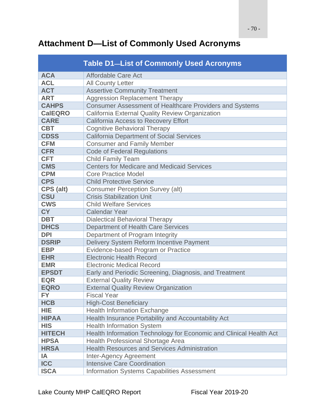# **Attachment D—List of Commonly Used Acronyms**

|                | <b>Table D1-List of Commonly Used Acronyms</b>                     |  |  |  |
|----------------|--------------------------------------------------------------------|--|--|--|
| <b>ACA</b>     | Affordable Care Act                                                |  |  |  |
| <b>ACL</b>     | <b>All County Letter</b>                                           |  |  |  |
| <b>ACT</b>     | <b>Assertive Community Treatment</b>                               |  |  |  |
| <b>ART</b>     | <b>Aggression Replacement Therapy</b>                              |  |  |  |
| <b>CAHPS</b>   | Consumer Assessment of Healthcare Providers and Systems            |  |  |  |
| <b>CalEQRO</b> | California External Quality Review Organization                    |  |  |  |
| <b>CARE</b>    | <b>California Access to Recovery Effort</b>                        |  |  |  |
| <b>CBT</b>     | <b>Cognitive Behavioral Therapy</b>                                |  |  |  |
| <b>CDSS</b>    | <b>California Department of Social Services</b>                    |  |  |  |
| <b>CFM</b>     | <b>Consumer and Family Member</b>                                  |  |  |  |
| <b>CFR</b>     | <b>Code of Federal Regulations</b>                                 |  |  |  |
| <b>CFT</b>     | <b>Child Family Team</b>                                           |  |  |  |
| <b>CMS</b>     | <b>Centers for Medicare and Medicaid Services</b>                  |  |  |  |
| <b>CPM</b>     | <b>Core Practice Model</b>                                         |  |  |  |
| <b>CPS</b>     | <b>Child Protective Service</b>                                    |  |  |  |
| CPS (alt)      | <b>Consumer Perception Survey (alt)</b>                            |  |  |  |
| <b>CSU</b>     | <b>Crisis Stabilization Unit</b>                                   |  |  |  |
| <b>CWS</b>     | <b>Child Welfare Services</b>                                      |  |  |  |
| <b>CY</b>      | <b>Calendar Year</b>                                               |  |  |  |
| <b>DBT</b>     | <b>Dialectical Behavioral Therapy</b>                              |  |  |  |
| <b>DHCS</b>    | <b>Department of Health Care Services</b>                          |  |  |  |
| <b>DPI</b>     | Department of Program Integrity                                    |  |  |  |
| <b>DSRIP</b>   | Delivery System Reform Incentive Payment                           |  |  |  |
| <b>EBP</b>     | Evidence-based Program or Practice                                 |  |  |  |
| <b>EHR</b>     | <b>Electronic Health Record</b>                                    |  |  |  |
| <b>EMR</b>     | <b>Electronic Medical Record</b>                                   |  |  |  |
| <b>EPSDT</b>   | Early and Periodic Screening, Diagnosis, and Treatment             |  |  |  |
| <b>EQR</b>     | <b>External Quality Review</b>                                     |  |  |  |
| <b>EQRO</b>    | <b>External Quality Review Organization</b>                        |  |  |  |
| <b>FY</b>      | <b>Fiscal Year</b>                                                 |  |  |  |
| <b>HCB</b>     | <b>High-Cost Beneficiary</b>                                       |  |  |  |
| <b>HIE</b>     | <b>Health Information Exchange</b>                                 |  |  |  |
| <b>HIPAA</b>   | Health Insurance Portability and Accountability Act                |  |  |  |
| <b>HIS</b>     | <b>Health Information System</b>                                   |  |  |  |
| <b>HITECH</b>  | Health Information Technology for Economic and Clinical Health Act |  |  |  |
| <b>HPSA</b>    | <b>Health Professional Shortage Area</b>                           |  |  |  |
| <b>HRSA</b>    | <b>Health Resources and Services Administration</b>                |  |  |  |
| IA             | <b>Inter-Agency Agreement</b>                                      |  |  |  |
| <b>ICC</b>     | <b>Intensive Care Coordination</b>                                 |  |  |  |
| <b>ISCA</b>    | <b>Information Systems Capabilities Assessment</b>                 |  |  |  |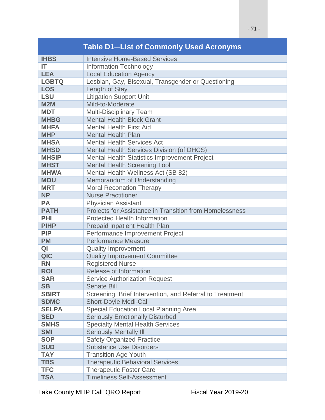|              | <b>Table D1-List of Commonly Used Acronyms</b>           |  |  |  |
|--------------|----------------------------------------------------------|--|--|--|
| <b>IHBS</b>  | <b>Intensive Home-Based Services</b>                     |  |  |  |
| IT           | <b>Information Technology</b>                            |  |  |  |
| <b>LEA</b>   | <b>Local Education Agency</b>                            |  |  |  |
| <b>LGBTQ</b> | Lesbian, Gay, Bisexual, Transgender or Questioning       |  |  |  |
| <b>LOS</b>   | Length of Stay                                           |  |  |  |
| <b>LSU</b>   | <b>Litigation Support Unit</b>                           |  |  |  |
| <b>M2M</b>   | Mild-to-Moderate                                         |  |  |  |
| <b>MDT</b>   | <b>Multi-Disciplinary Team</b>                           |  |  |  |
| <b>MHBG</b>  | <b>Mental Health Block Grant</b>                         |  |  |  |
| <b>MHFA</b>  | <b>Mental Health First Aid</b>                           |  |  |  |
| <b>MHP</b>   | <b>Mental Health Plan</b>                                |  |  |  |
| <b>MHSA</b>  | <b>Mental Health Services Act</b>                        |  |  |  |
| <b>MHSD</b>  | <b>Mental Health Services Division (of DHCS)</b>         |  |  |  |
| <b>MHSIP</b> | Mental Health Statistics Improvement Project             |  |  |  |
| <b>MHST</b>  | <b>Mental Health Screening Tool</b>                      |  |  |  |
| <b>MHWA</b>  | Mental Health Wellness Act (SB 82)                       |  |  |  |
| <b>MOU</b>   | Memorandum of Understanding                              |  |  |  |
| <b>MRT</b>   | <b>Moral Reconation Therapy</b>                          |  |  |  |
| <b>NP</b>    | <b>Nurse Practitioner</b>                                |  |  |  |
| <b>PA</b>    | <b>Physician Assistant</b>                               |  |  |  |
| <b>PATH</b>  | Projects for Assistance in Transition from Homelessness  |  |  |  |
| PHI          | <b>Protected Health Information</b>                      |  |  |  |
| <b>PIHP</b>  | Prepaid Inpatient Health Plan                            |  |  |  |
| <b>PIP</b>   | Performance Improvement Project                          |  |  |  |
| <b>PM</b>    | <b>Performance Measure</b>                               |  |  |  |
| QI           | <b>Quality Improvement</b>                               |  |  |  |
| QIC          | <b>Quality Improvement Committee</b>                     |  |  |  |
| <b>RN</b>    | <b>Registered Nurse</b>                                  |  |  |  |
| <b>ROI</b>   | Release of Information                                   |  |  |  |
| <b>SAR</b>   | <b>Service Authorization Request</b>                     |  |  |  |
| <b>SB</b>    | <b>Senate Bill</b>                                       |  |  |  |
| <b>SBIRT</b> | Screening, Brief Intervention, and Referral to Treatment |  |  |  |
| <b>SDMC</b>  | <b>Short-Doyle Medi-Cal</b>                              |  |  |  |
| <b>SELPA</b> | <b>Special Education Local Planning Area</b>             |  |  |  |
| <b>SED</b>   | <b>Seriously Emotionally Disturbed</b>                   |  |  |  |
| <b>SMHS</b>  | <b>Specialty Mental Health Services</b>                  |  |  |  |
| <b>SMI</b>   | <b>Seriously Mentally III</b>                            |  |  |  |
| <b>SOP</b>   | <b>Safety Organized Practice</b>                         |  |  |  |
| <b>SUD</b>   | <b>Substance Use Disorders</b>                           |  |  |  |
| <b>TAY</b>   | <b>Transition Age Youth</b>                              |  |  |  |
| <b>TBS</b>   | <b>Therapeutic Behavioral Services</b>                   |  |  |  |
| <b>TFC</b>   | <b>Therapeutic Foster Care</b>                           |  |  |  |
| <b>TSA</b>   | <b>Timeliness Self-Assessment</b>                        |  |  |  |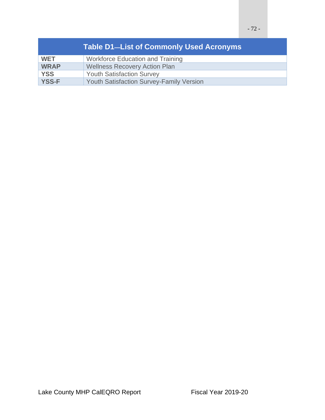|              | <b>Table D1-List of Commonly Used Acronyms</b>  |
|--------------|-------------------------------------------------|
| <b>WET</b>   | <b>Workforce Education and Training</b>         |
| <b>WRAP</b>  | <b>Wellness Recovery Action Plan</b>            |
| <b>YSS</b>   | <b>Youth Satisfaction Survey</b>                |
| <b>YSS-F</b> | <b>Youth Satisfaction Survey-Family Version</b> |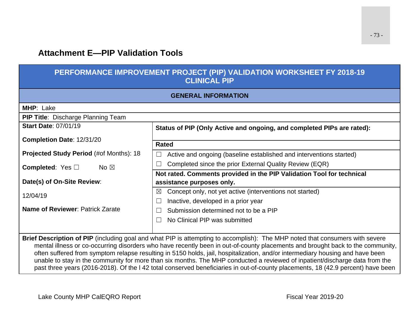# **Attachment E—PIP Validation Tools**

## **PERFORMANCE IMPROVEMENT PROJECT (PIP) VALIDATION WORKSHEET FY 2018-19 CLINICAL PIP**

| <b>GENERAL INFORMATION</b>                                                                                                                                                                                                                                                                                                                                                                                                                                                                                                     |                                                                                      |  |  |  |
|--------------------------------------------------------------------------------------------------------------------------------------------------------------------------------------------------------------------------------------------------------------------------------------------------------------------------------------------------------------------------------------------------------------------------------------------------------------------------------------------------------------------------------|--------------------------------------------------------------------------------------|--|--|--|
| MHP: Lake                                                                                                                                                                                                                                                                                                                                                                                                                                                                                                                      |                                                                                      |  |  |  |
| <b>PIP Title: Discharge Planning Team</b>                                                                                                                                                                                                                                                                                                                                                                                                                                                                                      |                                                                                      |  |  |  |
| <b>Start Date: 07/01/19</b>                                                                                                                                                                                                                                                                                                                                                                                                                                                                                                    | Status of PIP (Only Active and ongoing, and completed PIPs are rated):               |  |  |  |
| Completion Date: 12/31/20                                                                                                                                                                                                                                                                                                                                                                                                                                                                                                      | <b>Rated</b>                                                                         |  |  |  |
| Projected Study Period (#of Months): 18                                                                                                                                                                                                                                                                                                                                                                                                                                                                                        | Active and ongoing (baseline established and interventions started)<br>$\mathcal{L}$ |  |  |  |
| <b>Completed:</b> Yes $\Box$<br>No $\boxtimes$                                                                                                                                                                                                                                                                                                                                                                                                                                                                                 | Completed since the prior External Quality Review (EQR)                              |  |  |  |
|                                                                                                                                                                                                                                                                                                                                                                                                                                                                                                                                | Not rated. Comments provided in the PIP Validation Tool for technical                |  |  |  |
| Date(s) of On-Site Review:                                                                                                                                                                                                                                                                                                                                                                                                                                                                                                     | assistance purposes only.                                                            |  |  |  |
| 12/04/19                                                                                                                                                                                                                                                                                                                                                                                                                                                                                                                       | Concept only, not yet active (interventions not started)<br>⊠                        |  |  |  |
|                                                                                                                                                                                                                                                                                                                                                                                                                                                                                                                                | Inactive, developed in a prior year                                                  |  |  |  |
| Name of Reviewer: Patrick Zarate                                                                                                                                                                                                                                                                                                                                                                                                                                                                                               | Submission determined not to be a PIP                                                |  |  |  |
|                                                                                                                                                                                                                                                                                                                                                                                                                                                                                                                                | No Clinical PIP was submitted                                                        |  |  |  |
|                                                                                                                                                                                                                                                                                                                                                                                                                                                                                                                                |                                                                                      |  |  |  |
| Brief Description of PIP (including goal and what PIP is attempting to accomplish): The MHP noted that consumers with severe<br>mental illness or co-occurring disorders who have recently been in out-of-county placements and brought back to the community,<br>often suffered from symptom relapse resulting in 5150 holds, jail, hospitalization, and/or intermediary housing and have been<br>unable to stay in the community for more than six months. The MHP conducted a reviewed of inpatient/discharge data from the |                                                                                      |  |  |  |
| past three years (2016-2018). Of the I 42 total conserved beneficiaries in out-of-county placements, 18 (42.9 percent) have been                                                                                                                                                                                                                                                                                                                                                                                               |                                                                                      |  |  |  |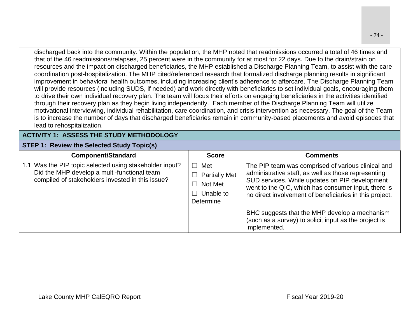discharged back into the community. Within the population, the MHP noted that readmissions occurred a total of 46 times and that of the 46 readmissions/relapses, 25 percent were in the community for at most for 22 days. Due to the drain/strain on resources and the impact on discharged beneficiaries, the MHP established a Discharge Planning Team, to assist with the care coordination post-hospitalization. The MHP cited/referenced research that formalized discharge planning results in significant improvement in behavioral health outcomes, including increasing client's adherence to aftercare. The Discharge Planning Team will provide resources (including SUDS, if needed) and work directly with beneficiaries to set individual goals, encouraging them to drive their own individual recovery plan. The team will focus their efforts on engaging beneficiaries in the activities identified through their recovery plan as they begin living independently. Each member of the Discharge Planning Team will utilize motivational interviewing, individual rehabilitation, care coordination, and crisis intervention as necessary. The goal of the Team is to increase the number of days that discharged beneficiaries remain in community-based placements and avoid episodes that

### **ACTIVITY 1: ASSESS THE STUDY METHODOLOGY**

#### **STEP 1: Review the Selected Study Topic(s)**

lead to rehospitalization.

| <b>Component/Standard</b>                                                                                                                                  | <b>Score</b>                                                     | <b>Comments</b>                                                                                                                                                                                                                                                               |
|------------------------------------------------------------------------------------------------------------------------------------------------------------|------------------------------------------------------------------|-------------------------------------------------------------------------------------------------------------------------------------------------------------------------------------------------------------------------------------------------------------------------------|
| 1.1 Was the PIP topic selected using stakeholder input?<br>Did the MHP develop a multi-functional team<br>compiled of stakeholders invested in this issue? | Met<br><b>Partially Met</b><br>Not Met<br>Unable to<br>Determine | The PIP team was comprised of various clinical and<br>administrative staff, as well as those representing<br>SUD services. While updates on PIP development<br>went to the QIC, which has consumer input, there is<br>no direct involvement of beneficiaries in this project. |
|                                                                                                                                                            |                                                                  | BHC suggests that the MHP develop a mechanism<br>(such as a survey) to solicit input as the project is<br>implemented.                                                                                                                                                        |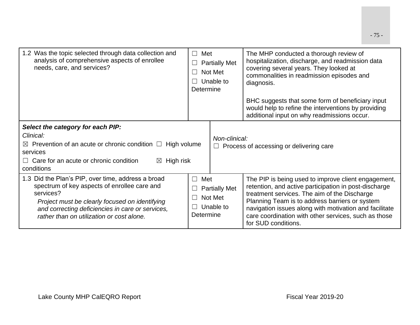| 1.2 Was the topic selected through data collection and<br>analysis of comprehensive aspects of enrollee<br>needs, care, and services?                                                                                                                              | Met<br>$\perp$<br><b>Partially Met</b><br>Not Met<br>Unable to<br>Determine |                                              | The MHP conducted a thorough review of<br>hospitalization, discharge, and readmission data<br>covering several years. They looked at<br>commonalities in readmission episodes and<br>diagnosis.<br>BHC suggests that some form of beneficiary input<br>would help to refine the interventions by providing<br>additional input on why readmissions occur. |
|--------------------------------------------------------------------------------------------------------------------------------------------------------------------------------------------------------------------------------------------------------------------|-----------------------------------------------------------------------------|----------------------------------------------|-----------------------------------------------------------------------------------------------------------------------------------------------------------------------------------------------------------------------------------------------------------------------------------------------------------------------------------------------------------|
| Select the category for each PIP:<br>Clinical:<br>Prevention of an acute or chronic condition $\Box$<br>$\boxtimes$<br>services<br>Care for an acute or chronic condition<br>High risk<br>$\boxtimes$<br>conditions                                                | Non-clinical:<br>High volume                                                |                                              | Process of accessing or delivering care                                                                                                                                                                                                                                                                                                                   |
| 1.3 Did the Plan's PIP, over time, address a broad<br>spectrum of key aspects of enrollee care and<br>services?<br>Project must be clearly focused on identifying<br>and correcting deficiencies in care or services,<br>rather than on utilization or cost alone. | Met<br>$\Box$<br>- 1<br>Determine                                           | <b>Partially Met</b><br>Not Met<br>Unable to | The PIP is being used to improve client engagement,<br>retention, and active participation in post-discharge<br>treatment services. The aim of the Discharge<br>Planning Team is to address barriers or system<br>navigation issues along with motivation and facilitate<br>care coordination with other services, such as those<br>for SUD conditions.   |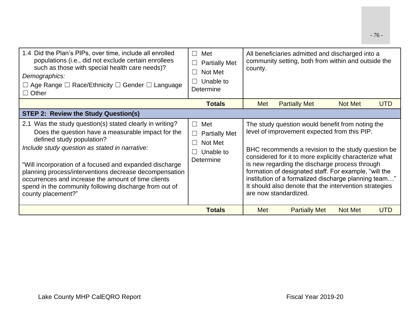| 1.4 Did the Plan's PIPs, over time, include all enrolled<br>populations (i.e., did not exclude certain enrollees<br>such as those with special health care needs)?<br>Demographics:<br>$\Box$ Age Range $\Box$ Race/Ethnicity $\Box$ Gender $\Box$ Language<br>$\Box$ Other                                                                                                                                                                               | Met<br>$\Box$<br><b>Partially Met</b><br>$\Box$<br>Not Met<br>$\Box$<br>Unable to<br>Determine                                 | county. | All beneficiaries admitted and discharged into a<br>community setting, both from within and outside the                                                                                                                                                                                                                                                                                                                                                                |                |            |
|-----------------------------------------------------------------------------------------------------------------------------------------------------------------------------------------------------------------------------------------------------------------------------------------------------------------------------------------------------------------------------------------------------------------------------------------------------------|--------------------------------------------------------------------------------------------------------------------------------|---------|------------------------------------------------------------------------------------------------------------------------------------------------------------------------------------------------------------------------------------------------------------------------------------------------------------------------------------------------------------------------------------------------------------------------------------------------------------------------|----------------|------------|
|                                                                                                                                                                                                                                                                                                                                                                                                                                                           | <b>Totals</b>                                                                                                                  | Met     | <b>Partially Met</b>                                                                                                                                                                                                                                                                                                                                                                                                                                                   | <b>Not Met</b> | <b>UTD</b> |
| <b>STEP 2: Review the Study Question(s)</b>                                                                                                                                                                                                                                                                                                                                                                                                               |                                                                                                                                |         |                                                                                                                                                                                                                                                                                                                                                                                                                                                                        |                |            |
| 2.1 Was the study question(s) stated clearly in writing?<br>Does the question have a measurable impact for the<br>defined study population?<br>Include study question as stated in narrative:<br>"Will incorporation of a focused and expanded discharge<br>planning process/interventions decrease decompensation<br>occurrences and increase the amount of time clients<br>spend in the community following discharge from out of<br>county placement?" | Met<br>$\Box$<br><b>Partially Met</b><br>$\Box$<br>Not Met<br>$\vert \ \ \vert$<br>Unable to<br>$\vert \ \ \vert$<br>Determine |         | The study question would benefit from noting the<br>level of improvement expected from this PIP.<br>BHC recommends a revision to the study question be<br>considered for it to more explicitly characterize what<br>is new regarding the discharge process through<br>formation of designated staff. For example, "will the<br>institution of a formalized discharge planning team"<br>It should also denote that the intervention strategies<br>are now standardized. |                |            |
|                                                                                                                                                                                                                                                                                                                                                                                                                                                           | <b>Totals</b>                                                                                                                  | Met     | <b>Partially Met</b>                                                                                                                                                                                                                                                                                                                                                                                                                                                   | <b>Not Met</b> | <b>UTD</b> |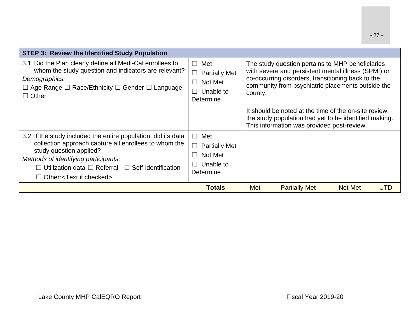| <b>STEP 3: Review the Identified Study Population</b>                                                                                                                                                                                                                                               |                                                                                                        |         |                                                                                                                                                                                                                   |                |     |
|-----------------------------------------------------------------------------------------------------------------------------------------------------------------------------------------------------------------------------------------------------------------------------------------------------|--------------------------------------------------------------------------------------------------------|---------|-------------------------------------------------------------------------------------------------------------------------------------------------------------------------------------------------------------------|----------------|-----|
| 3.1 Did the Plan clearly define all Medi-Cal enrollees to<br>whom the study question and indicators are relevant?<br>Demographics:<br>$\Box$ Age Range $\Box$ Race/Ethnicity $\Box$ Gender $\Box$ Language<br>$\Box$ Other                                                                          | Met<br>$\Box$<br><b>Partially Met</b><br>$\Box$<br>Not Met<br>$\blacksquare$<br>Unable to<br>Determine | county. | The study question pertains to MHP beneficiaries<br>with severe and persistent mental illness (SPMI) or<br>co-occurring disorders, transitioning back to the<br>community from psychiatric placements outside the |                |     |
|                                                                                                                                                                                                                                                                                                     |                                                                                                        |         | It should be noted at the time of the on-site review.<br>the study population had yet to be identified making.<br>This information was provided post-review.                                                      |                |     |
| 3.2 If the study included the entire population, did its data<br>collection approach capture all enrollees to whom the<br>study question applied?<br>Methods of identifying participants:<br>$\Box$ Utilization data $\Box$ Referral $\Box$ Self-identification<br>$\Box$ Other: < Text if checked> | Met<br>П<br>$\Box$<br><b>Partially Met</b><br>Not Met<br>Unable to<br>Determine                        |         |                                                                                                                                                                                                                   |                |     |
|                                                                                                                                                                                                                                                                                                     | <b>Totals</b>                                                                                          | Met     | <b>Partially Met</b>                                                                                                                                                                                              | <b>Not Met</b> | UTD |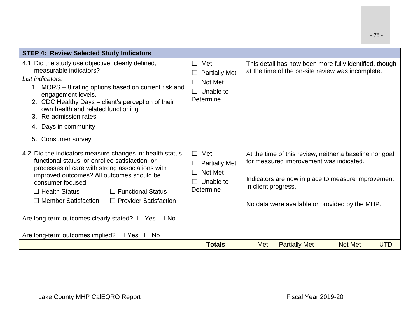| <b>STEP 4: Review Selected Study Indicators</b>                                                                                                                                                                                                                                                                                                                                                                                                                            |                                                                                                |                                                                                                                                                                                                                                   |
|----------------------------------------------------------------------------------------------------------------------------------------------------------------------------------------------------------------------------------------------------------------------------------------------------------------------------------------------------------------------------------------------------------------------------------------------------------------------------|------------------------------------------------------------------------------------------------|-----------------------------------------------------------------------------------------------------------------------------------------------------------------------------------------------------------------------------------|
| 4.1 Did the study use objective, clearly defined,<br>measurable indicators?<br>List indicators:<br>1. MORS – 8 rating options based on current risk and<br>engagement levels.<br>2. CDC Healthy Days – client's perception of their<br>own health and related functioning<br>3. Re-admission rates<br>4. Days in community<br>Consumer survey<br>5.                                                                                                                        | Met<br>$\Box$<br><b>Partially Met</b><br>Not Met<br>$\Box$<br>Unable to<br>$\Box$<br>Determine | This detail has now been more fully identified, though<br>at the time of the on-site review was incomplete.                                                                                                                       |
| 4.2 Did the indicators measure changes in: health status,<br>functional status, or enrollee satisfaction, or<br>processes of care with strong associations with<br>improved outcomes? All outcomes should be<br>consumer focused.<br>$\Box$ Functional Status<br>$\Box$ Health Status<br>$\Box$ Member Satisfaction<br>$\Box$ Provider Satisfaction<br>Are long-term outcomes clearly stated? $\Box$ Yes $\Box$ No<br>Are long-term outcomes implied? $\Box$ Yes $\Box$ No | Met<br>$\perp$<br><b>Partially Met</b><br>Not Met<br>$\perp$<br>Unable to<br>Determine         | At the time of this review, neither a baseline nor goal<br>for measured improvement was indicated.<br>Indicators are now in place to measure improvement<br>in client progress.<br>No data were available or provided by the MHP. |
|                                                                                                                                                                                                                                                                                                                                                                                                                                                                            | <b>Totals</b>                                                                                  | Met<br><b>Partially Met</b><br><b>Not Met</b><br><b>UTD</b>                                                                                                                                                                       |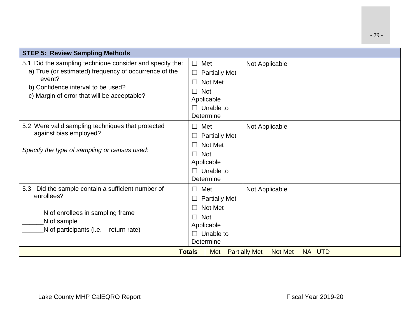| <b>STEP 5: Review Sampling Methods</b>                                                                                                                                                                           |                                                                                                                                                   |                                                  |  |
|------------------------------------------------------------------------------------------------------------------------------------------------------------------------------------------------------------------|---------------------------------------------------------------------------------------------------------------------------------------------------|--------------------------------------------------|--|
| 5.1 Did the sampling technique consider and specify the:<br>a) True (or estimated) frequency of occurrence of the<br>event?<br>b) Confidence interval to be used?<br>c) Margin of error that will be acceptable? | Met<br>$\Box$<br><b>Partially Met</b><br>Not Met<br><b>Not</b><br>$\vert \ \ \vert$<br>Applicable<br>$\Box$ Unable to<br>Determine                | Not Applicable                                   |  |
| 5.2 Were valid sampling techniques that protected<br>against bias employed?<br>Specify the type of sampling or census used:                                                                                      | Met<br>$\Box$<br><b>Partially Met</b><br>ப<br>Not Met<br>$\vert \ \ \vert$<br><b>Not</b><br>$\Box$<br>Applicable<br>$\Box$ Unable to<br>Determine | Not Applicable                                   |  |
| Did the sample contain a sufficient number of<br>5.3<br>enrollees?<br>N of enrollees in sampling frame<br>N of sample<br>N of participants (i.e. – return rate)                                                  | Met<br>$\Box$<br><b>Partially Met</b><br>$\Box$<br>Not Met<br>П<br><b>Not</b><br>$\Box$<br>Applicable<br>Unable to<br>$\Box$<br>Determine         | Not Applicable                                   |  |
|                                                                                                                                                                                                                  | <b>Totals</b><br><b>Met</b>                                                                                                                       | NA UTD<br><b>Partially Met</b><br><b>Not Met</b> |  |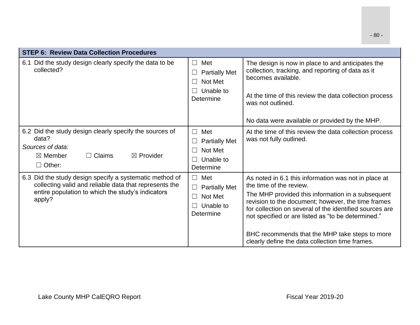|  | ow in place to and anticipa |  |
|--|-----------------------------|--|

| <b>STEP 6: Review Data Collection Procedures</b>                                                                                                                                 |                                                                                                  |                                                                                                                                                                                                                                                                                                                                                                                                                  |
|----------------------------------------------------------------------------------------------------------------------------------------------------------------------------------|--------------------------------------------------------------------------------------------------|------------------------------------------------------------------------------------------------------------------------------------------------------------------------------------------------------------------------------------------------------------------------------------------------------------------------------------------------------------------------------------------------------------------|
| 6.1 Did the study design clearly specify the data to be<br>collected?                                                                                                            | $\Box$ Met<br><b>Partially Met</b><br>Not Met<br>$\perp$<br>Unable to<br>Determine               | The design is now in place to and anticipates the<br>collection, tracking, and reporting of data as it<br>becomes available.<br>At the time of this review the data collection process<br>was not outlined.                                                                                                                                                                                                      |
|                                                                                                                                                                                  |                                                                                                  | No data were available or provided by the MHP.                                                                                                                                                                                                                                                                                                                                                                   |
| 6.2 Did the study design clearly specify the sources of<br>data?<br>Sources of data:<br>$\boxtimes$ Provider<br>$\Box$ Claims<br>$\boxtimes$ Member<br>$\Box$ Other:             | Met<br>$\Box$<br><b>Partially Met</b><br>Not Met<br>$\perp$<br>Unable to<br>$\perp$<br>Determine | At the time of this review the data collection process<br>was not fully outlined.                                                                                                                                                                                                                                                                                                                                |
| 6.3 Did the study design specify a systematic method of<br>collecting valid and reliable data that represents the<br>entire population to which the study's indicators<br>apply? | $\Box$ Met<br><b>Partially Met</b><br>Not Met<br>$\Box$<br>Unable to<br>Determine                | As noted in 6.1 this information was not in place at<br>the time of the review.<br>The MHP provided this information in a subsequent<br>revision to the document; however, the time frames<br>for collection on several of the identified sources are<br>not specified or are listed as "to be determined."<br>BHC recommends that the MHP take steps to more<br>clearly define the data collection time frames. |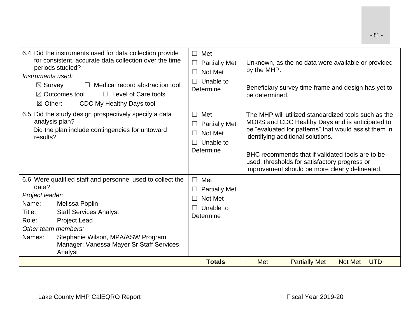| 6.4 Did the instruments used for data collection provide<br>for consistent, accurate data collection over the time<br>periods studied?<br>Instruments used:<br>$\boxtimes$ Survey<br>Medical record abstraction tool<br>$\Box$ Level of Care tools<br>$\boxtimes$ Outcomes tool<br>$\boxtimes$ Other:<br>CDC My Healthy Days tool | Met<br>$\Box$<br><b>Partially Met</b><br>$\Box$<br>Not Met<br>$\Box$<br>Unable to<br>Determine  | Unknown, as the no data were available or provided<br>by the MHP.<br>Beneficiary survey time frame and design has yet to<br>be determined.                                                                                                                                                                                                                   |
|-----------------------------------------------------------------------------------------------------------------------------------------------------------------------------------------------------------------------------------------------------------------------------------------------------------------------------------|-------------------------------------------------------------------------------------------------|--------------------------------------------------------------------------------------------------------------------------------------------------------------------------------------------------------------------------------------------------------------------------------------------------------------------------------------------------------------|
| 6.5 Did the study design prospectively specify a data<br>analysis plan?<br>Did the plan include contingencies for untoward<br>results?                                                                                                                                                                                            | Met<br>$\Box$<br><b>Partially Met</b><br>Not Met<br>$\perp$<br>Unable to<br>П<br>Determine      | The MHP will utilized standardized tools such as the<br>MORS and CDC Healthy Days and is anticipated to<br>be "evaluated for patterns" that would assist them in<br>identifying additional solutions.<br>BHC recommends that if validated tools are to be<br>used, thresholds for satisfactory progress or<br>improvement should be more clearly delineated. |
| 6.6 Were qualified staff and personnel used to collect the<br>data?<br>Project leader:<br>Name:<br>Melissa Poplin<br>Title:<br><b>Staff Services Analyst</b><br>Role:<br><b>Project Lead</b><br>Other team members:<br>Stephanie Wilson, MPA/ASW Program<br>Names:<br>Manager; Vanessa Mayer Sr Staff Services<br>Analyst         | Met<br>$\Box$<br><b>Partially Met</b><br>⊔<br>Not Met<br>$\perp$<br>Unable to<br>П<br>Determine |                                                                                                                                                                                                                                                                                                                                                              |
|                                                                                                                                                                                                                                                                                                                                   | <b>Totals</b>                                                                                   | <b>Met</b><br><b>Partially Met</b><br><b>Not Met</b><br><b>UTD</b>                                                                                                                                                                                                                                                                                           |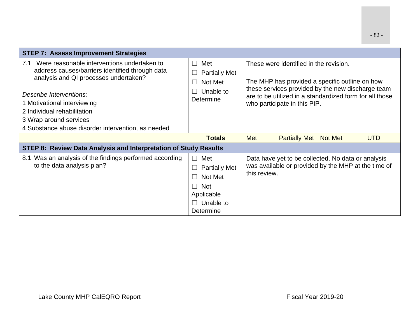| <b>STEP 7: Assess Improvement Strategies</b>                                                                                                                                                                                                                                                                         |                                                                                                                          |                                                                                                                                                                                                                                          |
|----------------------------------------------------------------------------------------------------------------------------------------------------------------------------------------------------------------------------------------------------------------------------------------------------------------------|--------------------------------------------------------------------------------------------------------------------------|------------------------------------------------------------------------------------------------------------------------------------------------------------------------------------------------------------------------------------------|
| 7.1 Were reasonable interventions undertaken to<br>address causes/barriers identified through data<br>analysis and QI processes undertaken?<br>Describe Interventions:<br>1 Motivational interviewing<br>2 Individual rehabilitation<br>3 Wrap around services<br>4 Substance abuse disorder intervention, as needed | $\Box$<br>Met<br><b>Partially Met</b><br>Not Met<br>Unable to<br>Determine                                               | These were identified in the revision.<br>The MHP has provided a specific outline on how<br>these services provided by the new discharge team<br>are to be utilized in a standardized form for all those<br>who participate in this PIP. |
|                                                                                                                                                                                                                                                                                                                      | <b>Totals</b>                                                                                                            | <b>Met</b><br><b>Partially Met</b><br><b>Not Met</b><br><b>UTD</b>                                                                                                                                                                       |
| STEP 8: Review Data Analysis and Interpretation of Study Results                                                                                                                                                                                                                                                     |                                                                                                                          |                                                                                                                                                                                                                                          |
| 8.1 Was an analysis of the findings performed according<br>to the data analysis plan?                                                                                                                                                                                                                                | $\Box$ Met<br><b>Partially Met</b><br>Not Met<br>$\perp$<br><b>Not</b><br>$\Box$<br>Applicable<br>Unable to<br>Determine | Data have yet to be collected. No data or analysis<br>was available or provided by the MHP at the time of<br>this review.                                                                                                                |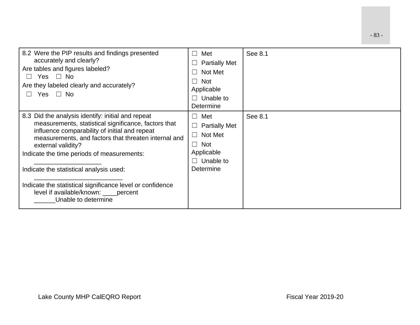| 8.2 Were the PIP results and findings presented<br>accurately and clearly?<br>Are tables and figures labeled?<br>Yes $\Box$ No<br>$\perp$<br>Are they labeled clearly and accurately?<br>Yes $\Box$ No                                                                                                                                                                                                                                                         | Met<br>$\vert \ \ \vert$<br><b>Partially Met</b><br>Not Met<br><b>Not</b><br>$\Box$<br>Applicable<br>Unable to<br>Determine | See 8.1 |
|----------------------------------------------------------------------------------------------------------------------------------------------------------------------------------------------------------------------------------------------------------------------------------------------------------------------------------------------------------------------------------------------------------------------------------------------------------------|-----------------------------------------------------------------------------------------------------------------------------|---------|
| 8.3 Did the analysis identify: initial and repeat<br>measurements, statistical significance, factors that<br>influence comparability of initial and repeat<br>measurements, and factors that threaten internal and<br>external validity?<br>Indicate the time periods of measurements:<br>Indicate the statistical analysis used:<br>Indicate the statistical significance level or confidence<br>level if available/known: ____percent<br>Unable to determine | Met<br>$\vert \ \ \vert$<br><b>Partially Met</b><br>Not Met<br><b>Not</b><br>$\Box$<br>Applicable<br>Unable to<br>Determine | See 8.1 |

- 83 -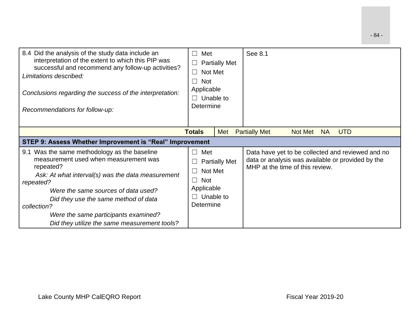| 8.4 Did the analysis of the study data include an<br>interpretation of the extent to which this PIP was<br>successful and recommend any follow-up activities?<br>Limitations described:<br>Conclusions regarding the success of the interpretation:<br>Recommendations for follow-up:                                                                      | Met<br>$\vert \ \ \vert$<br>Not Met<br><b>Not</b><br>$\Box$<br>Applicable<br>Unable to<br>Determine      | <b>Partially Met</b> | See 8.1                                                                                                                                   |
|------------------------------------------------------------------------------------------------------------------------------------------------------------------------------------------------------------------------------------------------------------------------------------------------------------------------------------------------------------|----------------------------------------------------------------------------------------------------------|----------------------|-------------------------------------------------------------------------------------------------------------------------------------------|
|                                                                                                                                                                                                                                                                                                                                                            | <b>Totals</b>                                                                                            | Met                  | <b>Partially Met</b><br><b>UTD</b><br>Not Met<br><b>NA</b>                                                                                |
| STEP 9: Assess Whether Improvement is "Real" Improvement                                                                                                                                                                                                                                                                                                   |                                                                                                          |                      |                                                                                                                                           |
| 9.1 Was the same methodology as the baseline<br>measurement used when measurement was<br>repeated?<br>Ask: At what interval(s) was the data measurement<br>repeated?<br>Were the same sources of data used?<br>Did they use the same method of data<br>collection?<br>Were the same participants examined?<br>Did they utilize the same measurement tools? | Met<br>$\blacksquare$<br>Not Met<br><b>Not</b><br>$\blacksquare$<br>Applicable<br>Unable to<br>Determine | <b>Partially Met</b> | Data have yet to be collected and reviewed and no<br>data or analysis was available or provided by the<br>MHP at the time of this review. |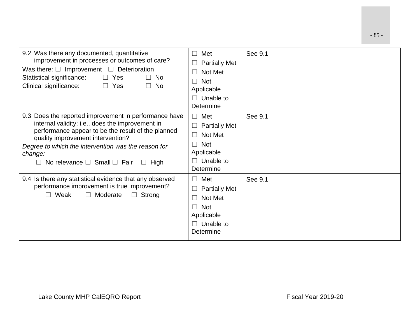| 9.2 Was there any documented, quantitative<br>improvement in processes or outcomes of care?<br>Was there: $\Box$ Improvement $\Box$ Deterioration<br>Statistical significance:<br>$\Box$ Yes<br><b>No</b><br>$\perp$<br>Clinical significance:<br>No<br>$\Box$ Yes<br>$\Box$                                                   | Met<br>$\vert \ \ \vert$<br><b>Partially Met</b><br>Not Met<br><b>Not</b><br>$\sim$<br>Applicable<br>Unable to<br>$\Box$<br>Determine | See 9.1 |
|--------------------------------------------------------------------------------------------------------------------------------------------------------------------------------------------------------------------------------------------------------------------------------------------------------------------------------|---------------------------------------------------------------------------------------------------------------------------------------|---------|
| 9.3 Does the reported improvement in performance have<br>internal validity; i.e., does the improvement in<br>performance appear to be the result of the planned<br>quality improvement intervention?<br>Degree to which the intervention was the reason for<br>change:<br>No relevance $\Box$ Small $\Box$ Fair<br>$\Box$ High | Met<br>$\Box$<br><b>Partially Met</b><br>Not Met<br><b>Not</b><br>$\mathcal{L}$<br>Applicable<br>Unable to<br>$\Box$<br>Determine     | See 9.1 |
| 9.4 Is there any statistical evidence that any observed<br>performance improvement is true improvement?<br>Weak<br>$\Box$ Strong<br>$\Box$ Moderate<br>$\Box$                                                                                                                                                                  | Met<br>$\vert \ \ \vert$<br><b>Partially Met</b><br>Not Met<br><b>Not</b><br>$\sim$<br>Applicable<br>Unable to<br>$\Box$<br>Determine | See 9.1 |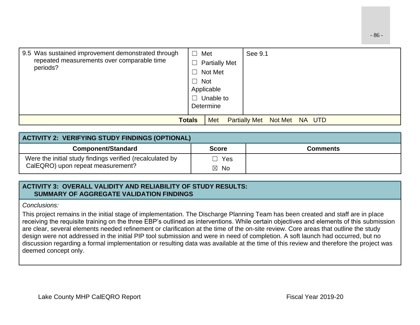| 9.5 Was sustained improvement demonstrated through<br>repeated measurements over comparable time<br>periods? | Met<br>⊔<br><b>Partially Met</b><br>Not Met<br>$\Box$<br>$\Box$ Not<br>Applicable<br>$\Box$<br>Unable to<br>Determine | See 9.1                                |
|--------------------------------------------------------------------------------------------------------------|-----------------------------------------------------------------------------------------------------------------------|----------------------------------------|
|                                                                                                              | <b>Totals</b><br>Met                                                                                                  | <b>Partially Met</b><br>Not Met NA UTD |

| <b>ACTIVITY 2: VERIFYING STUDY FINDINGS (OPTIONAL)</b>    |                |                 |
|-----------------------------------------------------------|----------------|-----------------|
| <b>Component/Standard</b>                                 | <b>Score</b>   | <b>Comments</b> |
| Were the initial study findings verified (recalculated by | Yes            |                 |
| CalEQRO) upon repeat measurement?                         | $\boxtimes$ No |                 |

#### **ACTIVITY 3: OVERALL VALIDITY AND RELIABILITY OF STUDY RESULTS: SUMMARY OF AGGREGATE VALIDATION FINDINGS**

*Conclusions:*

This project remains in the initial stage of implementation. The Discharge Planning Team has been created and staff are in place receiving the requisite training on the three EBP's outlined as interventions. While certain objectives and elements of this submission are clear, several elements needed refinement or clarification at the time of the on-site review. Core areas that outline the study design were not addressed in the initial PIP tool submission and were in need of completion. A soft launch had occurred, but no discussion regarding a formal implementation or resulting data was available at the time of this review and therefore the project was deemed concept only.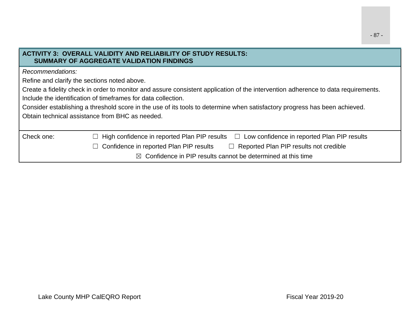| Create a fidelity check in order to monitor and assure consistent application of the intervention adherence to data requirements. |
|-----------------------------------------------------------------------------------------------------------------------------------|
|                                                                                                                                   |
|                                                                                                                                   |
|                                                                                                                                   |
|                                                                                                                                   |
|                                                                                                                                   |
|                                                                                                                                   |
|                                                                                                                                   |
|                                                                                                                                   |

- 87 -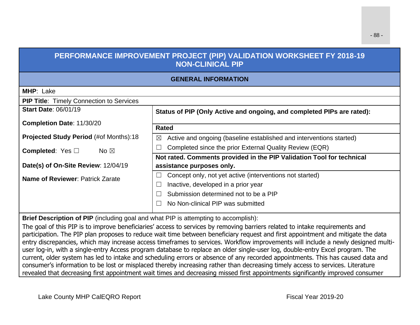## **PERFORMANCE IMPROVEMENT PROJECT (PIP) VALIDATION WORKSHEET FY 2018-19 NON-CLINICAL PIP**

### **GENERAL INFORMATION**

| <b>MHP: Lake</b>                                |                                                                                    |
|-------------------------------------------------|------------------------------------------------------------------------------------|
| <b>PIP Title: Timely Connection to Services</b> |                                                                                    |
| <b>Start Date: 06/01/19</b>                     | Status of PIP (Only Active and ongoing, and completed PIPs are rated):             |
| <b>Completion Date: 11/30/20</b>                |                                                                                    |
|                                                 | <b>Rated</b>                                                                       |
| Projected Study Period (#of Months):18          | Active and ongoing (baseline established and interventions started)<br>$\boxtimes$ |
| <b>Completed:</b> Yes $\Box$<br>No $\boxtimes$  | Completed since the prior External Quality Review (EQR)                            |
|                                                 | Not rated. Comments provided in the PIP Validation Tool for technical              |
| Date(s) of On-Site Review: 12/04/19             | assistance purposes only.                                                          |
| Name of Reviewer: Patrick Zarate                | Concept only, not yet active (interventions not started)                           |
|                                                 | Inactive, developed in a prior year                                                |
|                                                 | Submission determined not to be a PIP                                              |
|                                                 | No Non-clinical PIP was submitted                                                  |

**Brief Description of PIP** (including goal and what PIP is attempting to accomplish):

The goal of this PIP is to improve beneficiaries' access to services by removing barriers related to intake requirements and participation. The PIP plan proposes to reduce wait time between beneficiary request and first appointment and mitigate the data entry discrepancies, which may increase access timeframes to services. Workflow improvements will include a newly designed multiuser log-in, with a single-entry Access program database to replace an older single-user log, double-entry Excel program. The current, older system has led to intake and scheduling errors or absence of any recorded appointments. This has caused data and consumer's information to be lost or misplaced thereby increasing rather than decreasing timely access to services. Literature revealed that decreasing first appointment wait times and decreasing missed first appointments significantly improved consumer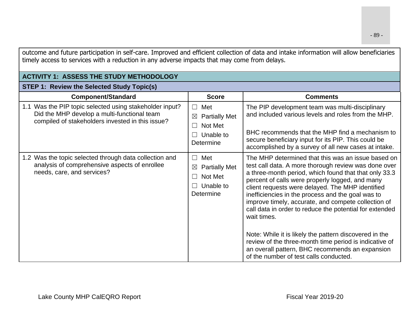| outcome and future participation in self-care. Improved and efficient collection of data and intake information will allow beneficiaries<br>timely access to services with a reduction in any adverse impacts that may come from delays. |                                                                                                                 |                                                                                                                                                                                                                                                                                                                                                                                                                                                                                                                                                                                                                                                                                   |  |
|------------------------------------------------------------------------------------------------------------------------------------------------------------------------------------------------------------------------------------------|-----------------------------------------------------------------------------------------------------------------|-----------------------------------------------------------------------------------------------------------------------------------------------------------------------------------------------------------------------------------------------------------------------------------------------------------------------------------------------------------------------------------------------------------------------------------------------------------------------------------------------------------------------------------------------------------------------------------------------------------------------------------------------------------------------------------|--|
| <b>ACTIVITY 1: ASSESS THE STUDY METHODOLOGY</b>                                                                                                                                                                                          |                                                                                                                 |                                                                                                                                                                                                                                                                                                                                                                                                                                                                                                                                                                                                                                                                                   |  |
| <b>STEP 1: Review the Selected Study Topic(s)</b>                                                                                                                                                                                        |                                                                                                                 |                                                                                                                                                                                                                                                                                                                                                                                                                                                                                                                                                                                                                                                                                   |  |
| <b>Component/Standard</b>                                                                                                                                                                                                                | <b>Score</b>                                                                                                    | <b>Comments</b>                                                                                                                                                                                                                                                                                                                                                                                                                                                                                                                                                                                                                                                                   |  |
| 1.1 Was the PIP topic selected using stakeholder input?<br>Did the MHP develop a multi-functional team<br>compiled of stakeholders invested in this issue?                                                                               | Met<br>$\perp$<br><b>Partially Met</b><br>$\boxtimes$<br>Not Met<br>$\vert \ \ \vert$<br>Unable to<br>Determine | The PIP development team was multi-disciplinary<br>and included various levels and roles from the MHP.<br>BHC recommends that the MHP find a mechanism to<br>secure beneficiary input for its PIP. This could be<br>accomplished by a survey of all new cases at intake.                                                                                                                                                                                                                                                                                                                                                                                                          |  |
| 1.2 Was the topic selected through data collection and<br>analysis of comprehensive aspects of enrollee<br>needs, care, and services?                                                                                                    | Met<br>$\Box$<br><b>Partially Met</b><br>$\boxtimes$<br>Not Met<br>$\blacksquare$<br>Unable to<br>Determine     | The MHP determined that this was an issue based on<br>test call data. A more thorough review was done over<br>a three-month period, which found that that only 33.3<br>percent of calls were properly logged, and many<br>client requests were delayed. The MHP identified<br>inefficiencies in the process and the goal was to<br>improve timely, accurate, and compete collection of<br>call data in order to reduce the potential for extended<br>wait times.<br>Note: While it is likely the pattern discovered in the<br>review of the three-month time period is indicative of<br>an overall pattern, BHC recommends an expansion<br>of the number of test calls conducted. |  |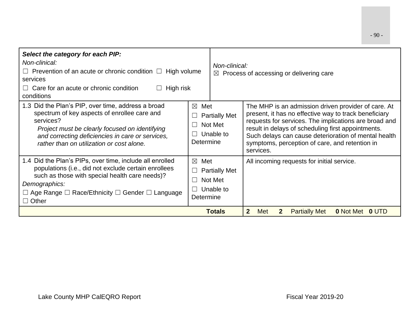| Select the category for each PIP:<br>Non-clinical:<br>$\Box$ Prevention of an acute or chronic condition $\Box$ High volume<br>services<br>Care for an acute or chronic condition<br>High risk<br>conditions                                                                | Non-clinical:<br>$\bowtie$                                                             | Process of accessing or delivering care                                                                                                                                                                                                                                                                                                            |
|-----------------------------------------------------------------------------------------------------------------------------------------------------------------------------------------------------------------------------------------------------------------------------|----------------------------------------------------------------------------------------|----------------------------------------------------------------------------------------------------------------------------------------------------------------------------------------------------------------------------------------------------------------------------------------------------------------------------------------------------|
| 1.3 Did the Plan's PIP, over time, address a broad<br>spectrum of key aspects of enrollee care and<br>services?<br>Project must be clearly focused on identifying<br>and correcting deficiencies in care or services,<br>rather than on utilization or cost alone.          | $\boxtimes$<br>Met<br><b>Partially Met</b><br>Not Met<br>- 1<br>Unable to<br>Determine | The MHP is an admission driven provider of care. At<br>present, it has no effective way to track beneficiary<br>requests for services. The implications are broad and<br>result in delays of scheduling first appointments.<br>Such delays can cause deterioration of mental health<br>symptoms, perception of care, and retention in<br>services. |
| 1.4 Did the Plan's PIPs, over time, include all enrolled<br>populations (i.e., did not exclude certain enrollees<br>such as those with special health care needs)?<br>Demographics:<br>$\Box$ Age Range $\Box$ Race/Ethnicity $\Box$ Gender $\Box$ Language<br>$\Box$ Other | $\boxtimes$<br>Met<br><b>Partially Met</b><br>Not Met<br>Unable to<br>Determine        | All incoming requests for initial service.                                                                                                                                                                                                                                                                                                         |
|                                                                                                                                                                                                                                                                             | <b>Totals</b>                                                                          | 2 <sup>2</sup><br>Met<br><b>Partially Met</b><br><b>0 Not Met</b><br>$\mathbf{2}$<br>$0$ UID                                                                                                                                                                                                                                                       |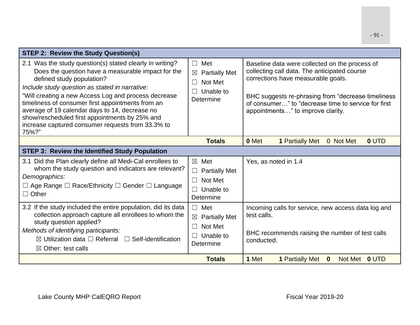- 91 -

| <b>STEP 2: Review the Study Question(s)</b>                                                                                                                                                                                                                                                                                                                                                                                                                                  |                                                                                                               |                                                                                                                                                                                                                                                                                        |
|------------------------------------------------------------------------------------------------------------------------------------------------------------------------------------------------------------------------------------------------------------------------------------------------------------------------------------------------------------------------------------------------------------------------------------------------------------------------------|---------------------------------------------------------------------------------------------------------------|----------------------------------------------------------------------------------------------------------------------------------------------------------------------------------------------------------------------------------------------------------------------------------------|
| 2.1 Was the study question(s) stated clearly in writing?<br>Does the question have a measurable impact for the<br>defined study population?<br>Include study question as stated in narrative:<br>"Will creating a new Access Log and process decrease<br>timeliness of consumer first appointments from an<br>average of 19 calendar days to 14, decrease no<br>show/rescheduled first appointments by 25% and<br>increase captured consumer requests from 33.3% to<br>75%?" | $\Box$<br>Met<br><b>Partially Met</b><br>$\boxtimes$<br>Not Met<br>$\Box$<br>Unable to<br>Determine           | Baseline data were collected on the process of<br>collecting call data. The anticipated course<br>corrections have measurable goals.<br>BHC suggests re-phrasing from "decrease timeliness<br>of consumer" to "decrease time to service for first<br>appointments" to improve clarity. |
|                                                                                                                                                                                                                                                                                                                                                                                                                                                                              | <b>Totals</b>                                                                                                 | 0 Met<br><b>1 Partially Met</b><br>0 UTD<br>0 Not Met                                                                                                                                                                                                                                  |
| <b>STEP 3: Review the Identified Study Population</b>                                                                                                                                                                                                                                                                                                                                                                                                                        |                                                                                                               |                                                                                                                                                                                                                                                                                        |
| 3.1 Did the Plan clearly define all Medi-Cal enrollees to<br>whom the study question and indicators are relevant?<br>Demographics:<br>$\Box$ Age Range $\Box$ Race/Ethnicity $\Box$ Gender $\Box$ Language<br>$\Box$ Other                                                                                                                                                                                                                                                   | Met<br>$\times$<br><b>Partially Met</b><br>$\Box$<br>Not Met<br>$\Box$<br>Unable to<br>$\Box$<br>Determine    | Yes, as noted in 1.4                                                                                                                                                                                                                                                                   |
| 3.2 If the study included the entire population, did its data<br>collection approach capture all enrollees to whom the<br>study question applied?<br>Methods of identifying participants:<br>$\boxtimes$ Utilization data $\square$ Referral $\square$ Self-identification<br>$\boxtimes$ Other: test calls                                                                                                                                                                  | Met<br>$\Box$<br><b>Partially Met</b><br>$\boxtimes$<br>Not Met<br>$\Box$<br>Unable to<br>$\Box$<br>Determine | Incoming calls for service, new access data log and<br>test calls.<br>BHC recommends raising the number of test calls<br>conducted.                                                                                                                                                    |
|                                                                                                                                                                                                                                                                                                                                                                                                                                                                              | <b>Totals</b>                                                                                                 | 1 Met<br><b>1 Partially Met</b><br>$\mathbf{0}$<br>Not Met 0 UTD                                                                                                                                                                                                                       |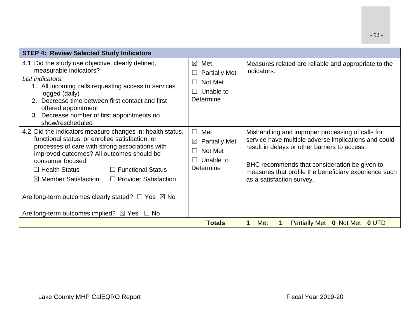| <b>STEP 4: Review Selected Study Indicators</b>                                                                                                                                                                                                                                                                                                                                                                                                                                           |                                                                                                      |                                                                                                                                                                                                                                                                                                  |
|-------------------------------------------------------------------------------------------------------------------------------------------------------------------------------------------------------------------------------------------------------------------------------------------------------------------------------------------------------------------------------------------------------------------------------------------------------------------------------------------|------------------------------------------------------------------------------------------------------|--------------------------------------------------------------------------------------------------------------------------------------------------------------------------------------------------------------------------------------------------------------------------------------------------|
| 4.1 Did the study use objective, clearly defined,<br>measurable indicators?<br>List indicators:<br>1. All incoming calls requesting access to services<br>logged (daily)<br>2. Decrease time between first contact and first<br>offered appointment<br>3. Decrease number of first appointments no<br>show/rescheduled                                                                                                                                                                    | $\boxtimes$<br>Met<br><b>Partially Met</b><br>Not Met<br>Unable to<br>Determine                      | Measures related are reliable and appropriate to the<br>indicators.                                                                                                                                                                                                                              |
| 4.2 Did the indicators measure changes in: health status,<br>functional status, or enrollee satisfaction, or<br>processes of care with strong associations with<br>improved outcomes? All outcomes should be<br>consumer focused.<br>$\Box$ Functional Status<br>$\Box$ Health Status<br>$\boxtimes$ Member Satisfaction<br>$\Box$ Provider Satisfaction<br>Are long-term outcomes clearly stated? $\Box$ Yes $\boxtimes$ No<br>Are long-term outcomes implied? $\boxtimes$ Yes $\Box$ No | Met<br>$\vert \ \ \vert$<br><b>Partially Met</b><br>$\boxtimes$<br>Not Met<br>Unable to<br>Determine | Mishandling and improper processing of calls for<br>service have multiple adverse implications and could<br>result in delays or other barriers to access.<br>BHC recommends that consideration be given to<br>measures that profile the beneficiary experience such<br>as a satisfaction survey. |
|                                                                                                                                                                                                                                                                                                                                                                                                                                                                                           | <b>Totals</b>                                                                                        | Met<br>$\mathbf 1$<br><b>Partially Met</b><br><b>0</b> Not Met<br><b>OUTD</b>                                                                                                                                                                                                                    |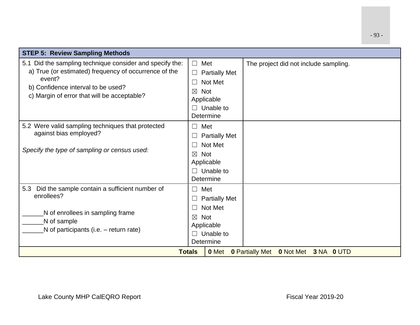| <b>STEP 5: Review Sampling Methods</b>                                                                                                                                                                           |                                                                                                                                                             |                                                       |
|------------------------------------------------------------------------------------------------------------------------------------------------------------------------------------------------------------------|-------------------------------------------------------------------------------------------------------------------------------------------------------------|-------------------------------------------------------|
| 5.1 Did the sampling technique consider and specify the:<br>a) True (or estimated) frequency of occurrence of the<br>event?<br>b) Confidence interval to be used?<br>c) Margin of error that will be acceptable? | Met<br>$\Box$<br><b>Partially Met</b><br>$\Box$<br>Not Met<br>$\vert \ \ \vert$<br><b>Not</b><br>$\boxtimes$<br>Applicable<br>$\Box$ Unable to<br>Determine | The project did not include sampling.                 |
| 5.2 Were valid sampling techniques that protected<br>against bias employed?<br>Specify the type of sampling or census used:                                                                                      | Met<br>$\Box$<br><b>Partially Met</b><br>Not Met<br>$\perp$<br><b>Not</b><br>$\boxtimes$<br>Applicable<br>$\Box$ Unable to<br>Determine                     |                                                       |
| 5.3 Did the sample contain a sufficient number of<br>enrollees?<br>N of enrollees in sampling frame<br>N of sample<br>N of participants (i.e. – return rate)                                                     | Met<br>$\Box$<br><b>Partially Met</b><br>$\Box$<br>Not Met<br>$\Box$<br><b>Not</b><br>$\boxtimes$<br>Applicable<br>Unable to<br>$\Box$<br>Determine         |                                                       |
|                                                                                                                                                                                                                  | <b>Totals</b><br>0 Met                                                                                                                                      | <b>0 Partially Met</b><br><b>0 Not Met 3 NA 0 UTD</b> |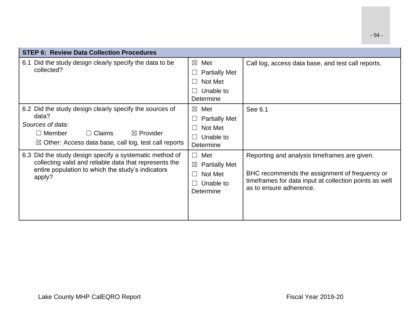| <b>STEP 6: Review Data Collection Procedures</b>                                                                                                                                                                   |                                                                                     |                                                                                                                                                                                    |
|--------------------------------------------------------------------------------------------------------------------------------------------------------------------------------------------------------------------|-------------------------------------------------------------------------------------|------------------------------------------------------------------------------------------------------------------------------------------------------------------------------------|
| 6.1 Did the study design clearly specify the data to be<br>collected?                                                                                                                                              | $\boxtimes$ Met<br><b>Partially Met</b><br>Not Met<br>Unable to<br>Determine        | Call log, access data base, and test call reports.                                                                                                                                 |
| 6.2 Did the study design clearly specify the sources of<br>data?<br>Sources of data:<br>$\Box$ Claims<br>$\boxtimes$ Provider<br>$\Box$ Member<br>$\boxtimes$ Other: Access data base, call log, test call reports | $\boxtimes$ Met<br><b>Partially Met</b><br>Not Met<br>Unable to<br>Determine        | See 6.1                                                                                                                                                                            |
| 6.3 Did the study design specify a systematic method of<br>collecting valid and reliable data that represents the<br>entire population to which the study's indicators<br>apply?                                   | $\Box$ Met<br><b>Partially Met</b><br>⊠<br>Not Met<br>- 1<br>Unable to<br>Determine | Reporting and analysis timeframes are given.<br>BHC recommends the assignment of frequency or<br>timeframes for data input at collection points as well<br>as to ensure adherence. |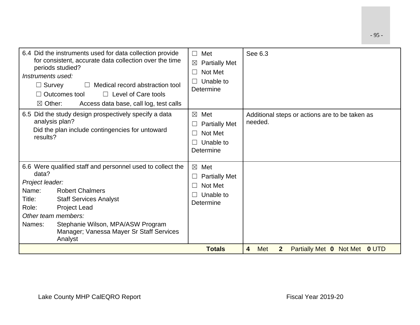| 6.4 Did the instruments used for data collection provide<br>for consistent, accurate data collection over the time<br>periods studied?<br>Instruments used:<br>Medical record abstraction tool<br>$\Box$ Survey<br>$\perp$<br>$\Box$ Level of Care tools<br>Outcomes tool<br>$\boxtimes$ Other:<br>Access data base, call log, test calls | Met<br>$\perp$<br><b>Partially Met</b><br>$\boxtimes$<br>Not Met<br>Unable to<br>Determine | See 6.3                                                                                |
|-------------------------------------------------------------------------------------------------------------------------------------------------------------------------------------------------------------------------------------------------------------------------------------------------------------------------------------------|--------------------------------------------------------------------------------------------|----------------------------------------------------------------------------------------|
| 6.5 Did the study design prospectively specify a data<br>analysis plan?<br>Did the plan include contingencies for untoward<br>results?                                                                                                                                                                                                    | Met<br>$\boxtimes$<br><b>Partially Met</b><br>Not Met<br>m.<br>Unable to<br>Determine      | Additional steps or actions are to be taken as<br>needed.                              |
| 6.6 Were qualified staff and personnel used to collect the<br>data?<br>Project leader:<br>Name:<br><b>Robert Chalmers</b><br>Title:<br><b>Staff Services Analyst</b><br>Role:<br><b>Project Lead</b><br>Other team members:<br>Stephanie Wilson, MPA/ASW Program<br>Names:<br>Manager; Vanessa Mayer Sr Staff Services<br>Analyst         | $\boxtimes$<br>Met<br><b>Partially Met</b><br>Not Met<br>Unable to<br>Determine            |                                                                                        |
|                                                                                                                                                                                                                                                                                                                                           | <b>Totals</b>                                                                              | $\overline{\mathbf{4}}$<br>Met<br><b>Partially Met 0 Not Met 0 UTD</b><br>$\mathbf{2}$ |

- 95 -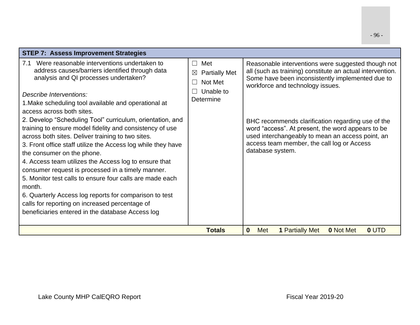| <b>STEP 7: Assess Improvement Strategies</b>                                                                                                                                                                                                                                                                                                                                                                                                                                                                           |                                                                                                                |                                                                                                                                                                                                                              |
|------------------------------------------------------------------------------------------------------------------------------------------------------------------------------------------------------------------------------------------------------------------------------------------------------------------------------------------------------------------------------------------------------------------------------------------------------------------------------------------------------------------------|----------------------------------------------------------------------------------------------------------------|------------------------------------------------------------------------------------------------------------------------------------------------------------------------------------------------------------------------------|
| Were reasonable interventions undertaken to<br>7.1<br>address causes/barriers identified through data<br>analysis and QI processes undertaken?<br>Describe Interventions:<br>1. Make scheduling tool available and operational at                                                                                                                                                                                                                                                                                      | Met<br>$\vert \ \ \vert$<br><b>Partially Met</b><br>$\boxtimes$<br>Not Met<br>$\Box$<br>Unable to<br>Determine | Reasonable interventions were suggested though not<br>all (such as training) constitute an actual intervention.<br>Some have been inconsistently implemented due to<br>workforce and technology issues.                      |
| access across both sites.                                                                                                                                                                                                                                                                                                                                                                                                                                                                                              |                                                                                                                |                                                                                                                                                                                                                              |
| 2. Develop "Scheduling Tool" curriculum, orientation, and<br>training to ensure model fidelity and consistency of use<br>across both sites. Deliver training to two sites.<br>3. Front office staff utilize the Access log while they have<br>the consumer on the phone.<br>4. Access team utilizes the Access log to ensure that<br>consumer request is processed in a timely manner.<br>5. Monitor test calls to ensure four calls are made each<br>month.<br>6. Quarterly Access log reports for comparison to test |                                                                                                                | BHC recommends clarification regarding use of the<br>word "access". At present, the word appears to be<br>used interchangeably to mean an access point, an<br>access team member, the call log or Access<br>database system. |
| calls for reporting on increased percentage of<br>beneficiaries entered in the database Access log                                                                                                                                                                                                                                                                                                                                                                                                                     |                                                                                                                |                                                                                                                                                                                                                              |
|                                                                                                                                                                                                                                                                                                                                                                                                                                                                                                                        |                                                                                                                |                                                                                                                                                                                                                              |
|                                                                                                                                                                                                                                                                                                                                                                                                                                                                                                                        | <b>Totals</b>                                                                                                  | $\mathbf{0}$<br>Met<br><b>1 Partially Met</b><br><b>0 Not Met</b><br>0 UTD                                                                                                                                                   |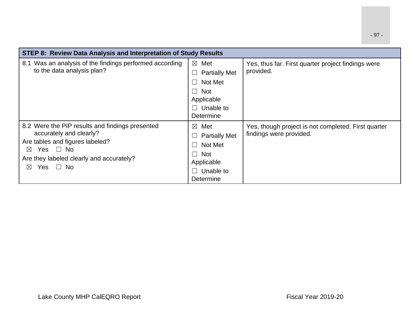| STEP 8: Review Data Analysis and Interpretation of Study Results                                                                                                                                                          |                                                                                                                                      |                                                                                |  |
|---------------------------------------------------------------------------------------------------------------------------------------------------------------------------------------------------------------------------|--------------------------------------------------------------------------------------------------------------------------------------|--------------------------------------------------------------------------------|--|
| Was an analysis of the findings performed according<br>8.1<br>to the data analysis plan?                                                                                                                                  | $\boxtimes$ Met<br><b>Partially Met</b><br>$\Box$<br>Not Met<br>$\Box$<br>$\Box$ Not<br>Applicable<br>$\Box$ Unable to<br>Determine  | Yes, thus far. First quarter project findings were<br>provided.                |  |
| 8.2 Were the PIP results and findings presented<br>accurately and clearly?<br>Are tables and figures labeled?<br>Yes $\Box$ No<br>$\boxtimes$<br>Are they labeled clearly and accurately?<br>Yes $\Box$ No<br>$\boxtimes$ | Met<br>$\boxtimes$<br><b>Partially Met</b><br>⊔<br>Not Met<br>$\Box$<br>$\Box$ Not<br>Applicable<br>Unable to<br>$\Box$<br>Determine | Yes, though project is not completed. First quarter<br>findings were provided. |  |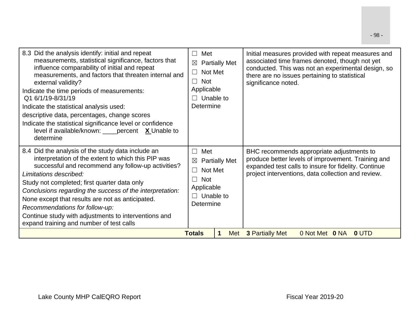| 8.3 Did the analysis identify: initial and repeat<br>measurements, statistical significance, factors that<br>influence comparability of initial and repeat<br>measurements, and factors that threaten internal and<br>external validity?<br>Indicate the time periods of measurements:<br>Q1 6/1/19-8/31/19<br>Indicate the statistical analysis used:<br>descriptive data, percentages, change scores<br>Indicate the statistical significance level or confidence<br>level if available/known: ____ percent $X$ Unable to<br>determine | Met<br>$\perp$<br>$\boxtimes$<br>Not Met<br>$\Box$<br>$\Box$ Not<br>Applicable<br>$\Box$ Unable to<br>Determine          | <b>Partially Met</b> | Initial measures provided with repeat measures and<br>associated time frames denoted, though not yet<br>conducted. This was not an experimental design, so<br>there are no issues pertaining to statistical<br>significance noted. |
|------------------------------------------------------------------------------------------------------------------------------------------------------------------------------------------------------------------------------------------------------------------------------------------------------------------------------------------------------------------------------------------------------------------------------------------------------------------------------------------------------------------------------------------|--------------------------------------------------------------------------------------------------------------------------|----------------------|------------------------------------------------------------------------------------------------------------------------------------------------------------------------------------------------------------------------------------|
| 8.4 Did the analysis of the study data include an<br>interpretation of the extent to which this PIP was<br>successful and recommend any follow-up activities?<br>Limitations described:<br>Study not completed; first quarter data only<br>Conclusions regarding the success of the interpretation:<br>None except that results are not as anticipated.<br>Recommendations for follow-up:<br>Continue study with adjustments to interventions and<br>expand training and number of test calls                                            | Met<br>$\Box$<br>$\boxtimes$<br>Not Met<br>$\Box$<br><b>Not</b><br>$\Box$<br>Applicable<br>$\Box$ Unable to<br>Determine | <b>Partially Met</b> | BHC recommends appropriate adjustments to<br>produce better levels of improvement. Training and<br>expanded test calls to insure for fidelity. Continue<br>project interventions, data collection and review.                      |
|                                                                                                                                                                                                                                                                                                                                                                                                                                                                                                                                          | <b>Totals</b>                                                                                                            | 1                    | Met 3 Partially Met<br>0 Not Met 0 NA<br>0 UTD                                                                                                                                                                                     |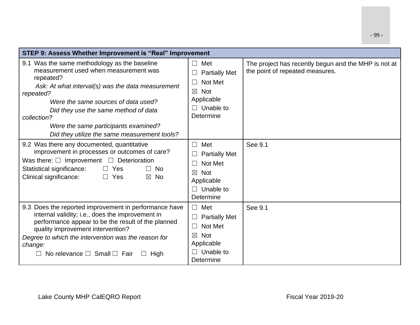| STEP 9: Assess Whether Improvement is "Real" Improvement                                                                                                                                                                                                                                                                                                   |                                                                                                                                                  |                                                                                         |  |
|------------------------------------------------------------------------------------------------------------------------------------------------------------------------------------------------------------------------------------------------------------------------------------------------------------------------------------------------------------|--------------------------------------------------------------------------------------------------------------------------------------------------|-----------------------------------------------------------------------------------------|--|
| 9.1 Was the same methodology as the baseline<br>measurement used when measurement was<br>repeated?<br>Ask: At what interval(s) was the data measurement<br>repeated?<br>Were the same sources of data used?<br>Did they use the same method of data<br>collection?<br>Were the same participants examined?<br>Did they utilize the same measurement tools? | $\Box$ Met<br><b>Partially Met</b><br>Not Met<br>П<br>$\boxtimes$ Not<br>Applicable<br>$\Box$ Unable to<br>Determine                             | The project has recently begun and the MHP is not at<br>the point of repeated measures. |  |
| 9.2 Was there any documented, quantitative<br>improvement in processes or outcomes of care?<br>Was there: $\Box$ Improvement $\Box$ Deterioration<br>Statistical significance:<br>$\Box$ Yes<br><b>No</b><br>$\Box$<br>Clinical significance:<br>$\Box$ Yes<br>$\boxtimes$ No                                                                              | Met<br>$\Box$<br><b>Partially Met</b><br>Not Met<br>$\boxtimes$ Not<br>Applicable<br>$\Box$ Unable to<br>Determine                               | See 9.1                                                                                 |  |
| 9.3 Does the reported improvement in performance have<br>internal validity; i.e., does the improvement in<br>performance appear to be the result of the planned<br>quality improvement intervention?<br>Degree to which the intervention was the reason for<br>change:<br>No relevance $\square$ Small $\square$ Fair<br>$\Box$ High                       | Met<br>$\Box$<br><b>Partially Met</b><br>$\Box$<br>Not Met<br>$\Box$<br><b>Not</b><br>$\boxtimes$<br>Applicable<br>$\Box$ Unable to<br>Determine | See 9.1                                                                                 |  |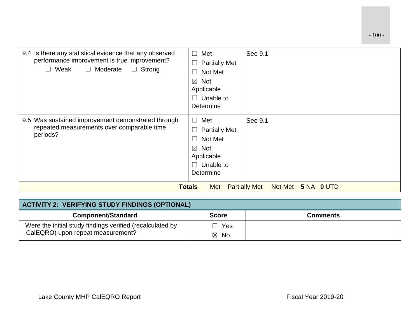| 9.4 Is there any statistical evidence that any observed<br>performance improvement is true improvement?<br>$\Box$ Weak<br>□ Moderate<br>$\Box$ Strong | $\Box$<br>Met<br>$\mathcal{L}_{\mathcal{A}}$<br>L<br>$\boxtimes$<br>Not<br>Applicable<br>$\Box$<br>Determine | <b>Partially Met</b><br>Not Met<br>Unable to | See 9.1                                              |
|-------------------------------------------------------------------------------------------------------------------------------------------------------|--------------------------------------------------------------------------------------------------------------|----------------------------------------------|------------------------------------------------------|
| 9.5 Was sustained improvement demonstrated through<br>repeated measurements over comparable time<br>periods?                                          | Met<br>$\Box$<br>$\mathcal{L}_{\mathcal{A}}$<br>$\boxtimes$ Not<br>Applicable<br>П<br>Determine              | <b>Partially Met</b><br>Not Met<br>Unable to | See 9.1                                              |
|                                                                                                                                                       | <b>Totals</b>                                                                                                | <b>Met</b>                                   | <b>Partially Met</b><br>Not Met<br><b>5 NA 0 UTD</b> |

| ACTIVITY 2: VERIFYING STUDY FINDINGS (OPTIONAL)           |                |                 |  |
|-----------------------------------------------------------|----------------|-----------------|--|
| <b>Component/Standard</b>                                 | <b>Score</b>   | <b>Comments</b> |  |
| Were the initial study findings verified (recalculated by | Yes            |                 |  |
| CalEQRO) upon repeat measurement?                         | $\boxtimes$ No |                 |  |